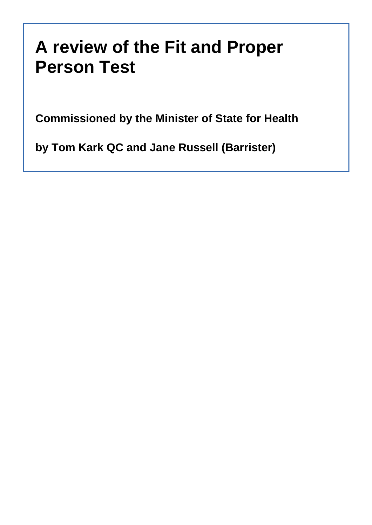# **A review of the Fit and Proper Person Test**

**Commissioned by the Minister of State for Health**

**by Tom Kark QC and Jane Russell (Barrister)**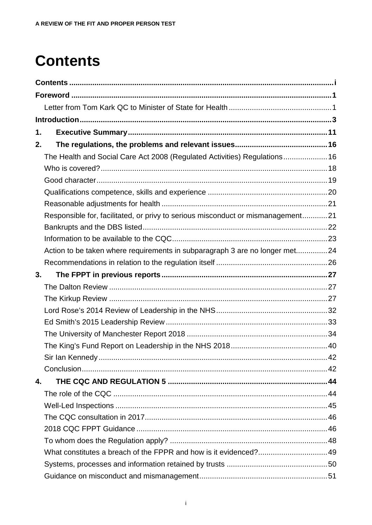# <span id="page-2-0"></span>**Contents**

| 1. |                                                                                 |  |
|----|---------------------------------------------------------------------------------|--|
| 2. |                                                                                 |  |
|    | The Health and Social Care Act 2008 (Regulated Activities) Regulations 16       |  |
|    |                                                                                 |  |
|    |                                                                                 |  |
|    |                                                                                 |  |
|    |                                                                                 |  |
|    | Responsible for, facilitated, or privy to serious misconduct or mismanagement21 |  |
|    |                                                                                 |  |
|    |                                                                                 |  |
|    | Action to be taken where requirements in subparagraph 3 are no longer met24     |  |
|    |                                                                                 |  |
| 3. |                                                                                 |  |
|    |                                                                                 |  |
|    |                                                                                 |  |
|    |                                                                                 |  |
|    |                                                                                 |  |
|    |                                                                                 |  |
|    |                                                                                 |  |
|    |                                                                                 |  |
|    |                                                                                 |  |
|    |                                                                                 |  |
| 4. |                                                                                 |  |
|    |                                                                                 |  |
|    |                                                                                 |  |
|    |                                                                                 |  |
|    |                                                                                 |  |
|    |                                                                                 |  |
|    |                                                                                 |  |
|    |                                                                                 |  |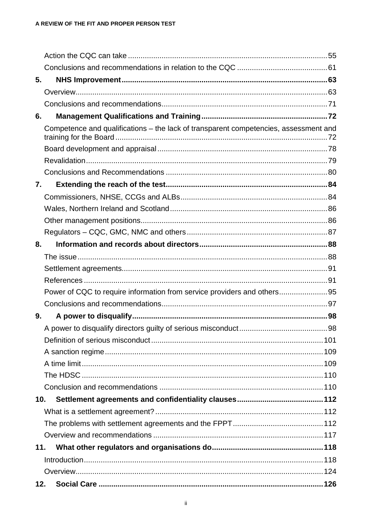| 5.  |                                                                                      |  |
|-----|--------------------------------------------------------------------------------------|--|
|     |                                                                                      |  |
|     |                                                                                      |  |
| 6.  |                                                                                      |  |
|     | Competence and qualifications - the lack of transparent competencies, assessment and |  |
|     |                                                                                      |  |
|     |                                                                                      |  |
|     |                                                                                      |  |
| 7.  |                                                                                      |  |
|     |                                                                                      |  |
|     |                                                                                      |  |
|     |                                                                                      |  |
|     |                                                                                      |  |
| 8.  |                                                                                      |  |
|     |                                                                                      |  |
|     |                                                                                      |  |
|     |                                                                                      |  |
|     | Power of CQC to require information from service providers and others95              |  |
|     |                                                                                      |  |
| 9.  |                                                                                      |  |
|     |                                                                                      |  |
|     |                                                                                      |  |
|     |                                                                                      |  |
|     |                                                                                      |  |
|     |                                                                                      |  |
|     |                                                                                      |  |
| 10. |                                                                                      |  |
|     |                                                                                      |  |
|     |                                                                                      |  |
|     |                                                                                      |  |
| 11. |                                                                                      |  |
|     |                                                                                      |  |
|     |                                                                                      |  |
| 12. |                                                                                      |  |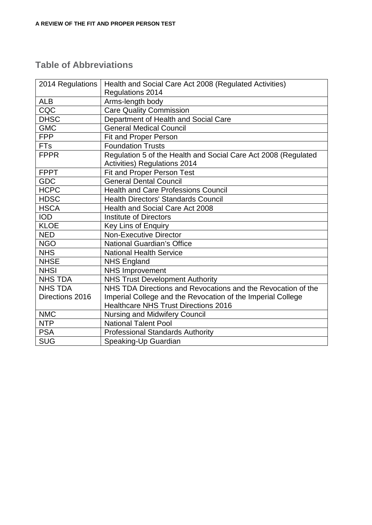#### **Table of Abbreviations**

| 2014 Regulations | Health and Social Care Act 2008 (Regulated Activities)         |
|------------------|----------------------------------------------------------------|
|                  | Regulations 2014                                               |
| <b>ALB</b>       | Arms-length body                                               |
| CQC              | <b>Care Quality Commission</b>                                 |
| <b>DHSC</b>      | Department of Health and Social Care                           |
| <b>GMC</b>       | <b>General Medical Council</b>                                 |
| <b>FPP</b>       | <b>Fit and Proper Person</b>                                   |
| <b>FTs</b>       | <b>Foundation Trusts</b>                                       |
| <b>FPPR</b>      | Regulation 5 of the Health and Social Care Act 2008 (Regulated |
|                  | <b>Activities) Regulations 2014</b>                            |
| <b>FPPT</b>      | Fit and Proper Person Test                                     |
| <b>GDC</b>       | <b>General Dental Council</b>                                  |
| <b>HCPC</b>      | <b>Health and Care Professions Council</b>                     |
| <b>HDSC</b>      | Health Directors' Standards Council                            |
| <b>HSCA</b>      | Health and Social Care Act 2008                                |
| <b>IOD</b>       | <b>Institute of Directors</b>                                  |
| <b>KLOE</b>      | Key Lins of Enquiry                                            |
| <b>NED</b>       | <b>Non-Executive Director</b>                                  |
| <b>NGO</b>       | National Guardian's Office                                     |
| <b>NHS</b>       | <b>National Health Service</b>                                 |
| <b>NHSE</b>      | <b>NHS England</b>                                             |
| <b>NHSI</b>      | <b>NHS Improvement</b>                                         |
| <b>NHS TDA</b>   | <b>NHS Trust Development Authority</b>                         |
| <b>NHS TDA</b>   | NHS TDA Directions and Revocations and the Revocation of the   |
| Directions 2016  | Imperial College and the Revocation of the Imperial College    |
|                  | <b>Healthcare NHS Trust Directions 2016</b>                    |
| <b>NMC</b>       | <b>Nursing and Midwifery Council</b>                           |
| <b>NTP</b>       | National Talent Pool                                           |
| <b>PSA</b>       | <b>Professional Standards Authority</b>                        |
| <b>SUG</b>       | Speaking-Up Guardian                                           |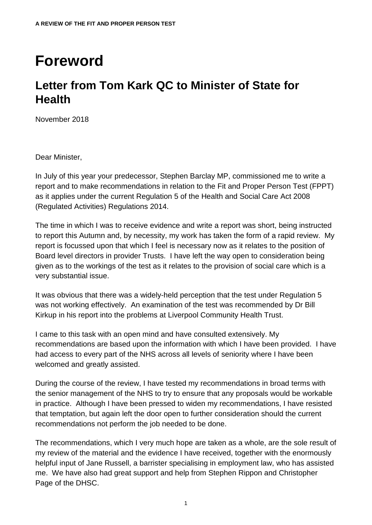## <span id="page-6-0"></span>**Foreword**

### <span id="page-6-1"></span>**Letter from Tom Kark QC to Minister of State for Health**

November 2018

Dear Minister,

In July of this year your predecessor, Stephen Barclay MP, commissioned me to write a report and to make recommendations in relation to the Fit and Proper Person Test (FPPT) as it applies under the current Regulation 5 of the Health and Social Care Act 2008 (Regulated Activities) Regulations 2014.

The time in which I was to receive evidence and write a report was short, being instructed to report this Autumn and, by necessity, my work has taken the form of a rapid review. My report is focussed upon that which I feel is necessary now as it relates to the position of Board level directors in provider Trusts. I have left the way open to consideration being given as to the workings of the test as it relates to the provision of social care which is a very substantial issue.

It was obvious that there was a widely-held perception that the test under Regulation 5 was not working effectively. An examination of the test was recommended by Dr Bill Kirkup in his report into the problems at Liverpool Community Health Trust.

I came to this task with an open mind and have consulted extensively. My recommendations are based upon the information with which I have been provided. I have had access to every part of the NHS across all levels of seniority where I have been welcomed and greatly assisted.

During the course of the review, I have tested my recommendations in broad terms with the senior management of the NHS to try to ensure that any proposals would be workable in practice. Although I have been pressed to widen my recommendations, I have resisted that temptation, but again left the door open to further consideration should the current recommendations not perform the job needed to be done.

The recommendations, which I very much hope are taken as a whole, are the sole result of my review of the material and the evidence I have received, together with the enormously helpful input of Jane Russell, a barrister specialising in employment law, who has assisted me. We have also had great support and help from Stephen Rippon and Christopher Page of the DHSC.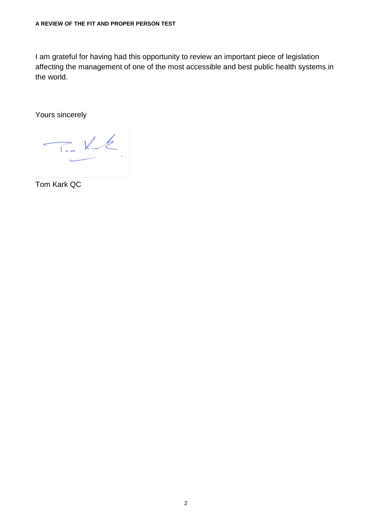I am grateful for having had this opportunity to review an important piece of legislation affecting the management of one of the most accessible and best public health systems in the world.

Yours sincerely

 $T_L$  Ke  $\epsilon$ 

Tom Kark QC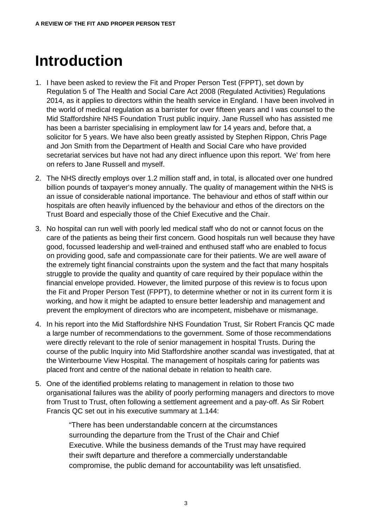## <span id="page-8-0"></span>**Introduction**

- 1. I have been asked to review the Fit and Proper Person Test (FPPT), set down by Regulation 5 of The Health and Social Care Act 2008 (Regulated Activities) Regulations 2014, as it applies to directors within the health service in England. I have been involved in the world of medical regulation as a barrister for over fifteen years and I was counsel to the Mid Staffordshire NHS Foundation Trust public inquiry. Jane Russell who has assisted me has been a barrister specialising in employment law for 14 years and, before that, a solicitor for 5 years. We have also been greatly assisted by Stephen Rippon, Chris Page and Jon Smith from the Department of Health and Social Care who have provided secretariat services but have not had any direct influence upon this report. 'We' from here on refers to Jane Russell and myself.
- 2. The NHS directly employs over 1.2 million staff and, in total, is allocated over one hundred billion pounds of taxpayer's money annually. The quality of management within the NHS is an issue of considerable national importance. The behaviour and ethos of staff within our hospitals are often heavily influenced by the behaviour and ethos of the directors on the Trust Board and especially those of the Chief Executive and the Chair.
- 3. No hospital can run well with poorly led medical staff who do not or cannot focus on the care of the patients as being their first concern. Good hospitals run well because they have good, focussed leadership and well-trained and enthused staff who are enabled to focus on providing good, safe and compassionate care for their patients. We are well aware of the extremely tight financial constraints upon the system and the fact that many hospitals struggle to provide the quality and quantity of care required by their populace within the financial envelope provided. However, the limited purpose of this review is to focus upon the Fit and Proper Person Test (FPPT), to determine whether or not in its current form it is working, and how it might be adapted to ensure better leadership and management and prevent the employment of directors who are incompetent, misbehave or mismanage.
- 4. In his report into the Mid Staffordshire NHS Foundation Trust, Sir Robert Francis QC made a large number of recommendations to the government. Some of those recommendations were directly relevant to the role of senior management in hospital Trusts. During the course of the public Inquiry into Mid Staffordshire another scandal was investigated, that at the Winterbourne View Hospital. The management of hospitals caring for patients was placed front and centre of the national debate in relation to health care.
- 5. One of the identified problems relating to management in relation to those two organisational failures was the ability of poorly performing managers and directors to move from Trust to Trust, often following a settlement agreement and a pay-off. As Sir Robert Francis QC set out in his executive summary at 1.144:

"There has been understandable concern at the circumstances surrounding the departure from the Trust of the Chair and Chief Executive. While the business demands of the Trust may have required their swift departure and therefore a commercially understandable compromise, the public demand for accountability was left unsatisfied.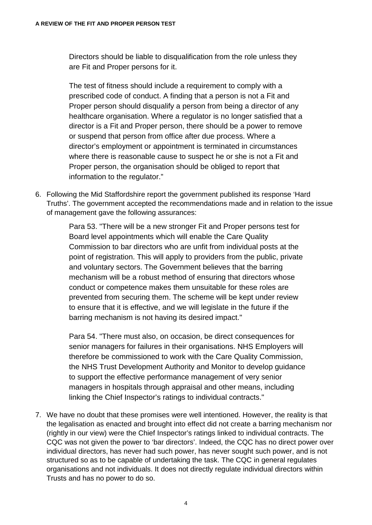Directors should be liable to disqualification from the role unless they are Fit and Proper persons for it.

The test of fitness should include a requirement to comply with a prescribed code of conduct. A finding that a person is not a Fit and Proper person should disqualify a person from being a director of any healthcare organisation. Where a regulator is no longer satisfied that a director is a Fit and Proper person, there should be a power to remove or suspend that person from office after due process. Where a director's employment or appointment is terminated in circumstances where there is reasonable cause to suspect he or she is not a Fit and Proper person, the organisation should be obliged to report that information to the regulator."

6. Following the Mid Staffordshire report the government published its response 'Hard Truths'. The government accepted the recommendations made and in relation to the issue of management gave the following assurances:

> Para 53. "There will be a new stronger Fit and Proper persons test for Board level appointments which will enable the Care Quality Commission to bar directors who are unfit from individual posts at the point of registration. This will apply to providers from the public, private and voluntary sectors. The Government believes that the barring mechanism will be a robust method of ensuring that directors whose conduct or competence makes them unsuitable for these roles are prevented from securing them. The scheme will be kept under review to ensure that it is effective, and we will legislate in the future if the barring mechanism is not having its desired impact."

> Para 54. "There must also, on occasion, be direct consequences for senior managers for failures in their organisations. NHS Employers will therefore be commissioned to work with the Care Quality Commission, the NHS Trust Development Authority and Monitor to develop guidance to support the effective performance management of very senior managers in hospitals through appraisal and other means, including linking the Chief Inspector's ratings to individual contracts."

7. We have no doubt that these promises were well intentioned. However, the reality is that the legalisation as enacted and brought into effect did not create a barring mechanism nor (rightly in our view) were the Chief Inspector's ratings linked to individual contracts. The CQC was not given the power to 'bar directors'. Indeed, the CQC has no direct power over individual directors, has never had such power, has never sought such power, and is not structured so as to be capable of undertaking the task. The CQC in general regulates organisations and not individuals. It does not directly regulate individual directors within Trusts and has no power to do so.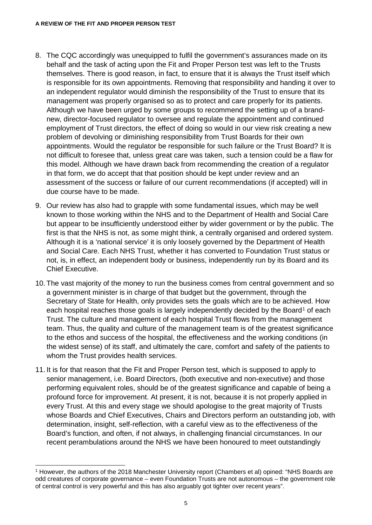- 8. The CQC accordingly was unequipped to fulfil the government's assurances made on its behalf and the task of acting upon the Fit and Proper Person test was left to the Trusts themselves. There is good reason, in fact, to ensure that it is always the Trust itself which is responsible for its own appointments. Removing that responsibility and handing it over to an independent regulator would diminish the responsibility of the Trust to ensure that its management was properly organised so as to protect and care properly for its patients. Although we have been urged by some groups to recommend the setting up of a brandnew, director-focused regulator to oversee and regulate the appointment and continued employment of Trust directors, the effect of doing so would in our view risk creating a new problem of devolving or diminishing responsibility from Trust Boards for their own appointments. Would the regulator be responsible for such failure or the Trust Board? It is not difficult to foresee that, unless great care was taken, such a tension could be a flaw for this model. Although we have drawn back from recommending the creation of a regulator in that form, we do accept that that position should be kept under review and an assessment of the success or failure of our current recommendations (if accepted) will in due course have to be made.
- 9. Our review has also had to grapple with some fundamental issues, which may be well known to those working within the NHS and to the Department of Health and Social Care but appear to be insufficiently understood either by wider government or by the public. The first is that the NHS is not, as some might think, a centrally organised and ordered system. Although it is a 'national service' it is only loosely governed by the Department of Health and Social Care. Each NHS Trust, whether it has converted to Foundation Trust status or not, is, in effect, an independent body or business, independently run by its Board and its Chief Executive.
- 10. The vast majority of the money to run the business comes from central government and so a government minister is in charge of that budget but the government, through the Secretary of State for Health, only provides sets the goals which are to be achieved. How each hospital reaches those goals is largely independently decided by the Board<sup>[1](#page-10-0)</sup> of each Trust. The culture and management of each hospital Trust flows from the management team. Thus, the quality and culture of the management team is of the greatest significance to the ethos and success of the hospital, the effectiveness and the working conditions (in the widest sense) of its staff, and ultimately the care, comfort and safety of the patients to whom the Trust provides health services.
- 11. It is for that reason that the Fit and Proper Person test, which is supposed to apply to senior management, i.e. Board Directors, (both executive and non-executive) and those performing equivalent roles, should be of the greatest significance and capable of being a profound force for improvement. At present, it is not, because it is not properly applied in every Trust. At this and every stage we should apologise to the great majority of Trusts whose Boards and Chief Executives, Chairs and Directors perform an outstanding job, with determination, insight, self-reflection, with a careful view as to the effectiveness of the Board's function, and often, if not always, in challenging financial circumstances. In our recent perambulations around the NHS we have been honoured to meet outstandingly

<span id="page-10-0"></span> <sup>1</sup> However, the authors of the 2018 Manchester University report (Chambers et al) opined: "NHS Boards are odd creatures of corporate governance – even Foundation Trusts are not autonomous – the government role of central control is very powerful and this has also arguably got tighter over recent years".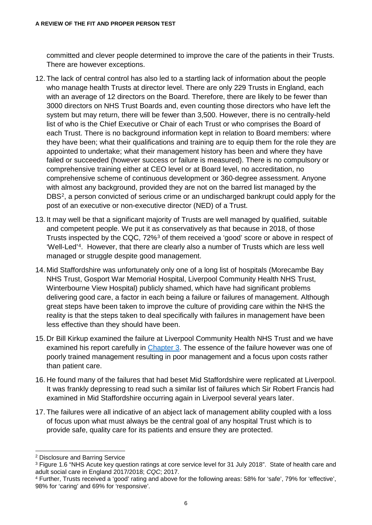committed and clever people determined to improve the care of the patients in their Trusts. There are however exceptions.

- 12. The lack of central control has also led to a startling lack of information about the people who manage health Trusts at director level. There are only 229 Trusts in England, each with an average of 12 directors on the Board. Therefore, there are likely to be fewer than 3000 directors on NHS Trust Boards and, even counting those directors who have left the system but may return, there will be fewer than 3,500. However, there is no centrally-held list of who is the Chief Executive or Chair of each Trust or who comprises the Board of each Trust. There is no background information kept in relation to Board members: where they have been; what their qualifications and training are to equip them for the role they are appointed to undertake; what their management history has been and where they have failed or succeeded (however success or failure is measured). There is no compulsory or comprehensive training either at CEO level or at Board level, no accreditation, no comprehensive scheme of continuous development or 360-degree assessment. Anyone with almost any background, provided they are not on the barred list managed by the DBS[2,](#page-11-0) a person convicted of serious crime or an undischarged bankrupt could apply for the post of an executive or non-executive director (NED) of a Trust.
- 13. It may well be that a significant majority of Trusts are well managed by qualified, suitable and competent people. We put it as conservatively as that because in 2018, of those Trusts inspected by the CQC, 72%[3](#page-11-1) of them received a 'good' score or above in respect of 'Well-Led'[4.](#page-11-2) However, that there are clearly also a number of Trusts which are less well managed or struggle despite good management.
- 14. Mid Staffordshire was unfortunately only one of a long list of hospitals (Morecambe Bay NHS Trust, Gosport War Memorial Hospital, Liverpool Community Health NHS Trust, Winterbourne View Hospital) publicly shamed, which have had significant problems delivering good care, a factor in each being a failure or failures of management. Although great steps have been taken to improve the culture of providing care within the NHS the reality is that the steps taken to deal specifically with failures in management have been less effective than they should have been.
- 15. Dr Bill Kirkup examined the failure at Liverpool Community Health NHS Trust and we have examined his report carefully in [Chapter 3.](#page-32-2) The essence of the failure however was one of poorly trained management resulting in poor management and a focus upon costs rather than patient care.
- 16. He found many of the failures that had beset Mid Staffordshire were replicated at Liverpool. It was frankly depressing to read such a similar list of failures which Sir Robert Francis had examined in Mid Staffordshire occurring again in Liverpool several years later.
- 17. The failures were all indicative of an abject lack of management ability coupled with a loss of focus upon what must always be the central goal of any hospital Trust which is to provide safe, quality care for its patients and ensure they are protected.

<span id="page-11-0"></span> <sup>2</sup> Disclosure and Barring Service

<span id="page-11-1"></span><sup>&</sup>lt;sup>3</sup> Figure 1.6 "NHS Acute key question ratings at core service level for 31 July 2018". State of health care and adult social care in England 2017/2018; *CQC*; 2017.

<span id="page-11-2"></span><sup>4</sup> Further, Trusts received a 'good' rating and above for the following areas: 58% for 'safe', 79% for 'effective', 98% for 'caring' and 69% for 'responsive'.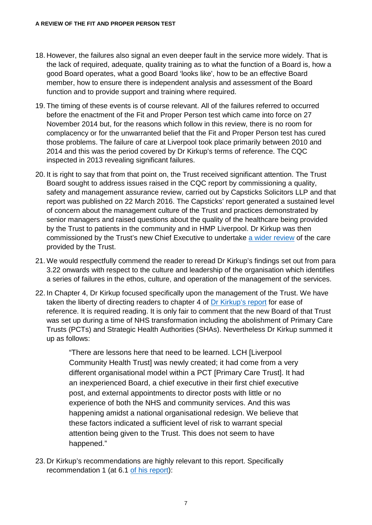- 18. However, the failures also signal an even deeper fault in the service more widely. That is the lack of required, adequate, quality training as to what the function of a Board is, how a good Board operates, what a good Board 'looks like', how to be an effective Board member, how to ensure there is independent analysis and assessment of the Board function and to provide support and training where required.
- 19. The timing of these events is of course relevant. All of the failures referred to occurred before the enactment of the Fit and Proper Person test which came into force on 27 November 2014 but, for the reasons which follow in this review, there is no room for complacency or for the unwarranted belief that the Fit and Proper Person test has cured those problems. The failure of care at Liverpool took place primarily between 2010 and 2014 and this was the period covered by Dr Kirkup's terms of reference. The CQC inspected in 2013 revealing significant failures.
- 20. It is right to say that from that point on, the Trust received significant attention. The Trust Board sought to address issues raised in the CQC report by commissioning a quality, safety and management assurance review, carried out by Capsticks Solicitors LLP and that report was published on 22 March 2016. The Capsticks' report generated a sustained level of concern about the management culture of the Trust and practices demonstrated by senior managers and raised questions about the quality of the healthcare being provided by the Trust to patients in the community and in HMP Liverpool. Dr Kirkup was then commissioned by the Trust's new Chief Executive to undertake [a wider review](https://assets.publishing.service.gov.uk/government/uploads/system/uploads/attachment_data/file/254245/Morecambe_Bay_Investigation_Terms_of_Reference.pdf) of the care provided by the Trust.
- 21. We would respectfully commend the reader to reread Dr Kirkup's findings set out from para 3.22 onwards with respect to the culture and leadership of the organisation which identifies a series of failures in the ethos, culture, and operation of the management of the services.
- 22. In Chapter 4, Dr Kirkup focused specifically upon the management of the Trust. We have taken the liberty of directing readers to chapter 4 of [Dr Kirkup's report](https://www.gov.uk/government/publications/morecambe-bay-investigation-report) for ease of reference. It is required reading. It is only fair to comment that the new Board of that Trust was set up during a time of NHS transformation including the abolishment of Primary Care Trusts (PCTs) and Strategic Health Authorities (SHAs). Nevertheless Dr Kirkup summed it up as follows:

"There are lessons here that need to be learned. LCH [Liverpool Community Health Trust] was newly created; it had come from a very different organisational model within a PCT [Primary Care Trust]. It had an inexperienced Board, a chief executive in their first chief executive post, and external appointments to director posts with little or no experience of both the NHS and community services. And this was happening amidst a national organisational redesign. We believe that these factors indicated a sufficient level of risk to warrant special attention being given to the Trust. This does not seem to have happened."

23. Dr Kirkup's recommendations are highly relevant to this report. Specifically recommendation 1 (at 6.1 [of his report\)](https://assets.publishing.service.gov.uk/government/uploads/system/uploads/attachment_data/file/408480/47487_MBI_Accessible_v0.1.pdf):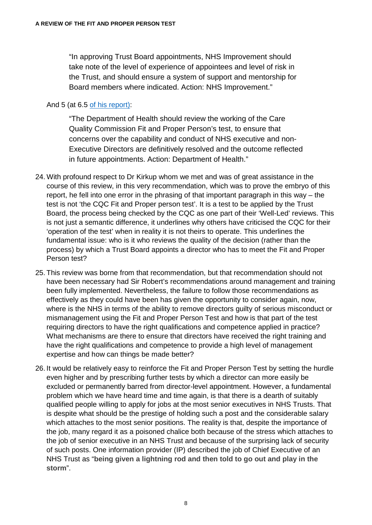"In approving Trust Board appointments, NHS Improvement should take note of the level of experience of appointees and level of risk in the Trust, and should ensure a system of support and mentorship for Board members where indicated. Action: NHS Improvement."

#### And 5 (at 6.5 [of his report\):](https://assets.publishing.service.gov.uk/government/uploads/system/uploads/attachment_data/file/408480/47487_MBI_Accessible_v0.1.pdf)

"The Department of Health should review the working of the Care Quality Commission Fit and Proper Person's test, to ensure that concerns over the capability and conduct of NHS executive and non-Executive Directors are definitively resolved and the outcome reflected in future appointments. Action: Department of Health."

- 24. With profound respect to Dr Kirkup whom we met and was of great assistance in the course of this review, in this very recommendation, which was to prove the embryo of this report, he fell into one error in the phrasing of that important paragraph in this way – the test is not 'the CQC Fit and Proper person test'. It is a test to be applied by the Trust Board, the process being checked by the CQC as one part of their 'Well-Led' reviews. This is not just a semantic difference, it underlines why others have criticised the CQC for their 'operation of the test' when in reality it is not theirs to operate. This underlines the fundamental issue: who is it who reviews the quality of the decision (rather than the process) by which a Trust Board appoints a director who has to meet the Fit and Proper Person test?
- 25. This review was borne from that recommendation, but that recommendation should not have been necessary had Sir Robert's recommendations around management and training been fully implemented. Nevertheless, the failure to follow those recommendations as effectively as they could have been has given the opportunity to consider again, now, where is the NHS in terms of the ability to remove directors guilty of serious misconduct or mismanagement using the Fit and Proper Person Test and how is that part of the test requiring directors to have the right qualifications and competence applied in practice? What mechanisms are there to ensure that directors have received the right training and have the right qualifications and competence to provide a high level of management expertise and how can things be made better?
- 26. It would be relatively easy to reinforce the Fit and Proper Person Test by setting the hurdle even higher and by prescribing further tests by which a director can more easily be excluded or permanently barred from director-level appointment. However, a fundamental problem which we have heard time and time again, is that there is a dearth of suitably qualified people willing to apply for jobs at the most senior executives in NHS Trusts. That is despite what should be the prestige of holding such a post and the considerable salary which attaches to the most senior positions. The reality is that, despite the importance of the job, many regard it as a poisoned chalice both because of the stress which attaches to the job of senior executive in an NHS Trust and because of the surprising lack of security of such posts. One information provider (IP) described the job of Chief Executive of an NHS Trust as "**being given a lightning rod and then told to go out and play in the storm**".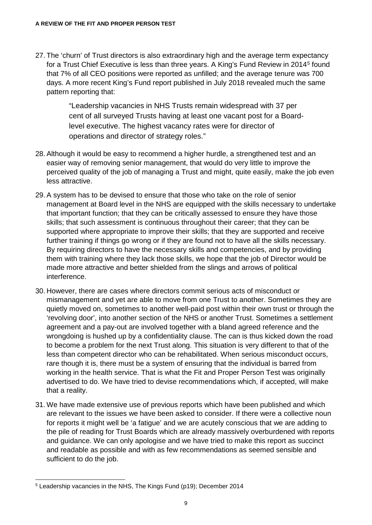27. The 'churn' of Trust directors is also extraordinary high and the average term expectancy for a Trust Chief Executive is less than three years. A King's Fund Review in 2014[5](#page-14-0) found that 7% of all CEO positions were reported as unfilled; and the average tenure was 700 days. A more recent King's Fund report published in July 2018 revealed much the same pattern reporting that:

> "Leadership vacancies in NHS Trusts remain widespread with 37 per cent of all surveyed Trusts having at least one vacant post for a Boardlevel executive. The highest vacancy rates were for director of operations and director of strategy roles."

- 28. Although it would be easy to recommend a higher hurdle, a strengthened test and an easier way of removing senior management, that would do very little to improve the perceived quality of the job of managing a Trust and might, quite easily, make the job even less attractive.
- 29. A system has to be devised to ensure that those who take on the role of senior management at Board level in the NHS are equipped with the skills necessary to undertake that important function; that they can be critically assessed to ensure they have those skills; that such assessment is continuous throughout their career; that they can be supported where appropriate to improve their skills; that they are supported and receive further training if things go wrong or if they are found not to have all the skills necessary. By requiring directors to have the necessary skills and competencies, and by providing them with training where they lack those skills, we hope that the job of Director would be made more attractive and better shielded from the slings and arrows of political interference.
- 30. However, there are cases where directors commit serious acts of misconduct or mismanagement and yet are able to move from one Trust to another. Sometimes they are quietly moved on, sometimes to another well-paid post within their own trust or through the 'revolving door', into another section of the NHS or another Trust. Sometimes a settlement agreement and a pay-out are involved together with a bland agreed reference and the wrongdoing is hushed up by a confidentiality clause. The can is thus kicked down the road to become a problem for the next Trust along. This situation is very different to that of the less than competent director who can be rehabilitated. When serious misconduct occurs, rare though it is, there must be a system of ensuring that the individual is barred from working in the health service. That is what the Fit and Proper Person Test was originally advertised to do. We have tried to devise recommendations which, if accepted, will make that a reality.
- 31. We have made extensive use of previous reports which have been published and which are relevant to the issues we have been asked to consider. If there were a collective noun for reports it might well be 'a fatigue' and we are acutely conscious that we are adding to the pile of reading for Trust Boards which are already massively overburdened with reports and guidance. We can only apologise and we have tried to make this report as succinct and readable as possible and with as few recommendations as seemed sensible and sufficient to do the job.

<span id="page-14-0"></span> <sup>5</sup> Leadership vacancies in the NHS, The Kings Fund (p19); December 2014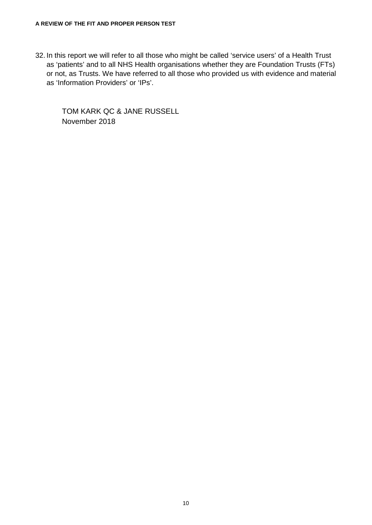32. In this report we will refer to all those who might be called 'service users' of a Health Trust as 'patients' and to all NHS Health organisations whether they are Foundation Trusts (FTs) or not, as Trusts. We have referred to all those who provided us with evidence and material as 'Information Providers' or 'IPs'.

TOM KARK QC & JANE RUSSELL November 2018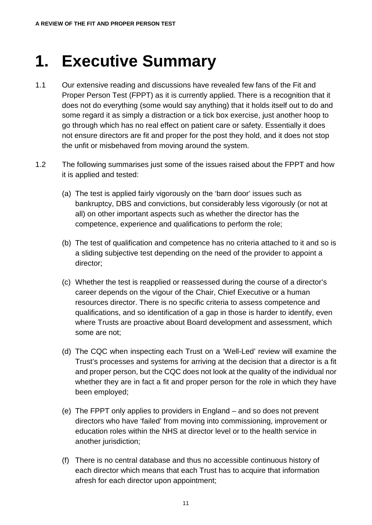# <span id="page-16-0"></span>**1. Executive Summary**

- 1.1 Our extensive reading and discussions have revealed few fans of the Fit and Proper Person Test (FPPT) as it is currently applied. There is a recognition that it does not do everything (some would say anything) that it holds itself out to do and some regard it as simply a distraction or a tick box exercise, just another hoop to go through which has no real effect on patient care or safety. Essentially it does not ensure directors are fit and proper for the post they hold, and it does not stop the unfit or misbehaved from moving around the system.
- 1.2 The following summarises just some of the issues raised about the FPPT and how it is applied and tested:
	- (a) The test is applied fairly vigorously on the 'barn door' issues such as bankruptcy, DBS and convictions, but considerably less vigorously (or not at all) on other important aspects such as whether the director has the competence, experience and qualifications to perform the role;
	- (b) The test of qualification and competence has no criteria attached to it and so is a sliding subjective test depending on the need of the provider to appoint a director;
	- (c) Whether the test is reapplied or reassessed during the course of a director's career depends on the vigour of the Chair, Chief Executive or a human resources director. There is no specific criteria to assess competence and qualifications, and so identification of a gap in those is harder to identify, even where Trusts are proactive about Board development and assessment, which some are not;
	- (d) The CQC when inspecting each Trust on a 'Well-Led' review will examine the Trust's processes and systems for arriving at the decision that a director is a fit and proper person, but the CQC does not look at the quality of the individual nor whether they are in fact a fit and proper person for the role in which they have been employed;
	- (e) The FPPT only applies to providers in England and so does not prevent directors who have 'failed' from moving into commissioning, improvement or education roles within the NHS at director level or to the health service in another jurisdiction:
	- (f) There is no central database and thus no accessible continuous history of each director which means that each Trust has to acquire that information afresh for each director upon appointment;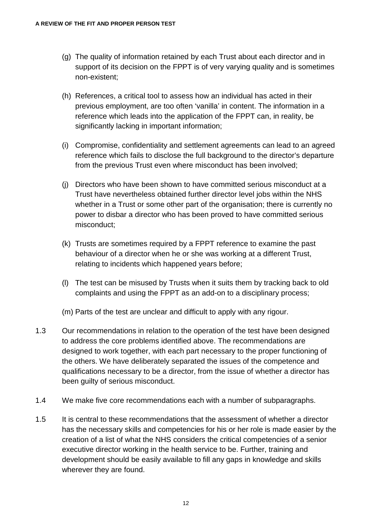- (g) The quality of information retained by each Trust about each director and in support of its decision on the FPPT is of very varying quality and is sometimes non-existent;
- (h) References, a critical tool to assess how an individual has acted in their previous employment, are too often 'vanilla' in content. The information in a reference which leads into the application of the FPPT can, in reality, be significantly lacking in important information;
- (i) Compromise, confidentiality and settlement agreements can lead to an agreed reference which fails to disclose the full background to the director's departure from the previous Trust even where misconduct has been involved;
- (j) Directors who have been shown to have committed serious misconduct at a Trust have nevertheless obtained further director level jobs within the NHS whether in a Trust or some other part of the organisation; there is currently no power to disbar a director who has been proved to have committed serious misconduct;
- (k) Trusts are sometimes required by a FPPT reference to examine the past behaviour of a director when he or she was working at a different Trust, relating to incidents which happened years before;
- (l) The test can be misused by Trusts when it suits them by tracking back to old complaints and using the FPPT as an add-on to a disciplinary process;
- (m) Parts of the test are unclear and difficult to apply with any rigour.
- 1.3 Our recommendations in relation to the operation of the test have been designed to address the core problems identified above. The recommendations are designed to work together, with each part necessary to the proper functioning of the others. We have deliberately separated the issues of the competence and qualifications necessary to be a director, from the issue of whether a director has been guilty of serious misconduct.
- 1.4 We make five core recommendations each with a number of subparagraphs.
- 1.5 It is central to these recommendations that the assessment of whether a director has the necessary skills and competencies for his or her role is made easier by the creation of a list of what the NHS considers the critical competencies of a senior executive director working in the health service to be. Further, training and development should be easily available to fill any gaps in knowledge and skills wherever they are found.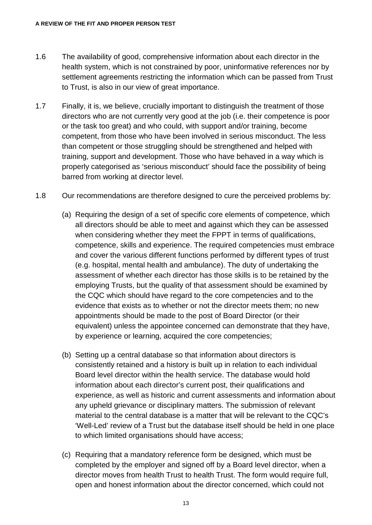- 1.6 The availability of good, comprehensive information about each director in the health system, which is not constrained by poor, uninformative references nor by settlement agreements restricting the information which can be passed from Trust to Trust, is also in our view of great importance.
- 1.7 Finally, it is, we believe, crucially important to distinguish the treatment of those directors who are not currently very good at the job (i.e. their competence is poor or the task too great) and who could, with support and/or training, become competent, from those who have been involved in serious misconduct. The less than competent or those struggling should be strengthened and helped with training, support and development. Those who have behaved in a way which is properly categorised as 'serious misconduct' should face the possibility of being barred from working at director level.
- 1.8 Our recommendations are therefore designed to cure the perceived problems by:
	- (a) Requiring the design of a set of specific core elements of competence, which all directors should be able to meet and against which they can be assessed when considering whether they meet the FPPT in terms of qualifications, competence, skills and experience. The required competencies must embrace and cover the various different functions performed by different types of trust (e.g. hospital, mental health and ambulance). The duty of undertaking the assessment of whether each director has those skills is to be retained by the employing Trusts, but the quality of that assessment should be examined by the CQC which should have regard to the core competencies and to the evidence that exists as to whether or not the director meets them; no new appointments should be made to the post of Board Director (or their equivalent) unless the appointee concerned can demonstrate that they have, by experience or learning, acquired the core competencies;
	- (b) Setting up a central database so that information about directors is consistently retained and a history is built up in relation to each individual Board level director within the health service. The database would hold information about each director's current post, their qualifications and experience, as well as historic and current assessments and information about any upheld grievance or disciplinary matters. The submission of relevant material to the central database is a matter that will be relevant to the CQC's 'Well-Led' review of a Trust but the database itself should be held in one place to which limited organisations should have access;
	- (c) Requiring that a mandatory reference form be designed, which must be completed by the employer and signed off by a Board level director, when a director moves from health Trust to health Trust. The form would require full, open and honest information about the director concerned, which could not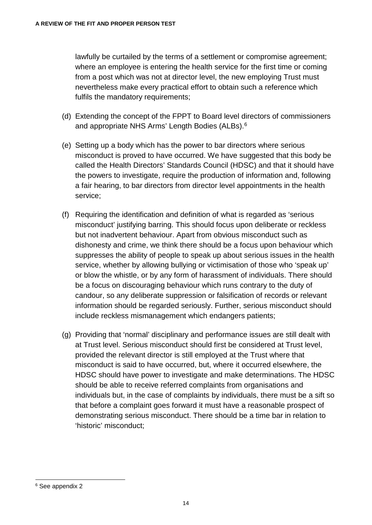lawfully be curtailed by the terms of a settlement or compromise agreement; where an employee is entering the health service for the first time or coming from a post which was not at director level, the new employing Trust must nevertheless make every practical effort to obtain such a reference which fulfils the mandatory requirements;

- (d) Extending the concept of the FPPT to Board level directors of commissioners and appropriate NHS Arms' Length Bodies (ALBs). [6](#page-19-0)
- (e) Setting up a body which has the power to bar directors where serious misconduct is proved to have occurred. We have suggested that this body be called the Health Directors' Standards Council (HDSC) and that it should have the powers to investigate, require the production of information and, following a fair hearing, to bar directors from director level appointments in the health service;
- (f) Requiring the identification and definition of what is regarded as 'serious misconduct' justifying barring. This should focus upon deliberate or reckless but not inadvertent behaviour. Apart from obvious misconduct such as dishonesty and crime, we think there should be a focus upon behaviour which suppresses the ability of people to speak up about serious issues in the health service, whether by allowing bullying or victimisation of those who 'speak up' or blow the whistle, or by any form of harassment of individuals. There should be a focus on discouraging behaviour which runs contrary to the duty of candour, so any deliberate suppression or falsification of records or relevant information should be regarded seriously. Further, serious misconduct should include reckless mismanagement which endangers patients;
- (g) Providing that 'normal' disciplinary and performance issues are still dealt with at Trust level. Serious misconduct should first be considered at Trust level, provided the relevant director is still employed at the Trust where that misconduct is said to have occurred, but, where it occurred elsewhere, the HDSC should have power to investigate and make determinations. The HDSC should be able to receive referred complaints from organisations and individuals but, in the case of complaints by individuals, there must be a sift so that before a complaint goes forward it must have a reasonable prospect of demonstrating serious misconduct. There should be a time bar in relation to 'historic' misconduct;

<span id="page-19-0"></span> <sup>6</sup> See appendix 2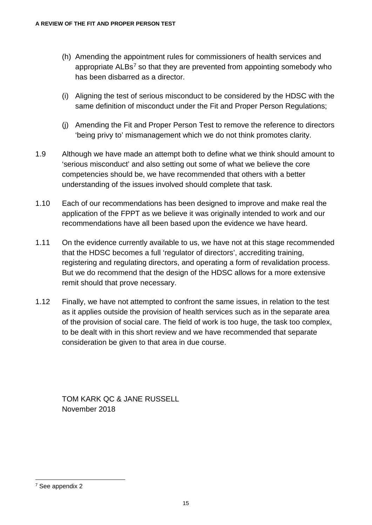- (h) Amending the appointment rules for commissioners of health services and appropriate  $ALBs<sup>7</sup>$  $ALBs<sup>7</sup>$  $ALBs<sup>7</sup>$  so that they are prevented from appointing somebody who has been disbarred as a director.
- (i) Aligning the test of serious misconduct to be considered by the HDSC with the same definition of misconduct under the Fit and Proper Person Regulations;
- (j) Amending the Fit and Proper Person Test to remove the reference to directors 'being privy to' mismanagement which we do not think promotes clarity.
- 1.9 Although we have made an attempt both to define what we think should amount to 'serious misconduct' and also setting out some of what we believe the core competencies should be, we have recommended that others with a better understanding of the issues involved should complete that task.
- 1.10 Each of our recommendations has been designed to improve and make real the application of the FPPT as we believe it was originally intended to work and our recommendations have all been based upon the evidence we have heard.
- 1.11 On the evidence currently available to us, we have not at this stage recommended that the HDSC becomes a full 'regulator of directors', accrediting training, registering and regulating directors, and operating a form of revalidation process. But we do recommend that the design of the HDSC allows for a more extensive remit should that prove necessary.
- 1.12 Finally, we have not attempted to confront the same issues, in relation to the test as it applies outside the provision of health services such as in the separate area of the provision of social care. The field of work is too huge, the task too complex, to be dealt with in this short review and we have recommended that separate consideration be given to that area in due course.

TOM KARK QC & JANE RUSSELL November 2018

<span id="page-20-0"></span> <sup>7</sup> See appendix 2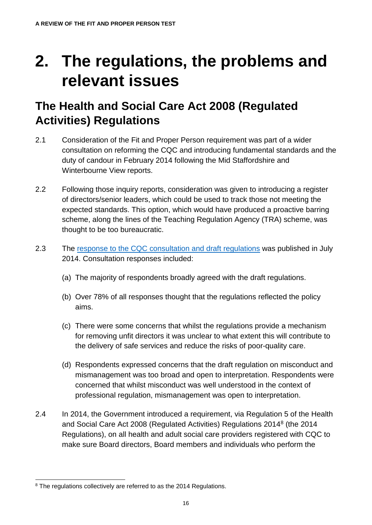# <span id="page-21-0"></span>**2. The regulations, the problems and relevant issues**

### <span id="page-21-1"></span>**The Health and Social Care Act 2008 (Regulated Activities) Regulations**

- 2.1 Consideration of the Fit and Proper Person requirement was part of a wider consultation on reforming the CQC and introducing fundamental standards and the duty of candour in February 2014 following the Mid Staffordshire and Winterbourne View reports.
- 2.2 Following those inquiry reports, consideration was given to introducing a register of directors/senior leaders, which could be used to track those not meeting the expected standards. This option, which would have produced a proactive barring scheme, along the lines of the Teaching Regulation Agency (TRA) scheme, was thought to be too bureaucratic.
- 2.3 The [response to the CQC consultation and draft regulations](https://www.gov.uk/government/uploads/system/uploads/attachment_data/file/327561/Consultation_response.pdf) was published in July 2014. Consultation responses included:
	- (a) The majority of respondents broadly agreed with the draft regulations.
	- (b) Over 78% of all responses thought that the regulations reflected the policy aims.
	- (c) There were some concerns that whilst the regulations provide a mechanism for removing unfit directors it was unclear to what extent this will contribute to the delivery of safe services and reduce the risks of poor-quality care.
	- (d) Respondents expressed concerns that the draft regulation on misconduct and mismanagement was too broad and open to interpretation. Respondents were concerned that whilst misconduct was well understood in the context of professional regulation, mismanagement was open to interpretation.
- 2.4 In 2014, the Government introduced a requirement, via Regulation 5 of the Health and Social Care Act 200[8](#page-21-2) (Regulated Activities) Regulations 2014<sup>8</sup> (the 2014 Regulations), on all health and adult social care providers registered with CQC to make sure Board directors, Board members and individuals who perform the

<span id="page-21-2"></span><sup>&</sup>lt;sup>8</sup> The regulations collectively are referred to as the 2014 Regulations.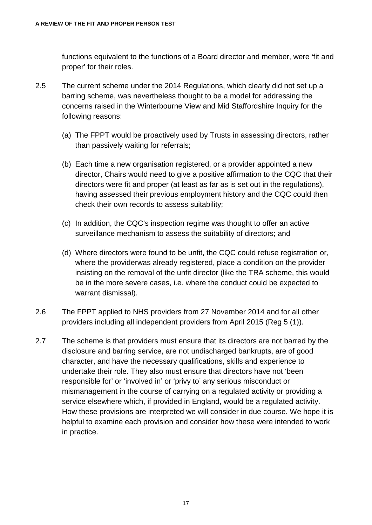functions equivalent to the functions of a Board director and member, were 'fit and proper' for their roles.

- 2.5 The current scheme under the 2014 Regulations, which clearly did not set up a barring scheme, was nevertheless thought to be a model for addressing the concerns raised in the Winterbourne View and Mid Staffordshire Inquiry for the following reasons:
	- (a) The FPPT would be proactively used by Trusts in assessing directors, rather than passively waiting for referrals;
	- (b) Each time a new organisation registered, or a provider appointed a new director, Chairs would need to give a positive affirmation to the CQC that their directors were fit and proper (at least as far as is set out in the regulations), having assessed their previous employment history and the CQC could then check their own records to assess suitability;
	- (c) In addition, the CQC's inspection regime was thought to offer an active surveillance mechanism to assess the suitability of directors; and
	- (d) Where directors were found to be unfit, the CQC could refuse registration or, where the providerwas already registered, place a condition on the provider insisting on the removal of the unfit director (like the TRA scheme, this would be in the more severe cases, i.e. where the conduct could be expected to warrant dismissal).
- 2.6 The FPPT applied to NHS providers from 27 November 2014 and for all other providers including all independent providers from April 2015 (Reg 5 (1)).
- 2.7 The scheme is that providers must ensure that its directors are not barred by the disclosure and barring service, are not undischarged bankrupts, are of good character, and have the necessary qualifications, skills and experience to undertake their role. They also must ensure that directors have not 'been responsible for' or 'involved in' or 'privy to' any serious misconduct or mismanagement in the course of carrying on a regulated activity or providing a service elsewhere which, if provided in England, would be a regulated activity. How these provisions are interpreted we will consider in due course. We hope it is helpful to examine each provision and consider how these were intended to work in practice.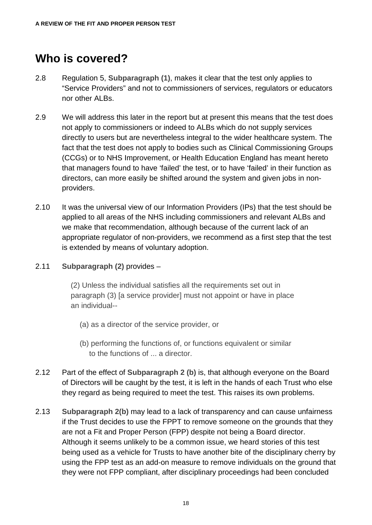### <span id="page-23-0"></span>**Who is covered?**

- 2.8 Regulation 5, **Subparagraph (1)**, makes it clear that the test only applies to "Service Providers" and not to commissioners of services, regulators or educators nor other ALBs.
- 2.9 We will address this later in the report but at present this means that the test does not apply to commissioners or indeed to ALBs which do not supply services directly to users but are nevertheless integral to the wider healthcare system. The fact that the test does not apply to bodies such as Clinical Commissioning Groups (CCGs) or to NHS Improvement, or Health Education England has meant hereto that managers found to have 'failed' the test, or to have 'failed' in their function as directors, can more easily be shifted around the system and given jobs in nonproviders.
- 2.10 It was the universal view of our Information Providers (IPs) that the test should be applied to all areas of the NHS including commissioners and relevant ALBs and we make that recommendation, although because of the current lack of an appropriate regulator of non-providers, we recommend as a first step that the test is extended by means of voluntary adoption.
- 2.11 **Subparagraph (2)** provides –

(2) Unless the individual satisfies all the requirements set out in paragraph (3) [a service provider] must not appoint or have in place an individual--

- (a) as a director of the service provider, or
- (b) performing the functions of, or functions equivalent or similar to the functions of ... a director.
- 2.12 Part of the effect of **Subparagraph 2 (b)** is, that although everyone on the Board of Directors will be caught by the test, it is left in the hands of each Trust who else they regard as being required to meet the test. This raises its own problems.
- 2.13 **Subparagraph 2(b)** may lead to a lack of transparency and can cause unfairness if the Trust decides to use the FPPT to remove someone on the grounds that they are not a Fit and Proper Person (FPP) despite not being a Board director. Although it seems unlikely to be a common issue, we heard stories of this test being used as a vehicle for Trusts to have another bite of the disciplinary cherry by using the FPP test as an add-on measure to remove individuals on the ground that they were not FPP compliant, after disciplinary proceedings had been concluded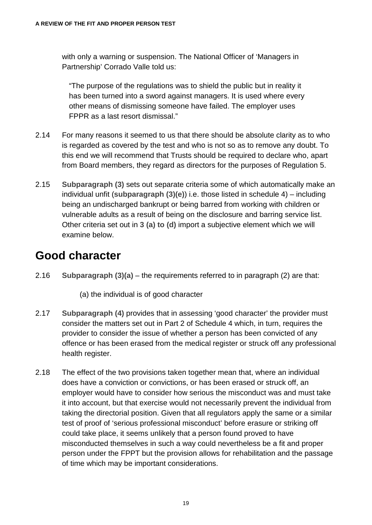with only a warning or suspension. The National Officer of 'Managers in Partnership' Corrado Valle told us:

"The purpose of the regulations was to shield the public but in reality it has been turned into a sword against managers. It is used where every other means of dismissing someone have failed. The employer uses FPPR as a last resort dismissal."

- 2.14 For many reasons it seemed to us that there should be absolute clarity as to who is regarded as covered by the test and who is not so as to remove any doubt. To this end we will recommend that Trusts should be required to declare who, apart from Board members, they regard as directors for the purposes of Regulation 5.
- 2.15 **Subparagraph (3)** sets out separate criteria some of which automatically make an individual unfit (**subparagraph (3)(e)**) i.e. those listed in schedule 4) – including being an undischarged bankrupt or being barred from working with children or vulnerable adults as a result of being on the disclosure and barring service list. Other criteria set out in **3 (a) to (d)** import a subjective element which we will examine below.

### <span id="page-24-0"></span>**Good character**

2.16 **Subparagraph (3)(a)** – the requirements referred to in paragraph (2) are that:

(a) the individual is of good character

- 2.17 **Subparagraph (4)** provides that in assessing 'good character' the provider must consider the matters set out in Part 2 of Schedule 4 which, in turn, requires the provider to consider the issue of whether a person has been convicted of any offence or has been erased from the medical register or struck off any professional health register.
- 2.18 The effect of the two provisions taken together mean that, where an individual does have a conviction or convictions, or has been erased or struck off, an employer would have to consider how serious the misconduct was and must take it into account, but that exercise would not necessarily prevent the individual from taking the directorial position. Given that all regulators apply the same or a similar test of proof of 'serious professional misconduct' before erasure or striking off could take place, it seems unlikely that a person found proved to have misconducted themselves in such a way could nevertheless be a fit and proper person under the FPPT but the provision allows for rehabilitation and the passage of time which may be important considerations.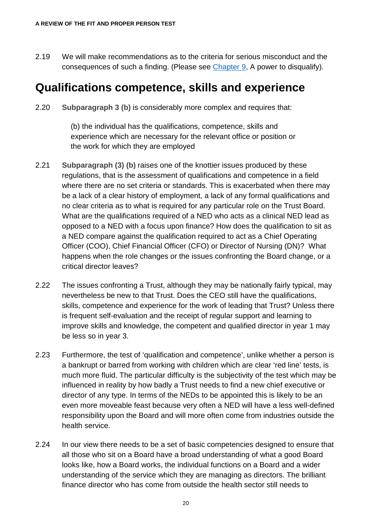2.19 We will make recommendations as to the criteria for serious misconduct and the consequences of such a finding. (Please see [Chapter 9,](#page-103-1) A power to disqualify).

#### <span id="page-25-0"></span>**Qualifications competence, skills and experience**

2.20 **Subparagraph 3 (b)** is considerably more complex and requires that:

(b) the individual has the qualifications, competence, skills and experience which are necessary for the relevant office or position or the work for which they are employed

- 2.21 **Subparagraph (3) (b)** raises one of the knottier issues produced by these regulations, that is the assessment of qualifications and competence in a field where there are no set criteria or standards. This is exacerbated when there may be a lack of a clear history of employment, a lack of any formal qualifications and no clear criteria as to what is required for any particular role on the Trust Board. What are the qualifications required of a NED who acts as a clinical NED lead as opposed to a NED with a focus upon finance? How does the qualification to sit as a NED compare against the qualification required to act as a Chief Operating Officer (COO), Chief Financial Officer (CFO) or Director of Nursing (DN)? What happens when the role changes or the issues confronting the Board change, or a critical director leaves?
- 2.22 The issues confronting a Trust, although they may be nationally fairly typical, may nevertheless be new to that Trust. Does the CEO still have the qualifications, skills, competence and experience for the work of leading that Trust? Unless there is frequent self-evaluation and the receipt of regular support and learning to improve skills and knowledge, the competent and qualified director in year 1 may be less so in year 3.
- 2.23 Furthermore, the test of 'qualification and competence', unlike whether a person is a bankrupt or barred from working with children which are clear 'red line' tests, is much more fluid. The particular difficulty is the subjectivity of the test which may be influenced in reality by how badly a Trust needs to find a new chief executive or director of any type. In terms of the NEDs to be appointed this is likely to be an even more moveable feast because very often a NED will have a less well-defined responsibility upon the Board and will more often come from industries outside the health service.
- 2.24 In our view there needs to be a set of basic competencies designed to ensure that all those who sit on a Board have a broad understanding of what a good Board looks like, how a Board works, the individual functions on a Board and a wider understanding of the service which they are managing as directors. The brilliant finance director who has come from outside the health sector still needs to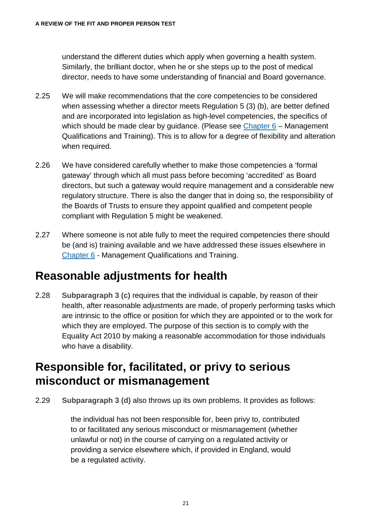understand the different duties which apply when governing a health system. Similarly, the brilliant doctor, when he or she steps up to the post of medical director, needs to have some understanding of financial and Board governance.

- 2.25 We will make recommendations that the core competencies to be considered when assessing whether a director meets Regulation 5 (3) (b), are better defined and are incorporated into legislation as high-level competencies, the specifics of which should be made clear by guidance. (Please see Chapter  $6 -$  Management Qualifications and Training). This is to allow for a degree of flexibility and alteration when required.
- 2.26 We have considered carefully whether to make those competencies a 'formal gateway' through which all must pass before becoming 'accredited' as Board directors, but such a gateway would require management and a considerable new regulatory structure. There is also the danger that in doing so, the responsibility of the Boards of Trusts to ensure they appoint qualified and competent people compliant with Regulation 5 might be weakened.
- 2.27 Where someone is not able fully to meet the required competencies there should be (and is) training available and we have addressed these issues elsewhere in [Chapter 6](#page-77-1) - Management Qualifications and Training.

#### <span id="page-26-0"></span>**Reasonable adjustments for health**

2.28 **Subparagraph 3 (c)** requires that the individual is capable, by reason of their health, after reasonable adjustments are made, of properly performing tasks which are intrinsic to the office or position for which they are appointed or to the work for which they are employed. The purpose of this section is to comply with the Equality Act 2010 by making a reasonable accommodation for those individuals who have a disability.

#### <span id="page-26-1"></span>**Responsible for, facilitated, or privy to serious misconduct or mismanagement**

2.29 **Subparagraph 3 (d)** also throws up its own problems. It provides as follows:

the individual has not been responsible for, been privy to, contributed to or facilitated any serious misconduct or mismanagement (whether unlawful or not) in the course of carrying on a regulated activity or providing a service elsewhere which, if provided in England, would be a regulated activity.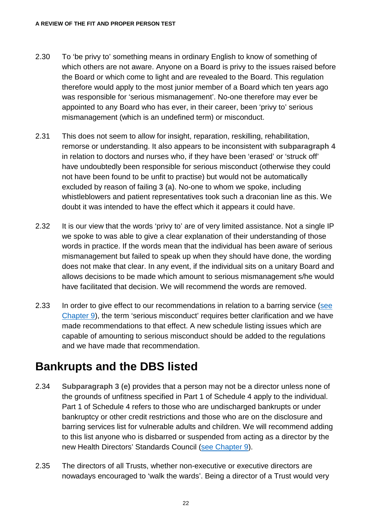- 2.30 To 'be privy to' something means in ordinary English to know of something of which others are not aware. Anyone on a Board is privy to the issues raised before the Board or which come to light and are revealed to the Board. This regulation therefore would apply to the most junior member of a Board which ten years ago was responsible for 'serious mismanagement'. No-one therefore may ever be appointed to any Board who has ever, in their career, been 'privy to' serious mismanagement (which is an undefined term) or misconduct.
- 2.31 This does not seem to allow for insight, reparation, reskilling, rehabilitation, remorse or understanding. It also appears to be inconsistent with **subparagraph 4** in relation to doctors and nurses who, if they have been 'erased' or 'struck off' have undoubtedly been responsible for serious misconduct (otherwise they could not have been found to be unfit to practise) but would not be automatically excluded by reason of failing **3 (a)**. No-one to whom we spoke, including whistleblowers and patient representatives took such a draconian line as this. We doubt it was intended to have the effect which it appears it could have.
- 2.32 It is our view that the words 'privy to' are of very limited assistance. Not a single IP we spoke to was able to give a clear explanation of their understanding of those words in practice. If the words mean that the individual has been aware of serious mismanagement but failed to speak up when they should have done, the wording does not make that clear. In any event, if the individual sits on a unitary Board and allows decisions to be made which amount to serious mismanagement s/he would have facilitated that decision. We will recommend the words are removed.
- 2.33 In order to give effect to our recommendations in relation to a barring service [\(see](#page-103-1)  [Chapter 9\)](#page-103-1), the term 'serious misconduct' requires better clarification and we have made recommendations to that effect. A new schedule listing issues which are capable of amounting to serious misconduct should be added to the regulations and we have made that recommendation.

#### <span id="page-27-0"></span>**Bankrupts and the DBS listed**

- 2.34 **Subparagraph 3 (e)** provides that a person may not be a director unless none of the grounds of unfitness specified in Part 1 of Schedule 4 apply to the individual. Part 1 of Schedule 4 refers to those who are undischarged bankrupts or under bankruptcy or other credit restrictions and those who are on the disclosure and barring services list for vulnerable adults and children. We will recommend adding to this list anyone who is disbarred or suspended from acting as a director by the new Health Directors' Standards Council [\(see Chapter 9\)](#page-103-1).
- 2.35 The directors of all Trusts, whether non-executive or executive directors are nowadays encouraged to 'walk the wards'. Being a director of a Trust would very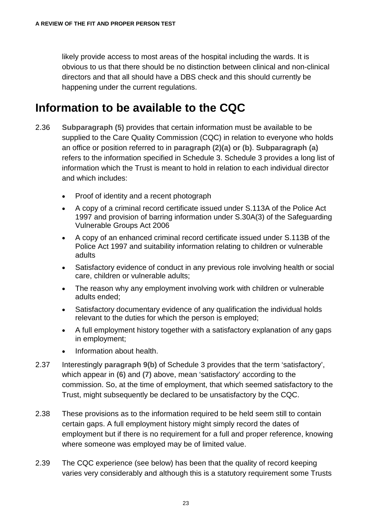likely provide access to most areas of the hospital including the wards. It is obvious to us that there should be no distinction between clinical and non-clinical directors and that all should have a DBS check and this should currently be happening under the current regulations.

### <span id="page-28-0"></span>**Information to be available to the CQC**

- 2.36 **Subparagraph (5)** provides that certain information must be available to be supplied to the Care Quality Commission (CQC) in relation to everyone who holds an office or position referred to in **paragraph (2)(a) or (b)**. **Subparagraph (a)** refers to the information specified in Schedule 3. Schedule 3 provides a long list of information which the Trust is meant to hold in relation to each individual director and which includes:
	- Proof of identity and a recent photograph
	- A copy of a criminal record certificate issued under S.113A of the Police Act 1997 and provision of barring information under S.30A(3) of the Safeguarding Vulnerable Groups Act 2006
	- A copy of an enhanced criminal record certificate issued under S.113B of the Police Act 1997 and suitability information relating to children or vulnerable adults
	- Satisfactory evidence of conduct in any previous role involving health or social care, children or vulnerable adults;
	- The reason why any employment involving work with children or vulnerable adults ended;
	- Satisfactory documentary evidence of any qualification the individual holds relevant to the duties for which the person is employed;
	- A full employment history together with a satisfactory explanation of any gaps in employment;
	- Information about health.
- 2.37 Interestingly **paragraph 9(b)** of Schedule 3 provides that the term 'satisfactory', which appear in **(6)** and **(7)** above, mean 'satisfactory' according to the commission. So, at the time of employment, that which seemed satisfactory to the Trust, might subsequently be declared to be unsatisfactory by the CQC.
- 2.38 These provisions as to the information required to be held seem still to contain certain gaps. A full employment history might simply record the dates of employment but if there is no requirement for a full and proper reference, knowing where someone was employed may be of limited value.
- 2.39 The CQC experience (see below) has been that the quality of record keeping varies very considerably and although this is a statutory requirement some Trusts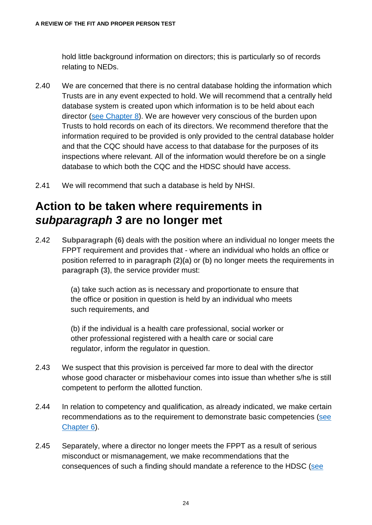hold little background information on directors; this is particularly so of records relating to NEDs.

- 2.40 We are concerned that there is no central database holding the information which Trusts are in any event expected to hold. We will recommend that a centrally held database system is created upon which information is to be held about each director [\(see Chapter 8\)](#page-93-1). We are however very conscious of the burden upon Trusts to hold records on each of its directors. We recommend therefore that the information required to be provided is only provided to the central database holder and that the CQC should have access to that database for the purposes of its inspections where relevant. All of the information would therefore be on a single database to which both the CQC and the HDSC should have access.
- 2.41 We will recommend that such a database is held by NHSI.

### <span id="page-29-0"></span>**Action to be taken where requirements in**  *subparagraph 3* **are no longer met**

2.42 **Subparagraph (6)** deals with the position where an individual no longer meets the FPPT requirement and provides that - where an individual who holds an office or position referred to in **paragraph (2)(a)** or **(b)** no longer meets the requirements in **paragraph (3)**, the service provider must:

> (a) take such action as is necessary and proportionate to ensure that the office or position in question is held by an individual who meets such requirements, and

(b) if the individual is a health care professional, social worker or other professional registered with a health care or social care regulator, inform the regulator in question.

- 2.43 We suspect that this provision is perceived far more to deal with the director whose good character or misbehaviour comes into issue than whether s/he is still competent to perform the allotted function.
- 2.44 In relation to competency and qualification, as already indicated, we make certain recommendations as to the requirement to demonstrate basic competencies [\(see](#page-77-1)  [Chapter 6\)](#page-77-1).
- 2.45 Separately, where a director no longer meets the FPPT as a result of serious misconduct or mismanagement, we make recommendations that the consequences of such a finding should mandate a reference to the HDSC [\(see](#page-103-1)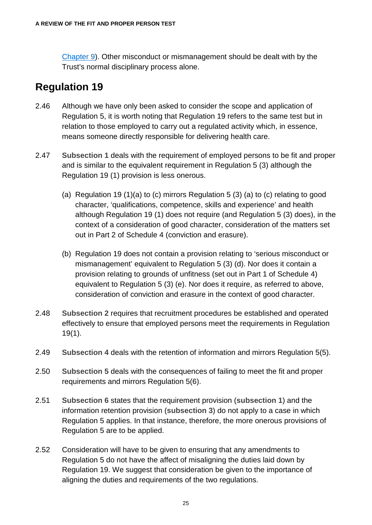[Chapter 9\)](#page-103-1). Other misconduct or mismanagement should be dealt with by the Trust's normal disciplinary process alone.

#### **Regulation 19**

- 2.46 Although we have only been asked to consider the scope and application of Regulation 5, it is worth noting that Regulation 19 refers to the same test but in relation to those employed to carry out a regulated activity which, in essence, means someone directly responsible for delivering health care.
- 2.47 **Subsection 1** deals with the requirement of employed persons to be fit and proper and is similar to the equivalent requirement in Regulation 5 (3) although the Regulation 19 (1) provision is less onerous.
	- (a) Regulation 19 (1)(a) to (c) mirrors Regulation 5 (3) (a) to (c) relating to good character, 'qualifications, competence, skills and experience' and health although Regulation 19 (1) does not require (and Regulation 5 (3) does), in the context of a consideration of good character, consideration of the matters set out in Part 2 of Schedule 4 (conviction and erasure).
	- (b) Regulation 19 does not contain a provision relating to 'serious misconduct or mismanagement' equivalent to Regulation 5 (3) (d). Nor does it contain a provision relating to grounds of unfitness (set out in Part 1 of Schedule 4) equivalent to Regulation 5 (3) (e). Nor does it require, as referred to above, consideration of conviction and erasure in the context of good character.
- 2.48 **Subsection 2** requires that recruitment procedures be established and operated effectively to ensure that employed persons meet the requirements in Regulation 19(1).
- 2.49 **Subsection 4** deals with the retention of information and mirrors Regulation 5(5).
- 2.50 **Subsection 5** deals with the consequences of failing to meet the fit and proper requirements and mirrors Regulation 5(6).
- 2.51 **Subsection 6** states that the requirement provision (**subsection 1**) and the information retention provision (**subsection 3**) do not apply to a case in which Regulation 5 applies. In that instance, therefore, the more onerous provisions of Regulation 5 are to be applied.
- 2.52 Consideration will have to be given to ensuring that any amendments to Regulation 5 do not have the affect of misaligning the duties laid down by Regulation 19. We suggest that consideration be given to the importance of aligning the duties and requirements of the two regulations.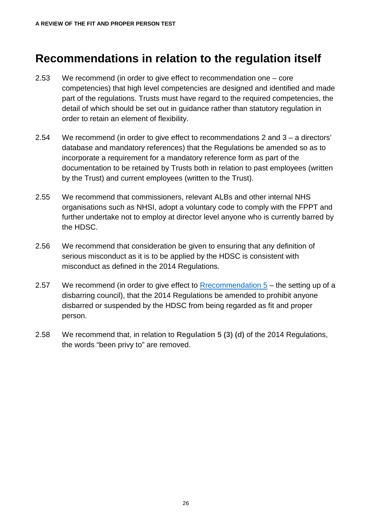### <span id="page-31-0"></span>**Recommendations in relation to the regulation itself**

- 2.53 We recommend (in order to give effect to recommendation one core competencies) that high level competencies are designed and identified and made part of the regulations. Trusts must have regard to the required competencies, the detail of which should be set out in guidance rather than statutory regulation in order to retain an element of flexibility.
- 2.54 We recommend (in order to give effect to recommendations 2 and 3 a directors' database and mandatory references) that the Regulations be amended so as to incorporate a requirement for a mandatory reference form as part of the documentation to be retained by Trusts both in relation to past employees (written by the Trust) and current employees (written to the Trust).
- 2.55 We recommend that commissioners, relevant ALBs and other internal NHS organisations such as NHSI, adopt a voluntary code to comply with the FPPT and further undertake not to employ at director level anyone who is currently barred by the HDSC.
- 2.56 We recommend that consideration be given to ensuring that any definition of serious misconduct as it is to be applied by the HDSC is consistent with misconduct as defined in the 2014 Regulations.
- 2.57 We recommend (in order to give effect to Rrecommendation  $5 -$  the setting up of a disbarring council), that the 2014 Regulations be amended to prohibit anyone disbarred or suspended by the HDSC from being regarded as fit and proper person.
- 2.58 We recommend that, in relation to **Regulation 5 (3) (d)** of the 2014 Regulations, the words "been privy to" are removed.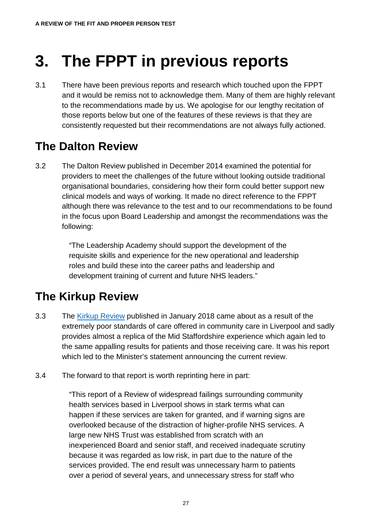# <span id="page-32-0"></span>**3. The FPPT in previous reports**

3.1 There have been previous reports and research which touched upon the FPPT and it would be remiss not to acknowledge them. Many of them are highly relevant to the recommendations made by us. We apologise for our lengthy recitation of those reports below but one of the features of these reviews is that they are consistently requested but their recommendations are not always fully actioned.

### <span id="page-32-1"></span>**The Dalton Review**

3.2 The Dalton Review published in December 2014 examined the potential for providers to meet the challenges of the future without looking outside traditional organisational boundaries, considering how their form could better support new clinical models and ways of working. It made no direct reference to the FPPT although there was relevance to the test and to our recommendations to be found in the focus upon Board Leadership and amongst the recommendations was the following:

> "The Leadership Academy should support the development of the requisite skills and experience for the new operational and leadership roles and build these into the career paths and leadership and development training of current and future NHS leaders."

### <span id="page-32-2"></span>**The Kirkup Review**

- 3.3 The [Kirkup Review](https://improvement.nhs.uk/news-alerts/independent-review-liverpool-community-health-nhs-trust-published/) published in January 2018 came about as a result of the extremely poor standards of care offered in community care in Liverpool and sadly provides almost a replica of the Mid Staffordshire experience which again led to the same appalling results for patients and those receiving care. It was his report which led to the Minister's statement announcing the current review.
- 3.4 The forward to that report is worth reprinting here in part:

"This report of a Review of widespread failings surrounding community health services based in Liverpool shows in stark terms what can happen if these services are taken for granted, and if warning signs are overlooked because of the distraction of higher-profile NHS services. A large new NHS Trust was established from scratch with an inexperienced Board and senior staff, and received inadequate scrutiny because it was regarded as low risk, in part due to the nature of the services provided. The end result was unnecessary harm to patients over a period of several years, and unnecessary stress for staff who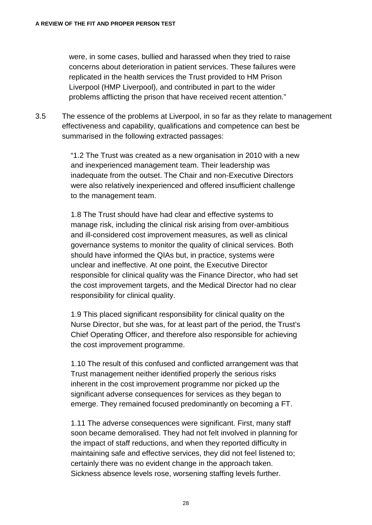were, in some cases, bullied and harassed when they tried to raise concerns about deterioration in patient services. These failures were replicated in the health services the Trust provided to HM Prison Liverpool (HMP Liverpool), and contributed in part to the wider problems afflicting the prison that have received recent attention."

3.5 The essence of the problems at Liverpool, in so far as they relate to management effectiveness and capability, qualifications and competence can best be summarised in the following extracted passages:

> "1.2 The Trust was created as a new organisation in 2010 with a new and inexperienced management team. Their leadership was inadequate from the outset. The Chair and non-Executive Directors were also relatively inexperienced and offered insufficient challenge to the management team.

> 1.8 The Trust should have had clear and effective systems to manage risk, including the clinical risk arising from over-ambitious and ill-considered cost improvement measures, as well as clinical governance systems to monitor the quality of clinical services. Both should have informed the QIAs but, in practice, systems were unclear and ineffective. At one point, the Executive Director responsible for clinical quality was the Finance Director, who had set the cost improvement targets, and the Medical Director had no clear responsibility for clinical quality.

1.9 This placed significant responsibility for clinical quality on the Nurse Director, but she was, for at least part of the period, the Trust's Chief Operating Officer, and therefore also responsible for achieving the cost improvement programme.

1.10 The result of this confused and conflicted arrangement was that Trust management neither identified properly the serious risks inherent in the cost improvement programme nor picked up the significant adverse consequences for services as they began to emerge. They remained focused predominantly on becoming a FT.

1.11 The adverse consequences were significant. First, many staff soon became demoralised. They had not felt involved in planning for the impact of staff reductions, and when they reported difficulty in maintaining safe and effective services, they did not feel listened to; certainly there was no evident change in the approach taken. Sickness absence levels rose, worsening staffing levels further.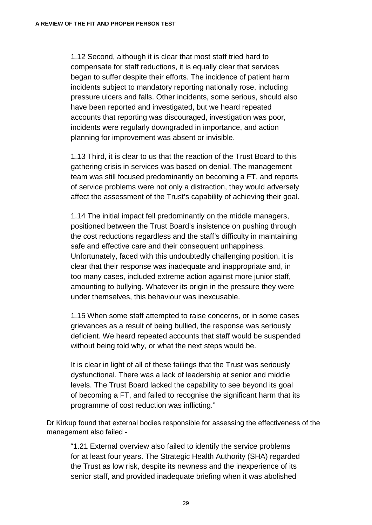1.12 Second, although it is clear that most staff tried hard to compensate for staff reductions, it is equally clear that services began to suffer despite their efforts. The incidence of patient harm incidents subject to mandatory reporting nationally rose, including pressure ulcers and falls. Other incidents, some serious, should also have been reported and investigated, but we heard repeated accounts that reporting was discouraged, investigation was poor, incidents were regularly downgraded in importance, and action planning for improvement was absent or invisible.

1.13 Third, it is clear to us that the reaction of the Trust Board to this gathering crisis in services was based on denial. The management team was still focused predominantly on becoming a FT, and reports of service problems were not only a distraction, they would adversely affect the assessment of the Trust's capability of achieving their goal.

1.14 The initial impact fell predominantly on the middle managers, positioned between the Trust Board's insistence on pushing through the cost reductions regardless and the staff's difficulty in maintaining safe and effective care and their consequent unhappiness. Unfortunately, faced with this undoubtedly challenging position, it is clear that their response was inadequate and inappropriate and, in too many cases, included extreme action against more junior staff, amounting to bullying. Whatever its origin in the pressure they were under themselves, this behaviour was inexcusable.

1.15 When some staff attempted to raise concerns, or in some cases grievances as a result of being bullied, the response was seriously deficient. We heard repeated accounts that staff would be suspended without being told why, or what the next steps would be.

It is clear in light of all of these failings that the Trust was seriously dysfunctional. There was a lack of leadership at senior and middle levels. The Trust Board lacked the capability to see beyond its goal of becoming a FT, and failed to recognise the significant harm that its programme of cost reduction was inflicting."

Dr Kirkup found that external bodies responsible for assessing the effectiveness of the management also failed -

"1.21 External overview also failed to identify the service problems for at least four years. The Strategic Health Authority (SHA) regarded the Trust as low risk, despite its newness and the inexperience of its senior staff, and provided inadequate briefing when it was abolished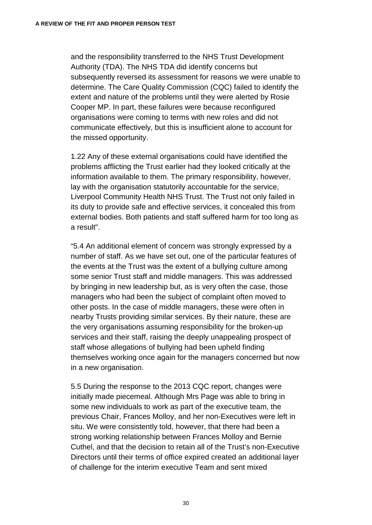and the responsibility transferred to the NHS Trust Development Authority (TDA). The NHS TDA did identify concerns but subsequently reversed its assessment for reasons we were unable to determine. The Care Quality Commission (CQC) failed to identify the extent and nature of the problems until they were alerted by Rosie Cooper MP. In part, these failures were because reconfigured organisations were coming to terms with new roles and did not communicate effectively, but this is insufficient alone to account for the missed opportunity.

1.22 Any of these external organisations could have identified the problems afflicting the Trust earlier had they looked critically at the information available to them. The primary responsibility, however, lay with the organisation statutorily accountable for the service, Liverpool Community Health NHS Trust. The Trust not only failed in its duty to provide safe and effective services, it concealed this from external bodies. Both patients and staff suffered harm for too long as a result".

"5.4 An additional element of concern was strongly expressed by a number of staff. As we have set out, one of the particular features of the events at the Trust was the extent of a bullying culture among some senior Trust staff and middle managers. This was addressed by bringing in new leadership but, as is very often the case, those managers who had been the subject of complaint often moved to other posts. In the case of middle managers, these were often in nearby Trusts providing similar services. By their nature, these are the very organisations assuming responsibility for the broken-up services and their staff, raising the deeply unappealing prospect of staff whose allegations of bullying had been upheld finding themselves working once again for the managers concerned but now in a new organisation.

5.5 During the response to the 2013 CQC report, changes were initially made piecemeal. Although Mrs Page was able to bring in some new individuals to work as part of the executive team, the previous Chair, Frances Molloy, and her non-Executives were left in situ. We were consistently told, however, that there had been a strong working relationship between Frances Molloy and Bernie Cuthel, and that the decision to retain all of the Trust's non-Executive Directors until their terms of office expired created an additional layer of challenge for the interim executive Team and sent mixed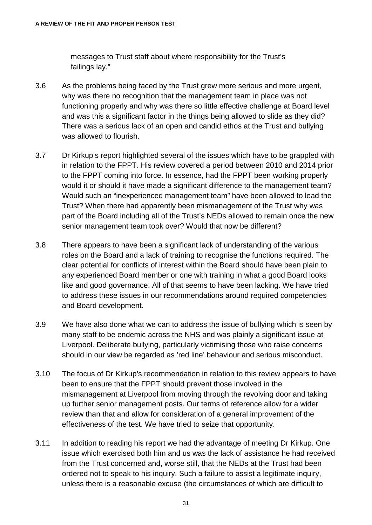messages to Trust staff about where responsibility for the Trust's failings lay."

- 3.6 As the problems being faced by the Trust grew more serious and more urgent, why was there no recognition that the management team in place was not functioning properly and why was there so little effective challenge at Board level and was this a significant factor in the things being allowed to slide as they did? There was a serious lack of an open and candid ethos at the Trust and bullying was allowed to flourish.
- 3.7 Dr Kirkup's report highlighted several of the issues which have to be grappled with in relation to the FPPT. His review covered a period between 2010 and 2014 prior to the FPPT coming into force. In essence, had the FPPT been working properly would it or should it have made a significant difference to the management team? Would such an "inexperienced management team" have been allowed to lead the Trust? When there had apparently been mismanagement of the Trust why was part of the Board including all of the Trust's NEDs allowed to remain once the new senior management team took over? Would that now be different?
- 3.8 There appears to have been a significant lack of understanding of the various roles on the Board and a lack of training to recognise the functions required. The clear potential for conflicts of interest within the Board should have been plain to any experienced Board member or one with training in what a good Board looks like and good governance. All of that seems to have been lacking. We have tried to address these issues in our recommendations around required competencies and Board development.
- 3.9 We have also done what we can to address the issue of bullying which is seen by many staff to be endemic across the NHS and was plainly a significant issue at Liverpool. Deliberate bullying, particularly victimising those who raise concerns should in our view be regarded as 'red line' behaviour and serious misconduct.
- 3.10 The focus of Dr Kirkup's recommendation in relation to this review appears to have been to ensure that the FPPT should prevent those involved in the mismanagement at Liverpool from moving through the revolving door and taking up further senior management posts. Our terms of reference allow for a wider review than that and allow for consideration of a general improvement of the effectiveness of the test. We have tried to seize that opportunity.
- 3.11 In addition to reading his report we had the advantage of meeting Dr Kirkup. One issue which exercised both him and us was the lack of assistance he had received from the Trust concerned and, worse still, that the NEDs at the Trust had been ordered not to speak to his inquiry. Such a failure to assist a legitimate inquiry, unless there is a reasonable excuse (the circumstances of which are difficult to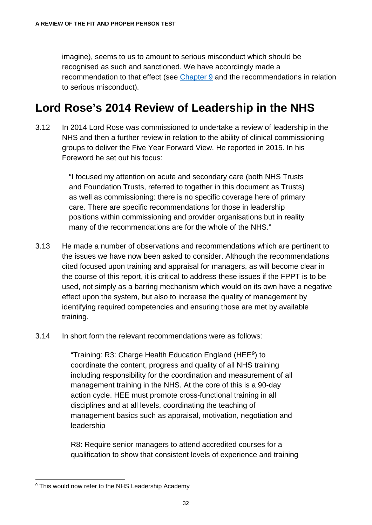imagine), seems to us to amount to serious misconduct which should be recognised as such and sanctioned. We have accordingly made a recommendation to that effect (see [Chapter 9](#page-103-0) and the recommendations in relation to serious misconduct).

### **Lord Rose's 2014 Review of Leadership in the NHS**

3.12 In 2014 Lord Rose was commissioned to undertake a review of leadership in the NHS and then a further review in relation to the ability of clinical commissioning groups to deliver the Five Year Forward View. He reported in 2015. In his Foreword he set out his focus:

> "I focused my attention on acute and secondary care (both NHS Trusts and Foundation Trusts, referred to together in this document as Trusts) as well as commissioning: there is no specific coverage here of primary care. There are specific recommendations for those in leadership positions within commissioning and provider organisations but in reality many of the recommendations are for the whole of the NHS."

- 3.13 He made a number of observations and recommendations which are pertinent to the issues we have now been asked to consider. Although the recommendations cited focused upon training and appraisal for managers, as will become clear in the course of this report, it is critical to address these issues if the FPPT is to be used, not simply as a barring mechanism which would on its own have a negative effect upon the system, but also to increase the quality of management by identifying required competencies and ensuring those are met by available training.
- 3.14 In short form the relevant recommendations were as follows:

"Training: R3: Charge Health Education England (HEE[9\)](#page-37-0) to coordinate the content, progress and quality of all NHS training including responsibility for the coordination and measurement of all management training in the NHS. At the core of this is a 90-day action cycle. HEE must promote cross-functional training in all disciplines and at all levels, coordinating the teaching of management basics such as appraisal, motivation, negotiation and leadership

R8: Require senior managers to attend accredited courses for a qualification to show that consistent levels of experience and training

<span id="page-37-0"></span><sup>&</sup>lt;sup>9</sup> This would now refer to the NHS Leadership Academy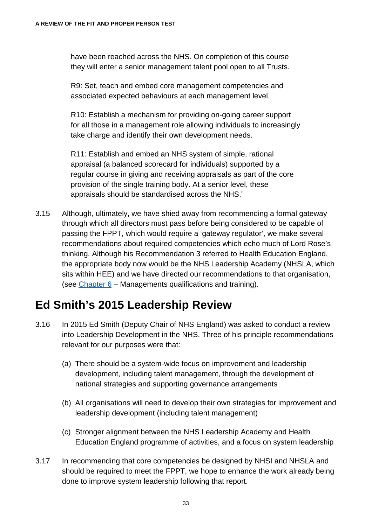have been reached across the NHS. On completion of this course they will enter a senior management talent pool open to all Trusts.

R9: Set, teach and embed core management competencies and associated expected behaviours at each management level.

R10: Establish a mechanism for providing on-going career support for all those in a management role allowing individuals to increasingly take charge and identify their own development needs.

R11: Establish and embed an NHS system of simple, rational appraisal (a balanced scorecard for individuals) supported by a regular course in giving and receiving appraisals as part of the core provision of the single training body. At a senior level, these appraisals should be standardised across the NHS."

3.15 Although, ultimately, we have shied away from recommending a formal gateway through which all directors must pass before being considered to be capable of passing the FPPT, which would require a 'gateway regulator', we make several recommendations about required competencies which echo much of Lord Rose's thinking. Although his Recommendation 3 referred to Health Education England, the appropriate body now would be the NHS Leadership Academy (NHSLA, which sits within HEE) and we have directed our recommendations to that organisation, (see [Chapter 6](#page-77-0) – Managements qualifications and training).

### **Ed Smith's 2015 Leadership Review**

- 3.16 In 2015 Ed Smith (Deputy Chair of NHS England) was asked to conduct a review into Leadership Development in the NHS. Three of his principle recommendations relevant for our purposes were that:
	- (a) There should be a system-wide focus on improvement and leadership development, including talent management, through the development of national strategies and supporting governance arrangements
	- (b) All organisations will need to develop their own strategies for improvement and leadership development (including talent management)
	- (c) Stronger alignment between the NHS Leadership Academy and Health Education England programme of activities, and a focus on system leadership
- 3.17 In recommending that core competencies be designed by NHSI and NHSLA and should be required to meet the FPPT, we hope to enhance the work already being done to improve system leadership following that report.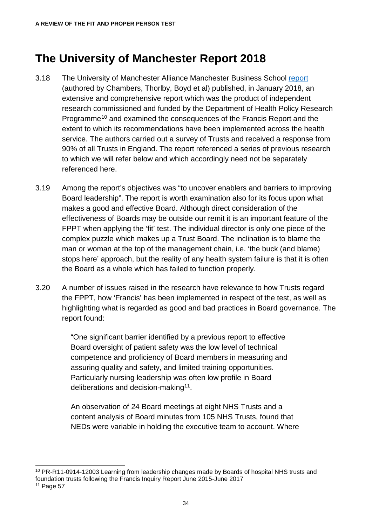### **The University of Manchester Report 2018**

- 3.18 The University of Manchester Alliance Manchester Business School [report](https://www.research.manchester.ac.uk/portal/en/publications/responses-to-francis(730b1d33-c952-40a3-a10a-6eb0dacfe037).html) (authored by Chambers, Thorlby, Boyd et al) published, in January 2018, an extensive and comprehensive report which was the product of independent research commissioned and funded by the Department of Health Policy Research Programme<sup>[10](#page-39-0)</sup> and examined the consequences of the Francis Report and the extent to which its recommendations have been implemented across the health service. The authors carried out a survey of Trusts and received a response from 90% of all Trusts in England. The report referenced a series of previous research to which we will refer below and which accordingly need not be separately referenced here.
- 3.19 Among the report's objectives was "to uncover enablers and barriers to improving Board leadership". The report is worth examination also for its focus upon what makes a good and effective Board. Although direct consideration of the effectiveness of Boards may be outside our remit it is an important feature of the FPPT when applying the 'fit' test. The individual director is only one piece of the complex puzzle which makes up a Trust Board. The inclination is to blame the man or woman at the top of the management chain, i.e. 'the buck (and blame) stops here' approach, but the reality of any health system failure is that it is often the Board as a whole which has failed to function properly.
- 3.20 A number of issues raised in the research have relevance to how Trusts regard the FPPT, how 'Francis' has been implemented in respect of the test, as well as highlighting what is regarded as good and bad practices in Board governance. The report found:

"One significant barrier identified by a previous report to effective Board oversight of patient safety was the low level of technical competence and proficiency of Board members in measuring and assuring quality and safety, and limited training opportunities. Particularly nursing leadership was often low profile in Board deliberations and decision-making<sup>[11](#page-39-1)</sup>.

An observation of 24 Board meetings at eight NHS Trusts and a content analysis of Board minutes from 105 NHS Trusts, found that NEDs were variable in holding the executive team to account. Where

<span id="page-39-0"></span><sup>&</sup>lt;sup>10</sup> PR-R11-0914-12003 Learning from leadership changes made by Boards of hospital NHS trusts and foundation trusts following the Francis Inquiry Report June 2015-June 2017

<span id="page-39-1"></span><sup>11</sup> Page 57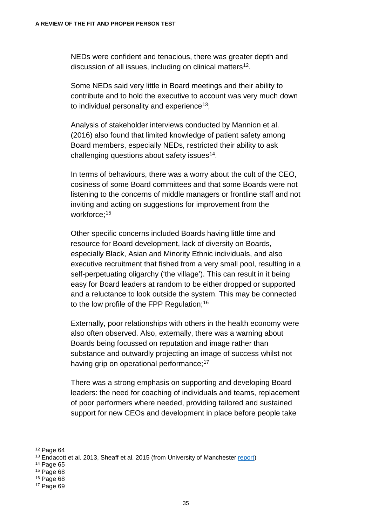NEDs were confident and tenacious, there was greater depth and discussion of all issues, including on clinical matters<sup>[12](#page-40-0)</sup>.

Some NEDs said very little in Board meetings and their ability to contribute and to hold the executive to account was very much down to individual personality and experience<sup>13</sup>;

Analysis of stakeholder interviews conducted by Mannion et al. (2016) also found that limited knowledge of patient safety among Board members, especially NEDs, restricted their ability to ask challenging questions about safety issues $14$ .

In terms of behaviours, there was a worry about the cult of the CEO, cosiness of some Board committees and that some Boards were not listening to the concerns of middle managers or frontline staff and not inviting and acting on suggestions for improvement from the workforce;<sup>[15](#page-40-3)</sup>

Other specific concerns included Boards having little time and resource for Board development, lack of diversity on Boards, especially Black, Asian and Minority Ethnic individuals, and also executive recruitment that fished from a very small pool, resulting in a self-perpetuating oligarchy ('the village'). This can result in it being easy for Board leaders at random to be either dropped or supported and a reluctance to look outside the system. This may be connected to the low profile of the FPP Regulation:<sup>[16](#page-40-4)</sup>

Externally, poor relationships with others in the health economy were also often observed. Also, externally, there was a warning about Boards being focussed on reputation and image rather than substance and outwardly projecting an image of success whilst not having grip on operational performance;<sup>[17](#page-40-5)</sup>

There was a strong emphasis on supporting and developing Board leaders: the need for coaching of individuals and teams, replacement of poor performers where needed, providing tailored and sustained support for new CEOs and development in place before people take

<span id="page-40-3"></span><sup>15</sup> Page 68

<span id="page-40-0"></span> <sup>12</sup> Page 64

<span id="page-40-1"></span><sup>&</sup>lt;sup>13</sup> Endacott et al. 2013, Sheaff et al. 2015 (from University of Manchester [report\)](https://www.research.manchester.ac.uk/portal/en/publications/responses-to-francis(730b1d33-c952-40a3-a10a-6eb0dacfe037).html)

<span id="page-40-2"></span><sup>14</sup> Page 65

<span id="page-40-4"></span><sup>16</sup> Page 68

<span id="page-40-5"></span><sup>17</sup> Page 69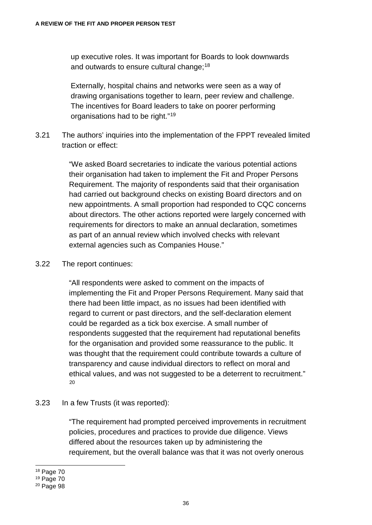up executive roles. It was important for Boards to look downwards and outwards to ensure cultural change;<sup>[18](#page-41-0)</sup>

Externally, hospital chains and networks were seen as a way of drawing organisations together to learn, peer review and challenge. The incentives for Board leaders to take on poorer performing organisations had to be right."[19](#page-41-1)

3.21 The authors' inquiries into the implementation of the FPPT revealed limited traction or effect:

> "We asked Board secretaries to indicate the various potential actions their organisation had taken to implement the Fit and Proper Persons Requirement. The majority of respondents said that their organisation had carried out background checks on existing Board directors and on new appointments. A small proportion had responded to CQC concerns about directors. The other actions reported were largely concerned with requirements for directors to make an annual declaration, sometimes as part of an annual review which involved checks with relevant external agencies such as Companies House."

#### 3.22 The report continues:

"All respondents were asked to comment on the impacts of implementing the Fit and Proper Persons Requirement. Many said that there had been little impact, as no issues had been identified with regard to current or past directors, and the self-declaration element could be regarded as a tick box exercise. A small number of respondents suggested that the requirement had reputational benefits for the organisation and provided some reassurance to the public. It was thought that the requirement could contribute towards a culture of transparency and cause individual directors to reflect on moral and ethical values, and was not suggested to be a deterrent to recruitment." [20](#page-41-2)

#### 3.23 In a few Trusts (it was reported):

"The requirement had prompted perceived improvements in recruitment policies, procedures and practices to provide due diligence. Views differed about the resources taken up by administering the requirement, but the overall balance was that it was not overly onerous

<span id="page-41-0"></span>18 Page 70

<sup>19</sup> Page 70

<span id="page-41-2"></span><span id="page-41-1"></span><sup>20</sup> Page 98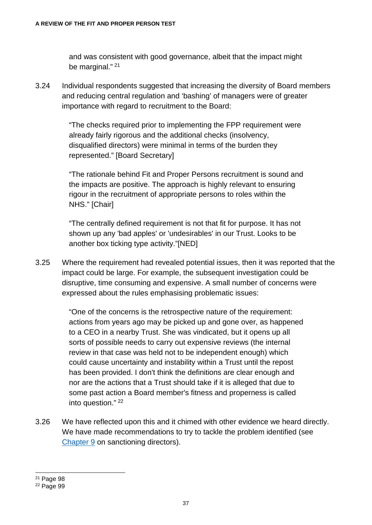and was consistent with good governance, albeit that the impact might be marginal."<sup>[21](#page-42-0)</sup>

3.24 Individual respondents suggested that increasing the diversity of Board members and reducing central regulation and 'bashing' of managers were of greater importance with regard to recruitment to the Board:

> "The checks required prior to implementing the FPP requirement were already fairly rigorous and the additional checks (insolvency, disqualified directors) were minimal in terms of the burden they represented." [Board Secretary]

"The rationale behind Fit and Proper Persons recruitment is sound and the impacts are positive. The approach is highly relevant to ensuring rigour in the recruitment of appropriate persons to roles within the NHS." [Chair]

"The centrally defined requirement is not that fit for purpose. It has not shown up any 'bad apples' or 'undesirables' in our Trust. Looks to be another box ticking type activity."[NED]

3.25 Where the requirement had revealed potential issues, then it was reported that the impact could be large. For example, the subsequent investigation could be disruptive, time consuming and expensive. A small number of concerns were expressed about the rules emphasising problematic issues:

> "One of the concerns is the retrospective nature of the requirement: actions from years ago may be picked up and gone over, as happened to a CEO in a nearby Trust. She was vindicated, but it opens up all sorts of possible needs to carry out expensive reviews (the internal review in that case was held not to be independent enough) which could cause uncertainty and instability within a Trust until the repost has been provided. I don't think the definitions are clear enough and nor are the actions that a Trust should take if it is alleged that due to some past action a Board member's fitness and properness is called into question." [22](#page-42-1)

3.26 We have reflected upon this and it chimed with other evidence we heard directly. We have made recommendations to try to tackle the problem identified (see [Chapter 9](#page-103-0) on sanctioning directors).

<span id="page-42-0"></span> <sup>21</sup> Page 98

<span id="page-42-1"></span><sup>22</sup> Page 99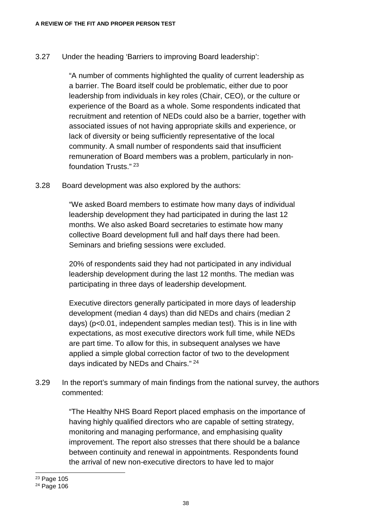#### 3.27 Under the heading 'Barriers to improving Board leadership':

"A number of comments highlighted the quality of current leadership as a barrier. The Board itself could be problematic, either due to poor leadership from individuals in key roles (Chair, CEO), or the culture or experience of the Board as a whole. Some respondents indicated that recruitment and retention of NEDs could also be a barrier, together with associated issues of not having appropriate skills and experience, or lack of diversity or being sufficiently representative of the local community. A small number of respondents said that insufficient remuneration of Board members was a problem, particularly in nonfoundation Trusts." [23](#page-43-0)

3.28 Board development was also explored by the authors:

"We asked Board members to estimate how many days of individual leadership development they had participated in during the last 12 months. We also asked Board secretaries to estimate how many collective Board development full and half days there had been. Seminars and briefing sessions were excluded.

20% of respondents said they had not participated in any individual leadership development during the last 12 months. The median was participating in three days of leadership development.

Executive directors generally participated in more days of leadership development (median 4 days) than did NEDs and chairs (median 2 days) (p<0.01, independent samples median test). This is in line with expectations, as most executive directors work full time, while NEDs are part time. To allow for this, in subsequent analyses we have applied a simple global correction factor of two to the development days indicated by NEDs and Chairs." [24](#page-43-1)

3.29 In the report's summary of main findings from the national survey, the authors commented:

> "The Healthy NHS Board Report placed emphasis on the importance of having highly qualified directors who are capable of setting strategy, monitoring and managing performance, and emphasising quality improvement. The report also stresses that there should be a balance between continuity and renewal in appointments. Respondents found the arrival of new non-executive directors to have led to major

<span id="page-43-0"></span> <sup>23</sup> Page 105

<span id="page-43-1"></span><sup>24</sup> Page 106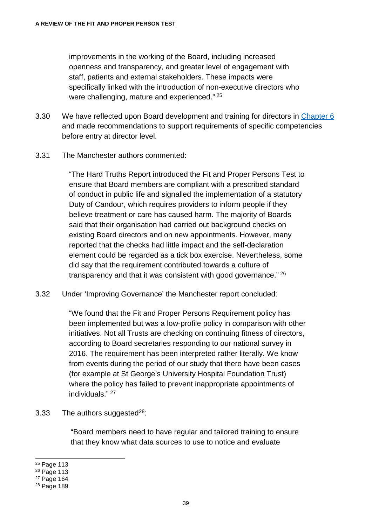improvements in the working of the Board, including increased openness and transparency, and greater level of engagement with staff, patients and external stakeholders. These impacts were specifically linked with the introduction of non-executive directors who were challenging, mature and experienced." [25](#page-44-0)

- 3.30 We have reflected upon Board development and training for directors in [Chapter 6](#page-77-0) and made recommendations to support requirements of specific competencies before entry at director level.
- 3.31 The Manchester authors commented:

"The Hard Truths Report introduced the Fit and Proper Persons Test to ensure that Board members are compliant with a prescribed standard of conduct in public life and signalled the implementation of a statutory Duty of Candour, which requires providers to inform people if they believe treatment or care has caused harm. The majority of Boards said that their organisation had carried out background checks on existing Board directors and on new appointments. However, many reported that the checks had little impact and the self-declaration element could be regarded as a tick box exercise. Nevertheless, some did say that the requirement contributed towards a culture of transparency and that it was consistent with good governance." [26](#page-44-1)

3.32 Under 'Improving Governance' the Manchester report concluded:

"We found that the Fit and Proper Persons Requirement policy has been implemented but was a low-profile policy in comparison with other initiatives. Not all Trusts are checking on continuing fitness of directors, according to Board secretaries responding to our national survey in 2016. The requirement has been interpreted rather literally. We know from events during the period of our study that there have been cases (for example at St George's University Hospital Foundation Trust) where the policy has failed to prevent inappropriate appointments of individuals." [27](#page-44-2)

3.33 The authors suggested $^{28}$ :

"Board members need to have regular and tailored training to ensure that they know what data sources to use to notice and evaluate

<span id="page-44-0"></span> <sup>25</sup> Page 113

<span id="page-44-1"></span><sup>26</sup> Page 113

<sup>27</sup> Page 164

<span id="page-44-3"></span><span id="page-44-2"></span><sup>28</sup> Page 189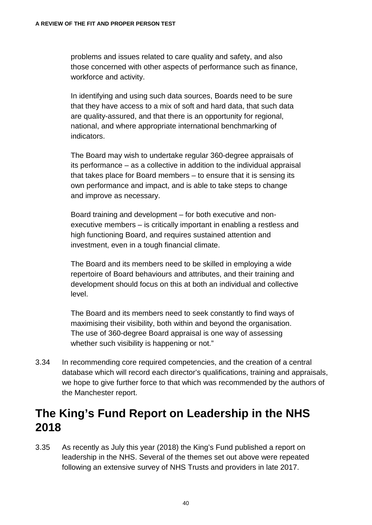problems and issues related to care quality and safety, and also those concerned with other aspects of performance such as finance, workforce and activity.

In identifying and using such data sources, Boards need to be sure that they have access to a mix of soft and hard data, that such data are quality-assured, and that there is an opportunity for regional, national, and where appropriate international benchmarking of indicators.

The Board may wish to undertake regular 360-degree appraisals of its performance – as a collective in addition to the individual appraisal that takes place for Board members – to ensure that it is sensing its own performance and impact, and is able to take steps to change and improve as necessary.

Board training and development – for both executive and nonexecutive members – is critically important in enabling a restless and high functioning Board, and requires sustained attention and investment, even in a tough financial climate.

The Board and its members need to be skilled in employing a wide repertoire of Board behaviours and attributes, and their training and development should focus on this at both an individual and collective level.

The Board and its members need to seek constantly to find ways of maximising their visibility, both within and beyond the organisation. The use of 360-degree Board appraisal is one way of assessing whether such visibility is happening or not."

3.34 In recommending core required competencies, and the creation of a central database which will record each director's qualifications, training and appraisals, we hope to give further force to that which was recommended by the authors of the Manchester report.

#### **The King's Fund Report on Leadership in the NHS 2018**

3.35 As recently as July this year (2018) the King's Fund published a report on leadership in the NHS. Several of the themes set out above were repeated following an extensive survey of NHS Trusts and providers in late 2017.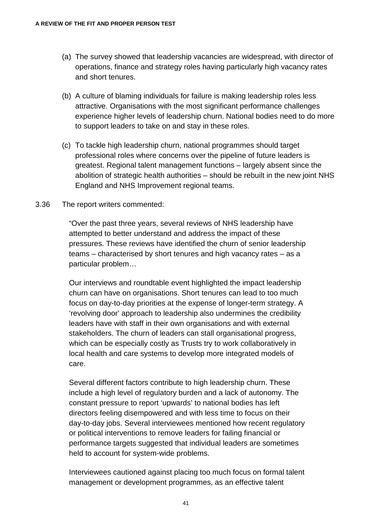- (a) The survey showed that leadership vacancies are widespread, with director of operations, finance and strategy roles having particularly high vacancy rates and short tenures.
- (b) A culture of blaming individuals for failure is making leadership roles less attractive. Organisations with the most significant performance challenges experience higher levels of leadership churn. National bodies need to do more to support leaders to take on and stay in these roles.
- (c) To tackle high leadership churn, national programmes should target professional roles where concerns over the pipeline of future leaders is greatest. Regional talent management functions – largely absent since the abolition of strategic health authorities – should be rebuilt in the new joint NHS England and NHS Improvement regional teams.
- 3.36 The report writers commented:

"Over the past three years, several reviews of NHS leadership have attempted to better understand and address the impact of these pressures. These reviews have identified the churn of senior leadership teams – characterised by short tenures and high vacancy rates – as a particular problem…

Our interviews and roundtable event highlighted the impact leadership churn can have on organisations. Short tenures can lead to too much focus on day-to‑day priorities at the expense of longer-term strategy. A 'revolving door' approach to leadership also undermines the credibility leaders have with staff in their own organisations and with external stakeholders. The churn of leaders can stall organisational progress, which can be especially costly as Trusts try to work collaboratively in local health and care systems to develop more integrated models of care.

Several different factors contribute to high leadership churn. These include a high level of regulatory burden and a lack of autonomy. The constant pressure to report 'upwards' to national bodies has left directors feeling disempowered and with less time to focus on their day-to-day jobs. Several interviewees mentioned how recent regulatory or political interventions to remove leaders for failing financial or performance targets suggested that individual leaders are sometimes held to account for system-wide problems.

Interviewees cautioned against placing too much focus on formal talent management or development programmes, as an effective talent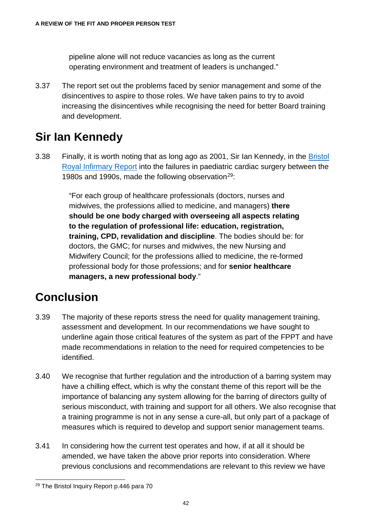pipeline alone will not reduce vacancies as long as the current operating environment and treatment of leaders is unchanged."

3.37 The report set out the problems faced by senior management and some of the disincentives to aspire to those roles. We have taken pains to try to avoid increasing the disincentives while recognising the need for better Board training and development.

### **Sir Ian Kennedy**

3.38 Finally, it is worth noting that as long ago as 2001, Sir Ian Kennedy, in the [Bristol](https://webarchive.nationalarchives.gov.uk/20090811143822/http:/www.bristol-inquiry.org.uk/final_report/the_report.pdf)  [Royal Infirmary Report](https://webarchive.nationalarchives.gov.uk/20090811143822/http:/www.bristol-inquiry.org.uk/final_report/the_report.pdf) into the failures in paediatric cardiac surgery between the 1980s and 1990s, made the following observation<sup>29</sup>:

> "For each group of healthcare professionals (doctors, nurses and midwives, the professions allied to medicine, and managers) **there should be one body charged with overseeing all aspects relating to the regulation of professional life: education, registration, training, CPD, revalidation and discipline**. The bodies should be: for doctors, the GMC; for nurses and midwives, the new Nursing and Midwifery Council; for the professions allied to medicine, the re-formed professional body for those professions; and for **senior healthcare managers, a new professional body**."

### **Conclusion**

- 3.39 The majority of these reports stress the need for quality management training, assessment and development. In our recommendations we have sought to underline again those critical features of the system as part of the FPPT and have made recommendations in relation to the need for required competencies to be identified.
- 3.40 We recognise that further regulation and the introduction of a barring system may have a chilling effect, which is why the constant theme of this report will be the importance of balancing any system allowing for the barring of directors guilty of serious misconduct, with training and support for all others. We also recognise that a training programme is not in any sense a cure-all, but only part of a package of measures which is required to develop and support senior management teams.
- 3.41 In considering how the current test operates and how, if at all it should be amended, we have taken the above prior reports into consideration. Where previous conclusions and recommendations are relevant to this review we have

<span id="page-47-0"></span> <sup>29</sup> The Bristol Inquiry Report p.446 para 70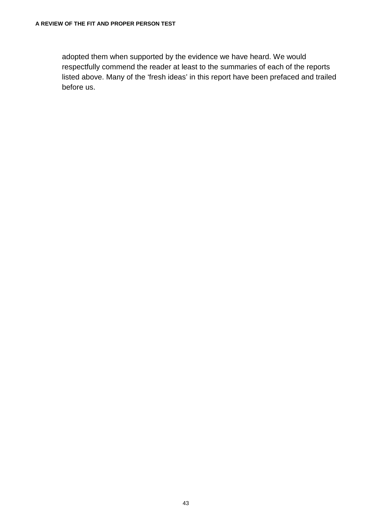adopted them when supported by the evidence we have heard. We would respectfully commend the reader at least to the summaries of each of the reports listed above. Many of the 'fresh ideas' in this report have been prefaced and trailed before us.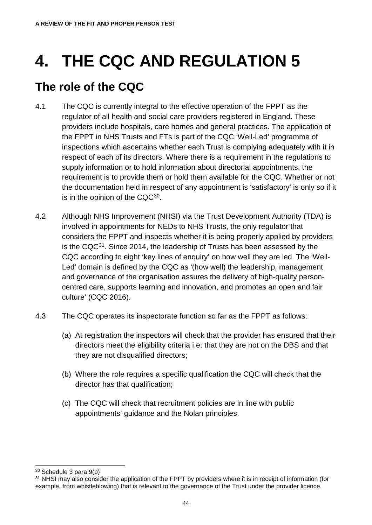# **4. THE CQC AND REGULATION 5**

## **The role of the CQC**

- 4.1 The CQC is currently integral to the effective operation of the FPPT as the regulator of all health and social care providers registered in England. These providers include hospitals, care homes and general practices. The application of the FPPT in NHS Trusts and FTs is part of the CQC 'Well-Led' programme of inspections which ascertains whether each Trust is complying adequately with it in respect of each of its directors. Where there is a requirement in the regulations to supply information or to hold information about directorial appointments, the requirement is to provide them or hold them available for the CQC. Whether or not the documentation held in respect of any appointment is 'satisfactory' is only so if it is in the opinion of the  $CQC^{30}$ .
- 4.2 Although NHS Improvement (NHSI) via the Trust Development Authority (TDA) is involved in appointments for NEDs to NHS Trusts, the only regulator that considers the FPPT and inspects whether it is being properly applied by providers is the CQ[C31](#page-49-1). Since 2014, the leadership of Trusts has been assessed by the CQC according to eight 'key lines of enquiry' on how well they are led. The 'Well-Led' domain is defined by the CQC as '(how well) the leadership, management and governance of the organisation assures the delivery of high-quality personcentred care, supports learning and innovation, and promotes an open and fair culture' (CQC 2016).
- 4.3 The CQC operates its inspectorate function so far as the FPPT as follows:
	- (a) At registration the inspectors will check that the provider has ensured that their directors meet the eligibility criteria i.e. that they are not on the DBS and that they are not disqualified directors;
	- (b) Where the role requires a specific qualification the CQC will check that the director has that qualification;
	- (c) The CQC will check that recruitment policies are in line with public appointments' guidance and the Nolan principles.

<span id="page-49-0"></span> <sup>30</sup> Schedule 3 para 9(b)

<span id="page-49-1"></span><sup>&</sup>lt;sup>31</sup> NHSI may also consider the application of the FPPT by providers where it is in receipt of information (for example, from whistleblowing) that is relevant to the governance of the Trust under the provider licence.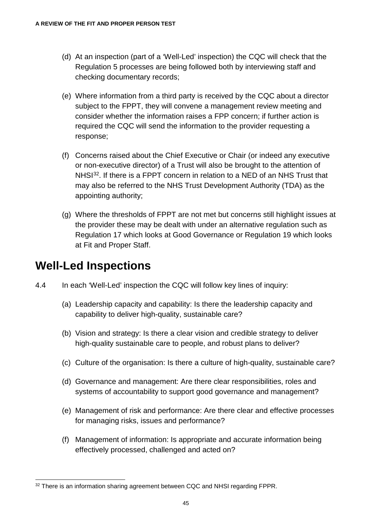- (d) At an inspection (part of a 'Well-Led' inspection) the CQC will check that the Regulation 5 processes are being followed both by interviewing staff and checking documentary records;
- (e) Where information from a third party is received by the CQC about a director subject to the FPPT, they will convene a management review meeting and consider whether the information raises a FPP concern; if further action is required the CQC will send the information to the provider requesting a response;
- (f) Concerns raised about the Chief Executive or Chair (or indeed any executive or non-executive director) of a Trust will also be brought to the attention of NHSI<sup>32</sup>. If there is a FPPT concern in relation to a NED of an NHS Trust that may also be referred to the NHS Trust Development Authority (TDA) as the appointing authority;
- (g) Where the thresholds of FPPT are not met but concerns still highlight issues at the provider these may be dealt with under an alternative regulation such as Regulation 17 which looks at Good Governance or Regulation 19 which looks at Fit and Proper Staff.

### **Well-Led Inspections**

- 4.4 In each 'Well-Led' inspection the CQC will follow key lines of inquiry:
	- (a) Leadership capacity and capability: Is there the leadership capacity and capability to deliver high-quality, sustainable care?
	- (b) Vision and strategy: Is there a clear vision and credible strategy to deliver high-quality sustainable care to people, and robust plans to deliver?
	- (c) Culture of the organisation: Is there a culture of high-quality, sustainable care?
	- (d) Governance and management: Are there clear responsibilities, roles and systems of accountability to support good governance and management?
	- (e) Management of risk and performance: Are there clear and effective processes for managing risks, issues and performance?
	- (f) Management of information: Is appropriate and accurate information being effectively processed, challenged and acted on?

<span id="page-50-0"></span><sup>32</sup> There is an information sharing agreement between CQC and NHSI regarding FPPR.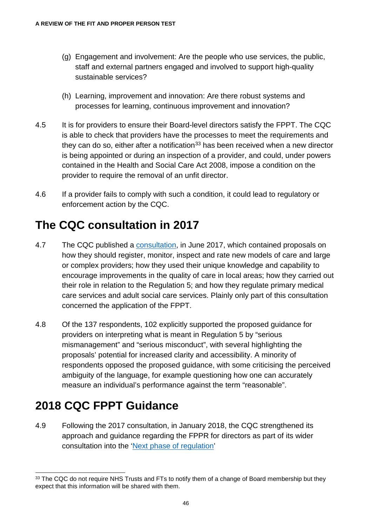- (g) Engagement and involvement: Are the people who use services, the public, staff and external partners engaged and involved to support high-quality sustainable services?
- (h) Learning, improvement and innovation: Are there robust systems and processes for learning, continuous improvement and innovation?
- 4.5 It is for providers to ensure their Board-level directors satisfy the FPPT. The CQC is able to check that providers have the processes to meet the requirements and they can do so, either after a notification<sup>[33](#page-51-0)</sup> has been received when a new director is being appointed or during an inspection of a provider, and could, under powers contained in the Health and Social Care Act 2008, impose a condition on the provider to require the removal of an unfit director.
- 4.6 If a provider fails to comply with such a condition, it could lead to regulatory or enforcement action by the CQC.

### **The CQC consultation in 2017**

- 4.7 The CQC published a [consultation,](https://www.cqc.org.uk/sites/default/files/20171020_next_phase_consultation2_response.pdf) in June 2017, which contained proposals on how they should register, monitor, inspect and rate new models of care and large or complex providers; how they used their unique knowledge and capability to encourage improvements in the quality of care in local areas; how they carried out their role in relation to the Regulation 5; and how they regulate primary medical care services and adult social care services. Plainly only part of this consultation concerned the application of the FPPT.
- 4.8 Of the 137 respondents, 102 explicitly supported the proposed guidance for providers on interpreting what is meant in Regulation 5 by "serious mismanagement" and "serious misconduct", with several highlighting the proposals' potential for increased clarity and accessibility. A minority of respondents opposed the proposed guidance, with some criticising the perceived ambiguity of the language, for example questioning how one can accurately measure an individual's performance against the term "reasonable".

### **2018 CQC FPPT Guidance**

4.9 Following the 2017 consultation, in January 2018, the CQC strengthened its approach and guidance regarding the FPPR for directors as part of its wider consultation into the ['Next phase of regulation'](https://www.cqc.org.uk/get-involved/consultations/our-next-phase-regulation-consultation-2)

<span id="page-51-0"></span><sup>33</sup> The CQC do not require NHS Trusts and FTs to notify them of a change of Board membership but they expect that this information will be shared with them.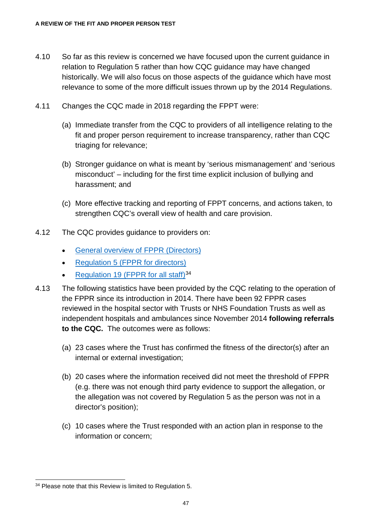- 4.10 So far as this review is concerned we have focused upon the current guidance in relation to Regulation 5 rather than how CQC guidance may have changed historically. We will also focus on those aspects of the guidance which have most relevance to some of the more difficult issues thrown up by the 2014 Regulations.
- 4.11 Changes the CQC made in 2018 regarding the FPPT were:
	- (a) Immediate transfer from the CQC to providers of all intelligence relating to the fit and proper person requirement to increase transparency, rather than CQC triaging for relevance;
	- (b) Stronger guidance on what is meant by 'serious mismanagement' and 'serious misconduct' – including for the first time explicit inclusion of bullying and harassment; and
	- (c) More effective tracking and reporting of FPPT concerns, and actions taken, to strengthen CQC's overall view of health and care provision.
- 4.12 The CQC provides guidance to providers on:
	- [General overview of FPPR \(Directors\)](http://www.cqc.org.uk/guidance-providers/regulations-enforcement/fit-proper-persons-directors)
	- [Regulation 5 \(FPPR for directors\)](https://www.cqc.org.uk/guidance-providers/regulations-enforcement/regulation-5-fit-proper-persons-directors)
	- [Regulation 19 \(FPPR for all staff\)](http://www.cqc.org.uk/guidance-providers/regulations-enforcement/regulation-19-fit-proper-persons-employed)<sup>[34](#page-52-0)</sup>
- 4.13 The following statistics have been provided by the CQC relating to the operation of the FPPR since its introduction in 2014. There have been 92 FPPR cases reviewed in the hospital sector with Trusts or NHS Foundation Trusts as well as independent hospitals and ambulances since November 2014 **following referrals to the CQC.** The outcomes were as follows:
	- (a) 23 cases where the Trust has confirmed the fitness of the director(s) after an internal or external investigation;
	- (b) 20 cases where the information received did not meet the threshold of FPPR (e.g. there was not enough third party evidence to support the allegation, or the allegation was not covered by Regulation 5 as the person was not in a director's position);
	- (c) 10 cases where the Trust responded with an action plan in response to the information or concern;

<span id="page-52-0"></span> <sup>34</sup> Please note that this Review is limited to Regulation 5.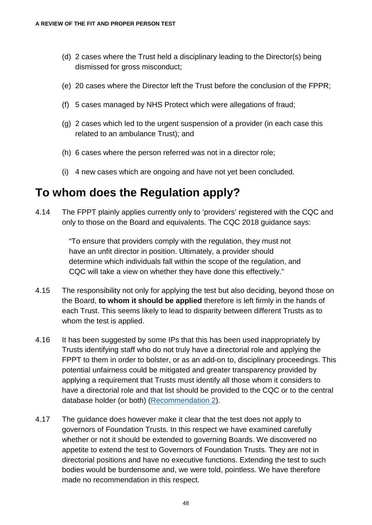- (d) 2 cases where the Trust held a disciplinary leading to the Director(s) being dismissed for gross misconduct;
- (e) 20 cases where the Director left the Trust before the conclusion of the FPPR;
- (f) 5 cases managed by NHS Protect which were allegations of fraud;
- (g) 2 cases which led to the urgent suspension of a provider (in each case this related to an ambulance Trust); and
- (h) 6 cases where the person referred was not in a director role;
- (i) 4 new cases which are ongoing and have not yet been concluded.

#### **To whom does the Regulation apply?**

4.14 The FPPT plainly applies currently only to 'providers' registered with the CQC and only to those on the Board and equivalents. The CQC 2018 guidance says:

> "To ensure that providers comply with the regulation, they must not have an unfit director in position. Ultimately, a provider should determine which individuals fall within the scope of the regulation, and CQC will take a view on whether they have done this effectively."

- 4.15 The responsibility not only for applying the test but also deciding, beyond those on the Board, **to whom it should be applied** therefore is left firmly in the hands of each Trust. This seems likely to lead to disparity between different Trusts as to whom the test is applied.
- 4.16 It has been suggested by some IPs that this has been used inappropriately by Trusts identifying staff who do not truly have a directorial role and applying the FPPT to them in order to bolster, or as an add-on to, disciplinary proceedings. This potential unfairness could be mitigated and greater transparency provided by applying a requirement that Trusts must identify all those whom it considers to have a directorial role and that list should be provided to the CQC or to the central database holder (or both) [\(Recommendation 2\)](#page-133-0).
- 4.17 The guidance does however make it clear that the test does not apply to governors of Foundation Trusts. In this respect we have examined carefully whether or not it should be extended to governing Boards. We discovered no appetite to extend the test to Governors of Foundation Trusts. They are not in directorial positions and have no executive functions. Extending the test to such bodies would be burdensome and, we were told, pointless. We have therefore made no recommendation in this respect.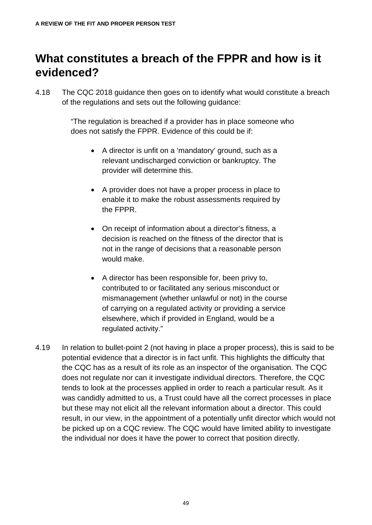### **What constitutes a breach of the FPPR and how is it evidenced?**

4.18 The CQC 2018 guidance then goes on to identify what would constitute a breach of the regulations and sets out the following guidance:

> "The regulation is breached if a provider has in place someone who does not satisfy the FPPR. Evidence of this could be if:

- A director is unfit on a 'mandatory' ground, such as a relevant undischarged conviction or bankruptcy. The provider will determine this.
- A provider does not have a proper process in place to enable it to make the robust assessments required by the FPPR.
- On receipt of information about a director's fitness, a decision is reached on the fitness of the director that is not in the range of decisions that a reasonable person would make.
- A director has been responsible for, been privy to, contributed to or facilitated any serious misconduct or mismanagement (whether unlawful or not) in the course of carrying on a regulated activity or providing a service elsewhere, which if provided in England, would be a regulated activity."
- 4.19 In relation to bullet-point 2 (not having in place a proper process), this is said to be potential evidence that a director is in fact unfit. This highlights the difficulty that the CQC has as a result of its role as an inspector of the organisation. The CQC does not regulate nor can it investigate individual directors. Therefore, the CQC tends to look at the processes applied in order to reach a particular result. As it was candidly admitted to us, a Trust could have all the correct processes in place but these may not elicit all the relevant information about a director. This could result, in our view, in the appointment of a potentially unfit director which would not be picked up on a CQC review. The CQC would have limited ability to investigate the individual nor does it have the power to correct that position directly.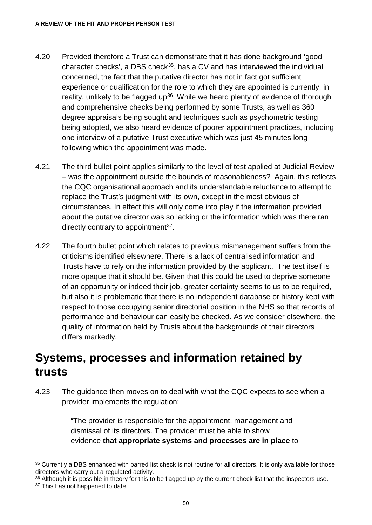- 4.20 Provided therefore a Trust can demonstrate that it has done background 'good character checks', a DBS check<sup>[35](#page-55-0)</sup>, has a CV and has interviewed the individual concerned, the fact that the putative director has not in fact got sufficient experience or qualification for the role to which they are appointed is currently, in reality, unlikely to be flagged up<sup>36</sup>. While we heard plenty of evidence of thorough and comprehensive checks being performed by some Trusts, as well as 360 degree appraisals being sought and techniques such as psychometric testing being adopted, we also heard evidence of poorer appointment practices, including one interview of a putative Trust executive which was just 45 minutes long following which the appointment was made.
- 4.21 The third bullet point applies similarly to the level of test applied at Judicial Review – was the appointment outside the bounds of reasonableness? Again, this reflects the CQC organisational approach and its understandable reluctance to attempt to replace the Trust's judgment with its own, except in the most obvious of circumstances. In effect this will only come into play if the information provided about the putative director was so lacking or the information which was there ran directly contrary to appointment<sup>[37](#page-55-2)</sup>.
- 4.22 The fourth bullet point which relates to previous mismanagement suffers from the criticisms identified elsewhere. There is a lack of centralised information and Trusts have to rely on the information provided by the applicant. The test itself is more opaque that it should be. Given that this could be used to deprive someone of an opportunity or indeed their job, greater certainty seems to us to be required, but also it is problematic that there is no independent database or history kept with respect to those occupying senior directorial position in the NHS so that records of performance and behaviour can easily be checked. As we consider elsewhere, the quality of information held by Trusts about the backgrounds of their directors differs markedly.

#### **Systems, processes and information retained by trusts**

4.23 The guidance then moves on to deal with what the CQC expects to see when a provider implements the regulation:

> "The provider is responsible for the appointment, management and dismissal of its directors. The provider must be able to show evidence **that appropriate systems and processes are in place** to

<span id="page-55-0"></span><sup>&</sup>lt;sup>35</sup> Currently a DBS enhanced with barred list check is not routine for all directors. It is only available for those directors who carry out a regulated activity.

<span id="page-55-2"></span><span id="page-55-1"></span><sup>36</sup> Although it is possible in theory for this to be flagged up by the current check list that the inspectors use. <sup>37</sup> This has not happened to date.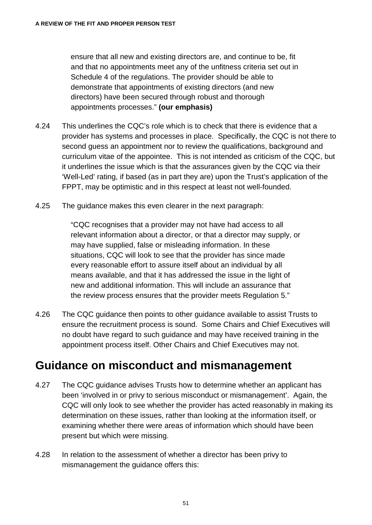ensure that all new and existing directors are, and continue to be, fit and that no appointments meet any of the unfitness criteria set out in Schedule 4 of the regulations. The provider should be able to demonstrate that appointments of existing directors (and new directors) have been secured through robust and thorough appointments processes." **(our emphasis)**

- 4.24 This underlines the CQC's role which is to check that there is evidence that a provider has systems and processes in place. Specifically, the CQC is not there to second guess an appointment nor to review the qualifications, background and curriculum vitae of the appointee. This is not intended as criticism of the CQC, but it underlines the issue which is that the assurances given by the CQC via their 'Well-Led' rating, if based (as in part they are) upon the Trust's application of the FPPT, may be optimistic and in this respect at least not well-founded.
- 4.25 The guidance makes this even clearer in the next paragraph:

"CQC recognises that a provider may not have had access to all relevant information about a director, or that a director may supply, or may have supplied, false or misleading information. In these situations, CQC will look to see that the provider has since made every reasonable effort to assure itself about an individual by all means available, and that it has addressed the issue in the light of new and additional information. This will include an assurance that the review process ensures that the provider meets Regulation 5."

4.26 The CQC guidance then points to other guidance available to assist Trusts to ensure the recruitment process is sound. Some Chairs and Chief Executives will no doubt have regard to such guidance and may have received training in the appointment process itself. Other Chairs and Chief Executives may not.

#### **Guidance on misconduct and mismanagement**

- 4.27 The CQC guidance advises Trusts how to determine whether an applicant has been 'involved in or privy to serious misconduct or mismanagement'. Again, the CQC will only look to see whether the provider has acted reasonably in making its determination on these issues, rather than looking at the information itself, or examining whether there were areas of information which should have been present but which were missing.
- 4.28 In relation to the assessment of whether a director has been privy to mismanagement the guidance offers this: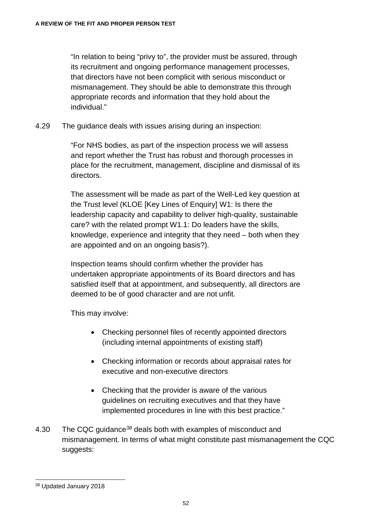"In relation to being "privy to", the provider must be assured, through its recruitment and ongoing performance management processes, that directors have not been complicit with serious misconduct or mismanagement. They should be able to demonstrate this through appropriate records and information that they hold about the individual."

4.29 The guidance deals with issues arising during an inspection:

"For NHS bodies, as part of the inspection process we will assess and report whether the Trust has robust and thorough processes in place for the recruitment, management, discipline and dismissal of its directors.

The assessment will be made as part of the Well-Led key question at the Trust level (KLOE [Key Lines of Enquiry] W1: Is there the leadership capacity and capability to deliver high-quality, sustainable care? with the related prompt W1.1: Do leaders have the skills, knowledge, experience and integrity that they need – both when they are appointed and on an ongoing basis?).

Inspection teams should confirm whether the provider has undertaken appropriate appointments of its Board directors and has satisfied itself that at appointment, and subsequently, all directors are deemed to be of good character and are not unfit.

This may involve:

- Checking personnel files of recently appointed directors (including internal appointments of existing staff)
- Checking information or records about appraisal rates for executive and non-executive directors
- Checking that the provider is aware of the various guidelines on recruiting executives and that they have implemented procedures in line with this best practice."
- 4.30 The CQC quidance<sup>38</sup> deals both with examples of misconduct and mismanagement. In terms of what might constitute past mismanagement the CQC suggests:

<span id="page-57-0"></span> <sup>38</sup> Updated January 2018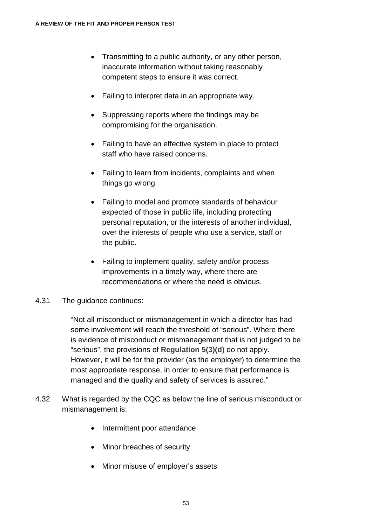- Transmitting to a public authority, or any other person, inaccurate information without taking reasonably competent steps to ensure it was correct.
- Failing to interpret data in an appropriate way.
- Suppressing reports where the findings may be compromising for the organisation.
- Failing to have an effective system in place to protect staff who have raised concerns.
- Failing to learn from incidents, complaints and when things go wrong.
- Failing to model and promote standards of behaviour expected of those in public life, including protecting personal reputation, or the interests of another individual, over the interests of people who use a service, staff or the public.
- Failing to implement quality, safety and/or process improvements in a timely way, where there are recommendations or where the need is obvious.
- 4.31 The guidance continues:

"Not all misconduct or mismanagement in which a director has had some involvement will reach the threshold of "serious". Where there is evidence of misconduct or mismanagement that is not judged to be "serious", the provisions of **Regulation 5(3)(d)** do not apply. However, it will be for the provider (as the employer) to determine the most appropriate response, in order to ensure that performance is managed and the quality and safety of services is assured."

- 4.32 What is regarded by the CQC as below the line of serious misconduct or mismanagement is:
	- Intermittent poor attendance
	- Minor breaches of security
	- Minor misuse of employer's assets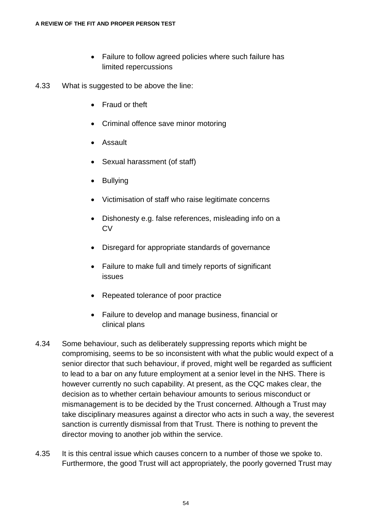- Failure to follow agreed policies where such failure has limited repercussions
- 4.33 What is suggested to be above the line:
	- Fraud or theft
	- Criminal offence save minor motoring
	- Assault
	- Sexual harassment (of staff)
	- Bullying
	- Victimisation of staff who raise legitimate concerns
	- Dishonesty e.g. false references, misleading info on a **CV**
	- Disregard for appropriate standards of governance
	- Failure to make full and timely reports of significant issues
	- Repeated tolerance of poor practice
	- Failure to develop and manage business, financial or clinical plans
- 4.34 Some behaviour, such as deliberately suppressing reports which might be compromising, seems to be so inconsistent with what the public would expect of a senior director that such behaviour, if proved, might well be regarded as sufficient to lead to a bar on any future employment at a senior level in the NHS. There is however currently no such capability. At present, as the CQC makes clear, the decision as to whether certain behaviour amounts to serious misconduct or mismanagement is to be decided by the Trust concerned. Although a Trust may take disciplinary measures against a director who acts in such a way, the severest sanction is currently dismissal from that Trust. There is nothing to prevent the director moving to another job within the service.
- 4.35 It is this central issue which causes concern to a number of those we spoke to. Furthermore, the good Trust will act appropriately, the poorly governed Trust may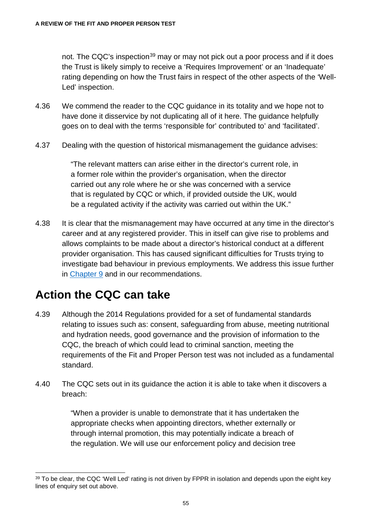not. The CQC's inspection<sup>[39](#page-60-0)</sup> may or may not pick out a poor process and if it does the Trust is likely simply to receive a 'Requires Improvement' or an 'Inadequate' rating depending on how the Trust fairs in respect of the other aspects of the 'Well-Led' inspection.

- 4.36 We commend the reader to the CQC guidance in its totality and we hope not to have done it disservice by not duplicating all of it here. The guidance helpfully goes on to deal with the terms 'responsible for' contributed to' and 'facilitated'.
- 4.37 Dealing with the question of historical mismanagement the guidance advises:

"The relevant matters can arise either in the director's current role, in a former role within the provider's organisation, when the director carried out any role where he or she was concerned with a service that is regulated by CQC or which, if provided outside the UK, would be a regulated activity if the activity was carried out within the UK."

4.38 It is clear that the mismanagement may have occurred at any time in the director's career and at any registered provider. This in itself can give rise to problems and allows complaints to be made about a director's historical conduct at a different provider organisation. This has caused significant difficulties for Trusts trying to investigate bad behaviour in previous employments. We address this issue further in [Chapter 9](#page-103-0) and in our recommendations.

### **Action the CQC can take**

- 4.39 Although the 2014 Regulations provided for a set of fundamental standards relating to issues such as: consent, safeguarding from abuse, meeting nutritional and hydration needs, good governance and the provision of information to the CQC, the breach of which could lead to criminal sanction, meeting the requirements of the Fit and Proper Person test was not included as a fundamental standard.
- 4.40 The CQC sets out in its guidance the action it is able to take when it discovers a breach:

"When a provider is unable to demonstrate that it has undertaken the appropriate checks when appointing directors, whether externally or through internal promotion, this may potentially indicate a breach of the regulation. We will use our enforcement policy and decision tree

<span id="page-60-0"></span><sup>39</sup> To be clear, the CQC 'Well Led' rating is not driven by FPPR in isolation and depends upon the eight key lines of enquiry set out above.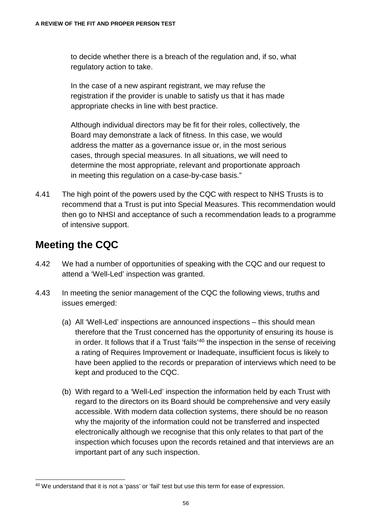to decide whether there is a breach of the regulation and, if so, what regulatory action to take.

In the case of a new aspirant registrant, we may refuse the registration if the provider is unable to satisfy us that it has made appropriate checks in line with best practice.

Although individual directors may be fit for their roles, collectively, the Board may demonstrate a lack of fitness. In this case, we would address the matter as a governance issue or, in the most serious cases, through special measures. In all situations, we will need to determine the most appropriate, relevant and proportionate approach in meeting this regulation on a case-by-case basis."

4.41 The high point of the powers used by the CQC with respect to NHS Trusts is to recommend that a Trust is put into Special Measures. This recommendation would then go to NHSI and acceptance of such a recommendation leads to a programme of intensive support.

#### **Meeting the CQC**

- 4.42 We had a number of opportunities of speaking with the CQC and our request to attend a 'Well-Led' inspection was granted.
- 4.43 In meeting the senior management of the CQC the following views, truths and issues emerged:
	- (a) All 'Well-Led' inspections are announced inspections this should mean therefore that the Trust concerned has the opportunity of ensuring its house is in order. It follows that if a Trust 'fails'<sup>[40](#page-61-0)</sup> the inspection in the sense of receiving a rating of Requires Improvement or Inadequate, insufficient focus is likely to have been applied to the records or preparation of interviews which need to be kept and produced to the CQC.
	- (b) With regard to a 'Well-Led' inspection the information held by each Trust with regard to the directors on its Board should be comprehensive and very easily accessible. With modern data collection systems, there should be no reason why the majority of the information could not be transferred and inspected electronically although we recognise that this only relates to that part of the inspection which focuses upon the records retained and that interviews are an important part of any such inspection.

<span id="page-61-0"></span> <sup>40</sup> We understand that it is not a 'pass' or 'fail' test but use this term for ease of expression.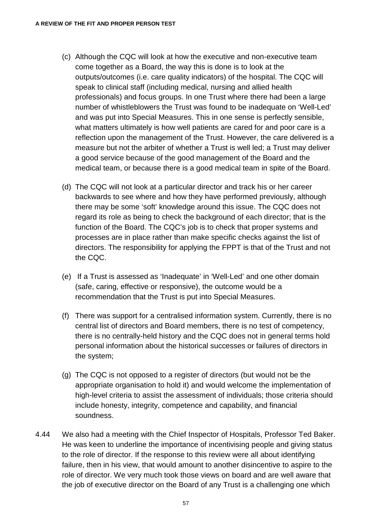- (c) Although the CQC will look at how the executive and non-executive team come together as a Board, the way this is done is to look at the outputs/outcomes (i.e. care quality indicators) of the hospital. The CQC will speak to clinical staff (including medical, nursing and allied health professionals) and focus groups. In one Trust where there had been a large number of whistleblowers the Trust was found to be inadequate on 'Well-Led' and was put into Special Measures. This in one sense is perfectly sensible, what matters ultimately is how well patients are cared for and poor care is a reflection upon the management of the Trust. However, the care delivered is a measure but not the arbiter of whether a Trust is well led; a Trust may deliver a good service because of the good management of the Board and the medical team, or because there is a good medical team in spite of the Board.
- (d) The CQC will not look at a particular director and track his or her career backwards to see where and how they have performed previously, although there may be some 'soft' knowledge around this issue. The CQC does not regard its role as being to check the background of each director; that is the function of the Board. The CQC's job is to check that proper systems and processes are in place rather than make specific checks against the list of directors. The responsibility for applying the FPPT is that of the Trust and not the CQC.
- (e) If a Trust is assessed as 'Inadequate' in 'Well-Led' and one other domain (safe, caring, effective or responsive), the outcome would be a recommendation that the Trust is put into Special Measures.
- (f) There was support for a centralised information system. Currently, there is no central list of directors and Board members, there is no test of competency, there is no centrally-held history and the CQC does not in general terms hold personal information about the historical successes or failures of directors in the system;
- (g) The CQC is not opposed to a register of directors (but would not be the appropriate organisation to hold it) and would welcome the implementation of high-level criteria to assist the assessment of individuals; those criteria should include honesty, integrity, competence and capability, and financial soundness.
- 4.44 We also had a meeting with the Chief Inspector of Hospitals, Professor Ted Baker. He was keen to underline the importance of incentivising people and giving status to the role of director. If the response to this review were all about identifying failure, then in his view, that would amount to another disincentive to aspire to the role of director. We very much took those views on board and are well aware that the job of executive director on the Board of any Trust is a challenging one which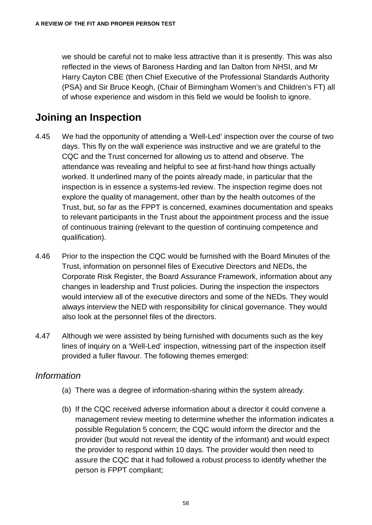we should be careful not to make less attractive than it is presently. This was also reflected in the views of Baroness Harding and Ian Dalton from NHSI, and Mr Harry Cayton CBE (then Chief Executive of the Professional Standards Authority (PSA) and Sir Bruce Keogh, (Chair of Birmingham Women's and Children's FT) all of whose experience and wisdom in this field we would be foolish to ignore.

#### **Joining an Inspection**

- 4.45 We had the opportunity of attending a 'Well-Led' inspection over the course of two days. This fly on the wall experience was instructive and we are grateful to the CQC and the Trust concerned for allowing us to attend and observe. The attendance was revealing and helpful to see at first-hand how things actually worked. It underlined many of the points already made, in particular that the inspection is in essence a systems-led review. The inspection regime does not explore the quality of management, other than by the health outcomes of the Trust, but, so far as the FPPT is concerned, examines documentation and speaks to relevant participants in the Trust about the appointment process and the issue of continuous training (relevant to the question of continuing competence and qualification).
- 4.46 Prior to the inspection the CQC would be furnished with the Board Minutes of the Trust, information on personnel files of Executive Directors and NEDs, the Corporate Risk Register, the Board Assurance Framework, information about any changes in leadership and Trust policies. During the inspection the inspectors would interview all of the executive directors and some of the NEDs. They would always interview the NED with responsibility for clinical governance. They would also look at the personnel files of the directors.
- 4.47 Although we were assisted by being furnished with documents such as the key lines of inquiry on a 'Well-Led' inspection, witnessing part of the inspection itself provided a fuller flavour. The following themes emerged:

#### *Information*

- (a) There was a degree of information-sharing within the system already.
- (b) If the CQC received adverse information about a director it could convene a management review meeting to determine whether the information indicates a possible Regulation 5 concern; the CQC would inform the director and the provider (but would not reveal the identity of the informant) and would expect the provider to respond within 10 days. The provider would then need to assure the CQC that it had followed a robust process to identify whether the person is FPPT compliant;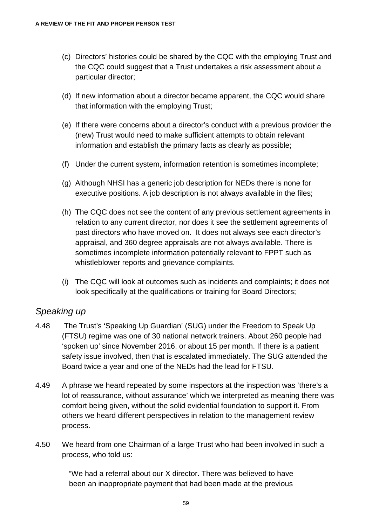- (c) Directors' histories could be shared by the CQC with the employing Trust and the CQC could suggest that a Trust undertakes a risk assessment about a particular director;
- (d) If new information about a director became apparent, the CQC would share that information with the employing Trust;
- (e) If there were concerns about a director's conduct with a previous provider the (new) Trust would need to make sufficient attempts to obtain relevant information and establish the primary facts as clearly as possible;
- (f) Under the current system, information retention is sometimes incomplete;
- (g) Although NHSI has a generic job description for NEDs there is none for executive positions. A job description is not always available in the files;
- (h) The CQC does not see the content of any previous settlement agreements in relation to any current director, nor does it see the settlement agreements of past directors who have moved on. It does not always see each director's appraisal, and 360 degree appraisals are not always available. There is sometimes incomplete information potentially relevant to FPPT such as whistleblower reports and grievance complaints.
- (i) The CQC will look at outcomes such as incidents and complaints; it does not look specifically at the qualifications or training for Board Directors;

#### *Speaking up*

- 4.48 The Trust's 'Speaking Up Guardian' (SUG) under the Freedom to Speak Up (FTSU) regime was one of 30 national network trainers. About 260 people had 'spoken up' since November 2016, or about 15 per month. If there is a patient safety issue involved, then that is escalated immediately. The SUG attended the Board twice a year and one of the NEDs had the lead for FTSU.
- 4.49 A phrase we heard repeated by some inspectors at the inspection was 'there's a lot of reassurance, without assurance' which we interpreted as meaning there was comfort being given, without the solid evidential foundation to support it. From others we heard different perspectives in relation to the management review process.
- 4.50 We heard from one Chairman of a large Trust who had been involved in such a process, who told us:

"We had a referral about our X director. There was believed to have been an inappropriate payment that had been made at the previous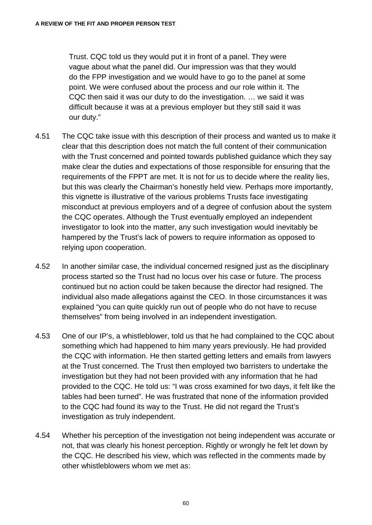Trust. CQC told us they would put it in front of a panel. They were vague about what the panel did. Our impression was that they would do the FPP investigation and we would have to go to the panel at some point. We were confused about the process and our role within it. The CQC then said it was our duty to do the investigation. … we said it was difficult because it was at a previous employer but they still said it was our duty."

- 4.51 The CQC take issue with this description of their process and wanted us to make it clear that this description does not match the full content of their communication with the Trust concerned and pointed towards published guidance which they say make clear the duties and expectations of those responsible for ensuring that the requirements of the FPPT are met. It is not for us to decide where the reality lies, but this was clearly the Chairman's honestly held view. Perhaps more importantly, this vignette is illustrative of the various problems Trusts face investigating misconduct at previous employers and of a degree of confusion about the system the CQC operates. Although the Trust eventually employed an independent investigator to look into the matter, any such investigation would inevitably be hampered by the Trust's lack of powers to require information as opposed to relying upon cooperation.
- 4.52 In another similar case, the individual concerned resigned just as the disciplinary process started so the Trust had no locus over his case or future. The process continued but no action could be taken because the director had resigned. The individual also made allegations against the CEO. In those circumstances it was explained "you can quite quickly run out of people who do not have to recuse themselves" from being involved in an independent investigation.
- 4.53 One of our IP's, a whistleblower, told us that he had complained to the CQC about something which had happened to him many years previously. He had provided the CQC with information. He then started getting letters and emails from lawyers at the Trust concerned. The Trust then employed two barristers to undertake the investigation but they had not been provided with any information that he had provided to the CQC. He told us: "I was cross examined for two days, it felt like the tables had been turned". He was frustrated that none of the information provided to the CQC had found its way to the Trust. He did not regard the Trust's investigation as truly independent.
- 4.54 Whether his perception of the investigation not being independent was accurate or not, that was clearly his honest perception. Rightly or wrongly he felt let down by the CQC. He described his view, which was reflected in the comments made by other whistleblowers whom we met as: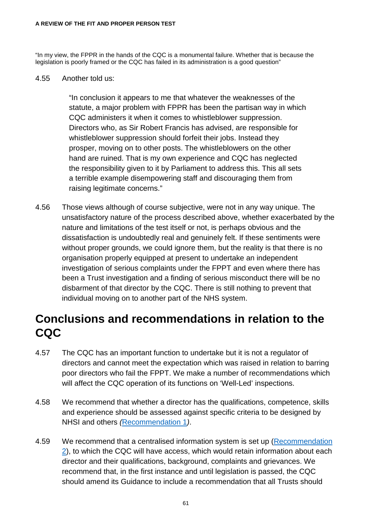#### **A REVIEW OF THE FIT AND PROPER PERSON TEST**

"In my view, the FPPR in the hands of the CQC is a monumental failure. Whether that is because the legislation is poorly framed or the CQC has failed in its administration is a good question"

4.55 Another told us:

"In conclusion it appears to me that whatever the weaknesses of the statute, a major problem with FPPR has been the partisan way in which CQC administers it when it comes to whistleblower suppression. Directors who, as Sir Robert Francis has advised, are responsible for whistleblower suppression should forfeit their jobs. Instead they prosper, moving on to other posts. The whistleblowers on the other hand are ruined. That is my own experience and CQC has neglected the responsibility given to it by Parliament to address this. This all sets a terrible example disempowering staff and discouraging them from raising legitimate concerns."

4.56 Those views although of course subjective, were not in any way unique. The unsatisfactory nature of the process described above, whether exacerbated by the nature and limitations of the test itself or not, is perhaps obvious and the dissatisfaction is undoubtedly real and genuinely felt. If these sentiments were without proper grounds, we could ignore them, but the reality is that there is no organisation properly equipped at present to undertake an independent investigation of serious complaints under the FPPT and even where there has been a Trust investigation and a finding of serious misconduct there will be no disbarment of that director by the CQC. There is still nothing to prevent that individual moving on to another part of the NHS system.

### **Conclusions and recommendations in relation to the CQC**

- 4.57 The CQC has an important function to undertake but it is not a regulator of directors and cannot meet the expectation which was raised in relation to barring poor directors who fail the FPPT. We make a number of recommendations which will affect the CQC operation of its functions on 'Well-Led' inspections.
- 4.58 We recommend that whether a director has the qualifications, competence, skills and experience should be assessed against specific criteria to be designed by NHSI and others *(*[Recommendation 1](#page-132-0)*)*.
- 4.59 We recommend that a centralised information system is set up [\(Recommendation](#page-133-0)  [2\)](#page-133-0), to which the CQC will have access, which would retain information about each director and their qualifications, background, complaints and grievances. We recommend that, in the first instance and until legislation is passed, the CQC should amend its Guidance to include a recommendation that all Trusts should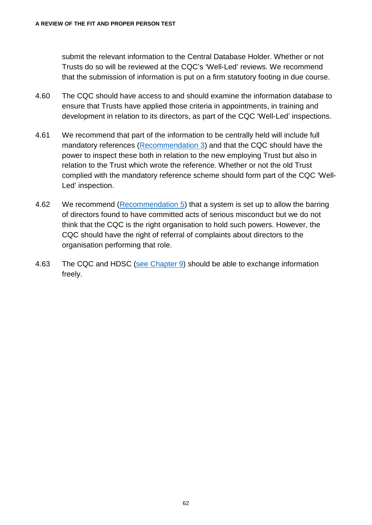submit the relevant information to the Central Database Holder. Whether or not Trusts do so will be reviewed at the CQC's 'Well-Led' reviews. We recommend that the submission of information is put on a firm statutory footing in due course.

- 4.60 The CQC should have access to and should examine the information database to ensure that Trusts have applied those criteria in appointments, in training and development in relation to its directors, as part of the CQC 'Well-Led' inspections.
- 4.61 We recommend that part of the information to be centrally held will include full mandatory references [\(Recommendation 3\)](#page-135-0) and that the CQC should have the power to inspect these both in relation to the new employing Trust but also in relation to the Trust which wrote the reference. Whether or not the old Trust complied with the mandatory reference scheme should form part of the CQC 'Well-Led' inspection.
- 4.62 We recommend [\(Recommendation 5\)](#page-137-0) that a system is set up to allow the barring of directors found to have committed acts of serious misconduct but we do not think that the CQC is the right organisation to hold such powers. However, the CQC should have the right of referral of complaints about directors to the organisation performing that role.
- 4.63 The CQC and HDSC [\(see Chapter 9\)](#page-103-0) should be able to exchange information freely.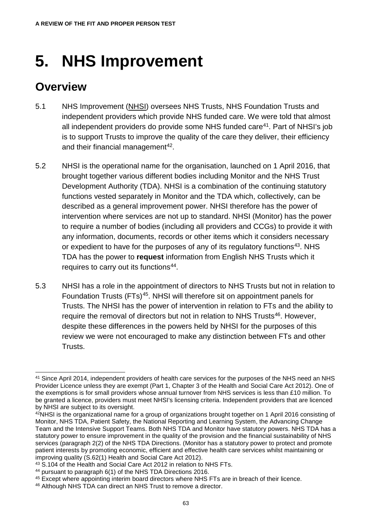# **5. NHS Improvement**

### **Overview**

- 5.1 NHS Improvement (NHSI) oversees NHS Trusts, NHS Foundation Trusts and independent providers which provide NHS funded care. We were told that almost all independent providers do provide some NHS funded care<sup>[41](#page-68-0)</sup>. Part of NHSI's job is to support Trusts to improve the quality of the care they deliver, their efficiency and their financial management [42](#page-68-1).
- 5.2 NHSI is the operational name for the organisation, launched on 1 April 2016, that brought together various different bodies including Monitor and the NHS Trust Development Authority (TDA). NHSI is a combination of the continuing statutory functions vested separately in Monitor and the TDA which, collectively, can be described as a general improvement power. NHSI therefore has the power of intervention where services are not up to standard. NHSI (Monitor) has the power to require a number of bodies (including all providers and CCGs) to provide it with any information, documents, records or other items which it considers necessary or expedient to have for the purposes of any of its regulatory functions<sup>[43](#page-68-2)</sup>. NHS TDA has the power to **request** information from English NHS Trusts which it requires to carry out its functions<sup>[44](#page-68-3)</sup>.
- 5.3 NHSI has a role in the appointment of directors to NHS Trusts but not in relation to Foundation Trusts (FTs)<sup>[45](#page-68-4)</sup>. NHSI will therefore sit on appointment panels for Trusts. The NHSI has the power of intervention in relation to FTs and the ability to require the removal of directors but not in relation to NHS Trusts<sup>46</sup>. However, despite these differences in the powers held by NHSI for the purposes of this review we were not encouraged to make any distinction between FTs and other Trusts.

<span id="page-68-0"></span><sup>&</sup>lt;sup>41</sup> Since April 2014, independent providers of health care services for the purposes of the NHS need an NHS Provider Licence unless they are exempt (Part 1, Chapter 3 of the Health and Social Care Act 2012). One of the exemptions is for small providers whose annual turnover from NHS services is less than £10 million. To be granted a licence, providers must meet NHSI's licensing criteria. Independent providers that are licenced by NHSI are subject to its oversight.

<span id="page-68-1"></span><sup>42</sup>NHSI is the organizational name for a group of organizations brought together on 1 April 2016 consisting of Monitor, NHS TDA, Patient Safety, the National Reporting and Learning System, the Advancing Change Team and the Intensive Support Teams. Both NHS TDA and Monitor have statutory powers. NHS TDA has a statutory power to ensure improvement in the quality of the provision and the financial sustainability of NHS services (paragraph 2(2) of the NHS TDA Directions. (Monitor has a statutory power to protect and promote patient interests by promoting economic, efficient and effective health care services whilst maintaining or improving quality (S.62(1) Health and Social Care Act 2012).<br><sup>43</sup> S.104 of the Health and Social Care Act 2012 in relation to NHS FTs.

<span id="page-68-3"></span><span id="page-68-2"></span><sup>&</sup>lt;sup>44</sup> pursuant to paragraph 6(1) of the NHS TDA Directions 2016.

<span id="page-68-4"></span><sup>45</sup> Except where appointing interim board directors where NHS FTs are in breach of their licence.

<span id="page-68-5"></span><sup>46</sup> Although NHS TDA can direct an NHS Trust to remove a director.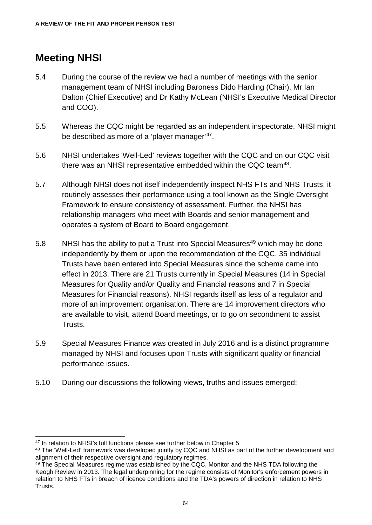#### **Meeting NHSI**

- 5.4 During the course of the review we had a number of meetings with the senior management team of NHSI including Baroness Dido Harding (Chair), Mr Ian Dalton (Chief Executive) and Dr Kathy McLean (NHSI's Executive Medical Director and COO).
- 5.5 Whereas the CQC might be regarded as an independent inspectorate, NHSI might be described as more of a 'player manager'<sup>47</sup>.
- 5.6 NHSI undertakes 'Well-Led' reviews together with the CQC and on our CQC visit there was an NHSI representative embedded within the CQC team<sup>48</sup>.
- 5.7 Although NHSI does not itself independently inspect NHS FTs and NHS Trusts, it routinely assesses their performance using a tool known as the Single Oversight Framework to ensure consistency of assessment. Further, the NHSI has relationship managers who meet with Boards and senior management and operates a system of Board to Board engagement.
- 5.8 NHSI has the ability to put a Trust into Special Measures<sup>[49](#page-69-2)</sup> which may be done independently by them or upon the recommendation of the CQC. 35 individual Trusts have been entered into Special Measures since the scheme came into effect in 2013. There are 21 Trusts currently in Special Measures (14 in Special Measures for Quality and/or Quality and Financial reasons and 7 in Special Measures for Financial reasons). NHSI regards itself as less of a regulator and more of an improvement organisation. There are 14 improvement directors who are available to visit, attend Board meetings, or to go on secondment to assist Trusts.
- 5.9 Special Measures Finance was created in July 2016 and is a distinct programme managed by NHSI and focuses upon Trusts with significant quality or financial performance issues.
- 5.10 During our discussions the following views, truths and issues emerged:

<span id="page-69-0"></span><sup>&</sup>lt;sup>47</sup> In relation to NHSI's full functions please see further below in Chapter 5

<span id="page-69-1"></span><sup>48</sup> The 'Well-Led' framework was developed jointly by CQC and NHSI as part of the further development and alignment of their respective oversight and regulatory regimes.

<span id="page-69-2"></span><sup>&</sup>lt;sup>49</sup> The Special Measures regime was established by the CQC, Monitor and the NHS TDA following the Keogh Review in 2013. The legal underpinning for the regime consists of Monitor's enforcement powers in relation to NHS FTs in breach of licence conditions and the TDA's powers of direction in relation to NHS Trusts.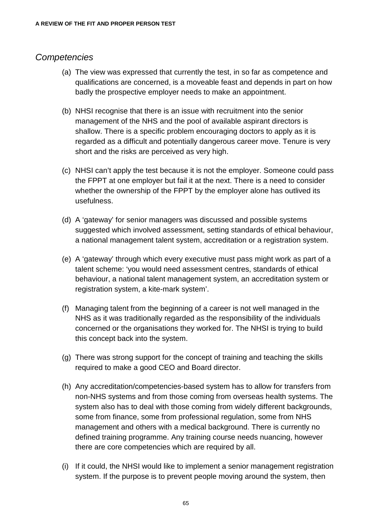#### *Competencies*

- (a) The view was expressed that currently the test, in so far as competence and qualifications are concerned, is a moveable feast and depends in part on how badly the prospective employer needs to make an appointment.
- (b) NHSI recognise that there is an issue with recruitment into the senior management of the NHS and the pool of available aspirant directors is shallow. There is a specific problem encouraging doctors to apply as it is regarded as a difficult and potentially dangerous career move. Tenure is very short and the risks are perceived as very high.
- (c) NHSI can't apply the test because it is not the employer. Someone could pass the FPPT at one employer but fail it at the next. There is a need to consider whether the ownership of the FPPT by the employer alone has outlived its usefulness.
- (d) A 'gateway' for senior managers was discussed and possible systems suggested which involved assessment, setting standards of ethical behaviour, a national management talent system, accreditation or a registration system.
- (e) A 'gateway' through which every executive must pass might work as part of a talent scheme: 'you would need assessment centres, standards of ethical behaviour, a national talent management system, an accreditation system or registration system, a kite-mark system'.
- (f) Managing talent from the beginning of a career is not well managed in the NHS as it was traditionally regarded as the responsibility of the individuals concerned or the organisations they worked for. The NHSI is trying to build this concept back into the system.
- (g) There was strong support for the concept of training and teaching the skills required to make a good CEO and Board director.
- (h) Any accreditation/competencies-based system has to allow for transfers from non-NHS systems and from those coming from overseas health systems. The system also has to deal with those coming from widely different backgrounds, some from finance, some from professional regulation, some from NHS management and others with a medical background. There is currently no defined training programme. Any training course needs nuancing, however there are core competencies which are required by all.
- (i) If it could, the NHSI would like to implement a senior management registration system. If the purpose is to prevent people moving around the system, then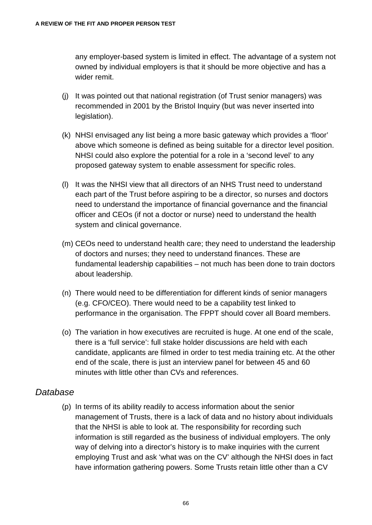any employer-based system is limited in effect. The advantage of a system not owned by individual employers is that it should be more objective and has a wider remit.

- (j) It was pointed out that national registration (of Trust senior managers) was recommended in 2001 by the Bristol Inquiry (but was never inserted into legislation).
- (k) NHSI envisaged any list being a more basic gateway which provides a 'floor' above which someone is defined as being suitable for a director level position. NHSI could also explore the potential for a role in a 'second level' to any proposed gateway system to enable assessment for specific roles.
- (l) It was the NHSI view that all directors of an NHS Trust need to understand each part of the Trust before aspiring to be a director, so nurses and doctors need to understand the importance of financial governance and the financial officer and CEOs (if not a doctor or nurse) need to understand the health system and clinical governance.
- (m) CEOs need to understand health care; they need to understand the leadership of doctors and nurses; they need to understand finances. These are fundamental leadership capabilities – not much has been done to train doctors about leadership.
- (n) There would need to be differentiation for different kinds of senior managers (e.g. CFO/CEO). There would need to be a capability test linked to performance in the organisation. The FPPT should cover all Board members.
- (o) The variation in how executives are recruited is huge. At one end of the scale, there is a 'full service': full stake holder discussions are held with each candidate, applicants are filmed in order to test media training etc. At the other end of the scale, there is just an interview panel for between 45 and 60 minutes with little other than CVs and references.

#### *Database*

(p) In terms of its ability readily to access information about the senior management of Trusts, there is a lack of data and no history about individuals that the NHSI is able to look at. The responsibility for recording such information is still regarded as the business of individual employers. The only way of delving into a director's history is to make inquiries with the current employing Trust and ask 'what was on the CV' although the NHSI does in fact have information gathering powers. Some Trusts retain little other than a CV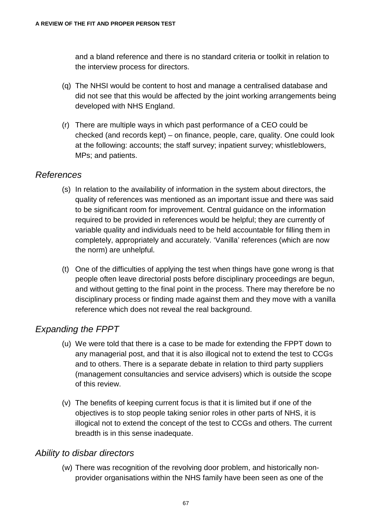and a bland reference and there is no standard criteria or toolkit in relation to the interview process for directors.

- (q) The NHSI would be content to host and manage a centralised database and did not see that this would be affected by the joint working arrangements being developed with NHS England.
- (r) There are multiple ways in which past performance of a CEO could be checked (and records kept) – on finance, people, care, quality. One could look at the following: accounts; the staff survey; inpatient survey; whistleblowers, MPs; and patients.

#### *References*

- (s) In relation to the availability of information in the system about directors, the quality of references was mentioned as an important issue and there was said to be significant room for improvement. Central guidance on the information required to be provided in references would be helpful; they are currently of variable quality and individuals need to be held accountable for filling them in completely, appropriately and accurately. 'Vanilla' references (which are now the norm) are unhelpful.
- (t) One of the difficulties of applying the test when things have gone wrong is that people often leave directorial posts before disciplinary proceedings are begun, and without getting to the final point in the process. There may therefore be no disciplinary process or finding made against them and they move with a vanilla reference which does not reveal the real background.

#### *Expanding the FPPT*

- (u) We were told that there is a case to be made for extending the FPPT down to any managerial post, and that it is also illogical not to extend the test to CCGs and to others. There is a separate debate in relation to third party suppliers (management consultancies and service advisers) which is outside the scope of this review.
- (v) The benefits of keeping current focus is that it is limited but if one of the objectives is to stop people taking senior roles in other parts of NHS, it is illogical not to extend the concept of the test to CCGs and others. The current breadth is in this sense inadequate.

#### *Ability to disbar directors*

(w) There was recognition of the revolving door problem, and historically nonprovider organisations within the NHS family have been seen as one of the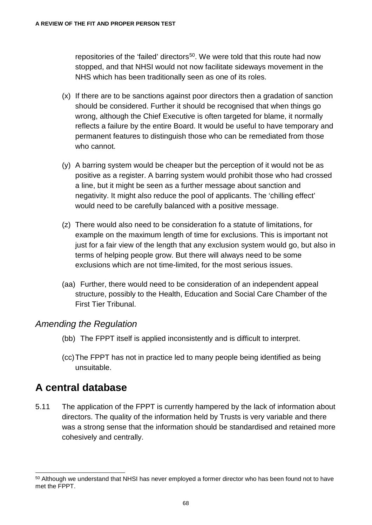repositories of the 'failed' directors<sup>[50](#page-73-0)</sup>. We were told that this route had now stopped, and that NHSI would not now facilitate sideways movement in the NHS which has been traditionally seen as one of its roles.

- (x) If there are to be sanctions against poor directors then a gradation of sanction should be considered. Further it should be recognised that when things go wrong, although the Chief Executive is often targeted for blame, it normally reflects a failure by the entire Board. It would be useful to have temporary and permanent features to distinguish those who can be remediated from those who cannot.
- (y) A barring system would be cheaper but the perception of it would not be as positive as a register. A barring system would prohibit those who had crossed a line, but it might be seen as a further message about sanction and negativity. It might also reduce the pool of applicants. The 'chilling effect' would need to be carefully balanced with a positive message.
- (z) There would also need to be consideration fo a statute of limitations, for example on the maximum length of time for exclusions. This is important not just for a fair view of the length that any exclusion system would go, but also in terms of helping people grow. But there will always need to be some exclusions which are not time-limited, for the most serious issues.
- (aa) Further, there would need to be consideration of an independent appeal structure, possibly to the Health, Education and Social Care Chamber of the First Tier Tribunal.

#### *Amending the Regulation*

- (bb) The FPPT itself is applied inconsistently and is difficult to interpret.
- (cc)The FPPT has not in practice led to many people being identified as being unsuitable.

#### **A central database**

5.11 The application of the FPPT is currently hampered by the lack of information about directors. The quality of the information held by Trusts is very variable and there was a strong sense that the information should be standardised and retained more cohesively and centrally.

<span id="page-73-0"></span> <sup>50</sup> Although we understand that NHSI has never employed a former director who has been found not to have met the FPPT.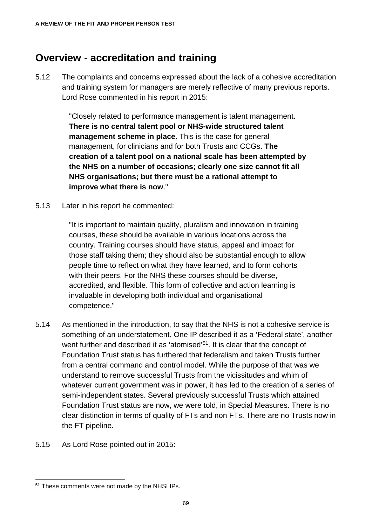#### **Overview - accreditation and training**

5.12 The complaints and concerns expressed about the lack of a cohesive accreditation and training system for managers are merely reflective of many previous reports. Lord Rose commented in his report in 2015:

> "Closely related to performance management is talent management. **There is no central talent pool or NHS-wide structured talent management scheme in place**. This is the case for general management, for clinicians and for both Trusts and CCGs. **The creation of a talent pool on a national scale has been attempted by the NHS on a number of occasions; clearly one size cannot fit all NHS organisations; but there must be a rational attempt to improve what there is now**."

5.13 Later in his report he commented:

"It is important to maintain quality, pluralism and innovation in training courses, these should be available in various locations across the country. Training courses should have status, appeal and impact for those staff taking them; they should also be substantial enough to allow people time to reflect on what they have learned, and to form cohorts with their peers. For the NHS these courses should be diverse, accredited, and flexible. This form of collective and action learning is invaluable in developing both individual and organisational competence."

- 5.14 As mentioned in the introduction, to say that the NHS is not a cohesive service is something of an understatement. One IP described it as a 'Federal state', another went further and described it as 'atomised'<sup>51</sup>. It is clear that the concept of Foundation Trust status has furthered that federalism and taken Trusts further from a central command and control model. While the purpose of that was we understand to remove successful Trusts from the vicissitudes and whim of whatever current government was in power, it has led to the creation of a series of semi-independent states. Several previously successful Trusts which attained Foundation Trust status are now, we were told, in Special Measures. There is no clear distinction in terms of quality of FTs and non FTs. There are no Trusts now in the FT pipeline.
- 5.15 As Lord Rose pointed out in 2015:

<span id="page-74-0"></span> <sup>51</sup> These comments were not made by the NHSI IPs.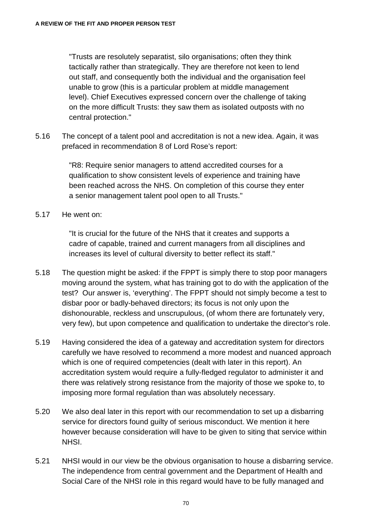"Trusts are resolutely separatist, silo organisations; often they think tactically rather than strategically. They are therefore not keen to lend out staff, and consequently both the individual and the organisation feel unable to grow (this is a particular problem at middle management level). Chief Executives expressed concern over the challenge of taking on the more difficult Trusts: they saw them as isolated outposts with no central protection."

5.16 The concept of a talent pool and accreditation is not a new idea. Again, it was prefaced in recommendation 8 of Lord Rose's report:

> "R8: Require senior managers to attend accredited courses for a qualification to show consistent levels of experience and training have been reached across the NHS. On completion of this course they enter a senior management talent pool open to all Trusts."

5.17 He went on:

"It is crucial for the future of the NHS that it creates and supports a cadre of capable, trained and current managers from all disciplines and increases its level of cultural diversity to better reflect its staff."

- 5.18 The question might be asked: if the FPPT is simply there to stop poor managers moving around the system, what has training got to do with the application of the test? Our answer is, 'everything'. The FPPT should not simply become a test to disbar poor or badly-behaved directors; its focus is not only upon the dishonourable, reckless and unscrupulous, (of whom there are fortunately very, very few), but upon competence and qualification to undertake the director's role.
- 5.19 Having considered the idea of a gateway and accreditation system for directors carefully we have resolved to recommend a more modest and nuanced approach which is one of required competencies (dealt with later in this report). An accreditation system would require a fully-fledged regulator to administer it and there was relatively strong resistance from the majority of those we spoke to, to imposing more formal regulation than was absolutely necessary.
- 5.20 We also deal later in this report with our recommendation to set up a disbarring service for directors found guilty of serious misconduct. We mention it here however because consideration will have to be given to siting that service within NHSI.
- 5.21 NHSI would in our view be the obvious organisation to house a disbarring service. The independence from central government and the Department of Health and Social Care of the NHSI role in this regard would have to be fully managed and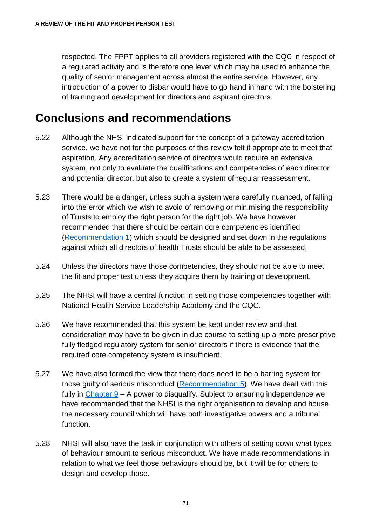respected. The FPPT applies to all providers registered with the CQC in respect of a regulated activity and is therefore one lever which may be used to enhance the quality of senior management across almost the entire service. However, any introduction of a power to disbar would have to go hand in hand with the bolstering of training and development for directors and aspirant directors.

## **Conclusions and recommendations**

- 5.22 Although the NHSI indicated support for the concept of a gateway accreditation service, we have not for the purposes of this review felt it appropriate to meet that aspiration. Any accreditation service of directors would require an extensive system, not only to evaluate the qualifications and competencies of each director and potential director, but also to create a system of regular reassessment.
- 5.23 There would be a danger, unless such a system were carefully nuanced, of falling into the error which we wish to avoid of removing or minimising the responsibility of Trusts to employ the right person for the right job. We have however recommended that there should be certain core competencies identified [\(Recommendation 1\)](#page-132-0) which should be designed and set down in the regulations against which all directors of health Trusts should be able to be assessed.
- 5.24 Unless the directors have those competencies, they should not be able to meet the fit and proper test unless they acquire them by training or development.
- 5.25 The NHSI will have a central function in setting those competencies together with National Health Service Leadership Academy and the CQC.
- 5.26 We have recommended that this system be kept under review and that consideration may have to be given in due course to setting up a more prescriptive fully fledged regulatory system for senior directors if there is evidence that the required core competency system is insufficient.
- 5.27 We have also formed the view that there does need to be a barring system for those guilty of serious misconduct [\(Recommendation 5\)](#page-137-0). We have dealt with this fully in [Chapter 9](#page-103-0) – A power to disqualify. Subject to ensuring independence we have recommended that the NHSI is the right organisation to develop and house the necessary council which will have both investigative powers and a tribunal function.
- 5.28 NHSI will also have the task in conjunction with others of setting down what types of behaviour amount to serious misconduct. We have made recommendations in relation to what we feel those behaviours should be, but it will be for others to design and develop those.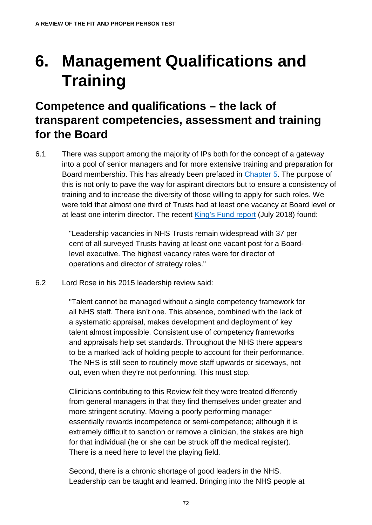# **6. Management Qualifications and Training**

## **Competence and qualifications – the lack of transparent competencies, assessment and training for the Board**

6.1 There was support among the majority of IPs both for the concept of a gateway into a pool of senior managers and for more extensive training and preparation for Board membership. This has already been prefaced in [Chapter 5.](#page-68-0) The purpose of this is not only to pave the way for aspirant directors but to ensure a consistency of training and to increase the diversity of those willing to apply for such roles. We were told that almost one third of Trusts had at least one vacancy at Board level or at least one interim director. The recent [King's Fund report](https://www.kingsfund.org.uk/publications/leadership-todays-nhs) (July 2018) found:

> "Leadership vacancies in NHS Trusts remain widespread with 37 per cent of all surveyed Trusts having at least one vacant post for a Boardlevel executive. The highest vacancy rates were for director of operations and director of strategy roles."

6.2 Lord Rose in his 2015 leadership review said:

"Talent cannot be managed without a single competency framework for all NHS staff. There isn't one. This absence, combined with the lack of a systematic appraisal, makes development and deployment of key talent almost impossible. Consistent use of competency frameworks and appraisals help set standards. Throughout the NHS there appears to be a marked lack of holding people to account for their performance. The NHS is still seen to routinely move staff upwards or sideways, not out, even when they're not performing. This must stop.

Clinicians contributing to this Review felt they were treated differently from general managers in that they find themselves under greater and more stringent scrutiny. Moving a poorly performing manager essentially rewards incompetence or semi-competence; although it is extremely difficult to sanction or remove a clinician, the stakes are high for that individual (he or she can be struck off the medical register). There is a need here to level the playing field.

Second, there is a chronic shortage of good leaders in the NHS. Leadership can be taught and learned. Bringing into the NHS people at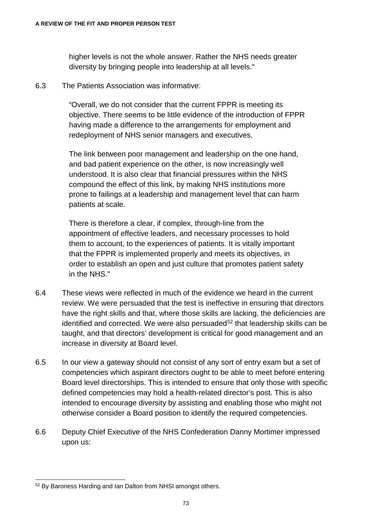higher levels is not the whole answer. Rather the NHS needs greater diversity by bringing people into leadership at all levels."

6.3 The Patients Association was informative:

"Overall, we do not consider that the current FPPR is meeting its objective. There seems to be little evidence of the introduction of FPPR having made a difference to the arrangements for employment and redeployment of NHS senior managers and executives.

The link between poor management and leadership on the one hand, and bad patient experience on the other, is now increasingly well understood. It is also clear that financial pressures within the NHS compound the effect of this link, by making NHS institutions more prone to failings at a leadership and management level that can harm patients at scale.

There is therefore a clear, if complex, through-line from the appointment of effective leaders, and necessary processes to hold them to account, to the experiences of patients. It is vitally important that the FPPR is implemented properly and meets its objectives, in order to establish an open and just culture that promotes patient safety in the NHS."

- 6.4 These views were reflected in much of the evidence we heard in the current review. We were persuaded that the test is ineffective in ensuring that directors have the right skills and that, where those skills are lacking, the deficiencies are identified and corrected. We were also persuaded<sup>[52](#page-78-0)</sup> that leadership skills can be taught, and that directors' development is critical for good management and an increase in diversity at Board level.
- 6.5 In our view a gateway should not consist of any sort of entry exam but a set of competencies which aspirant directors ought to be able to meet before entering Board level directorships. This is intended to ensure that only those with specific defined competencies may hold a health-related director's post. This is also intended to encourage diversity by assisting and enabling those who might not otherwise consider a Board position to identify the required competencies.
- 6.6 Deputy Chief Executive of the NHS Confederation Danny Mortimer impressed upon us:

<span id="page-78-0"></span> <sup>52</sup> By Baroness Harding and Ian Dalton from NHSI amongst others.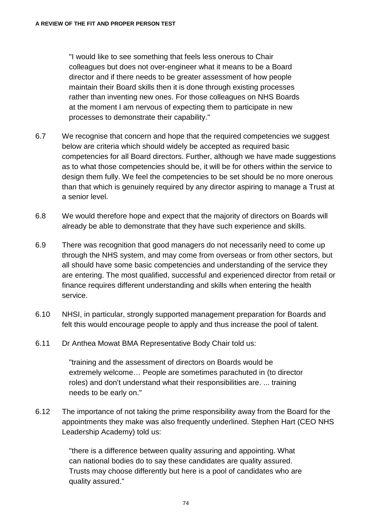"I would like to see something that feels less onerous to Chair colleagues but does not over-engineer what it means to be a Board director and if there needs to be greater assessment of how people maintain their Board skills then it is done through existing processes rather than inventing new ones. For those colleagues on NHS Boards at the moment I am nervous of expecting them to participate in new processes to demonstrate their capability."

- 6.7 We recognise that concern and hope that the required competencies we suggest below are criteria which should widely be accepted as required basic competencies for all Board directors. Further, although we have made suggestions as to what those competencies should be, it will be for others within the service to design them fully. We feel the competencies to be set should be no more onerous than that which is genuinely required by any director aspiring to manage a Trust at a senior level.
- 6.8 We would therefore hope and expect that the majority of directors on Boards will already be able to demonstrate that they have such experience and skills.
- 6.9 There was recognition that good managers do not necessarily need to come up through the NHS system, and may come from overseas or from other sectors, but all should have some basic competencies and understanding of the service they are entering. The most qualified, successful and experienced director from retail or finance requires different understanding and skills when entering the health service.
- 6.10 NHSI, in particular, strongly supported management preparation for Boards and felt this would encourage people to apply and thus increase the pool of talent.
- 6.11 Dr Anthea Mowat BMA Representative Body Chair told us:

"training and the assessment of directors on Boards would be extremely welcome… People are sometimes parachuted in (to director roles) and don't understand what their responsibilities are. ... training needs to be early on."

6.12 The importance of not taking the prime responsibility away from the Board for the appointments they make was also frequently underlined. Stephen Hart (CEO NHS Leadership Academy) told us:

> "there is a difference between quality assuring and appointing. What can national bodies do to say these candidates are quality assured. Trusts may choose differently but here is a pool of candidates who are quality assured."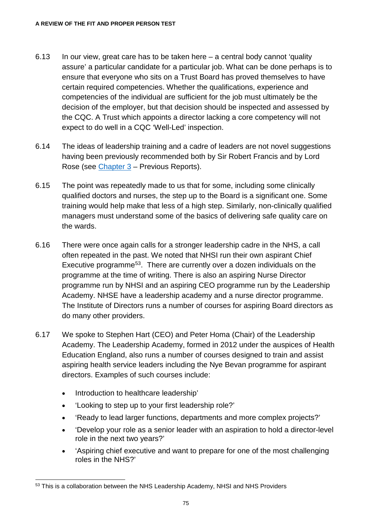- 6.13 In our view, great care has to be taken here a central body cannot 'quality assure' a particular candidate for a particular job. What can be done perhaps is to ensure that everyone who sits on a Trust Board has proved themselves to have certain required competencies. Whether the qualifications, experience and competencies of the individual are sufficient for the job must ultimately be the decision of the employer, but that decision should be inspected and assessed by the CQC. A Trust which appoints a director lacking a core competency will not expect to do well in a CQC 'Well-Led' inspection.
- 6.14 The ideas of leadership training and a cadre of leaders are not novel suggestions having been previously recommended both by Sir Robert Francis and by Lord Rose (see [Chapter 3](#page-32-0) – Previous Reports).
- 6.15 The point was repeatedly made to us that for some, including some clinically qualified doctors and nurses, the step up to the Board is a significant one. Some training would help make that less of a high step. Similarly, non-clinically qualified managers must understand some of the basics of delivering safe quality care on the wards.
- 6.16 There were once again calls for a stronger leadership cadre in the NHS, a call often repeated in the past. We noted that NHSI run their own aspirant Chief Executive programm[e53](#page-80-0). There are currently over a dozen individuals on the programme at the time of writing. There is also an aspiring Nurse Director programme run by NHSI and an aspiring CEO programme run by the Leadership Academy. NHSE have a leadership academy and a nurse director programme. The Institute of Directors runs a number of courses for aspiring Board directors as do many other providers.
- 6.17 We spoke to Stephen Hart (CEO) and Peter Homa (Chair) of the Leadership Academy. The Leadership Academy, formed in 2012 under the auspices of Health Education England, also runs a number of courses designed to train and assist aspiring health service leaders including the Nye Bevan programme for aspirant directors. Examples of such courses include:
	- Introduction to healthcare leadership'
	- 'Looking to step up to your first leadership role?'
	- 'Ready to lead larger functions, departments and more complex projects?'
	- 'Develop your role as a senior leader with an aspiration to hold a director-level role in the next two years?'
	- 'Aspiring chief executive and want to prepare for one of the most challenging roles in the NHS?'

<span id="page-80-0"></span><sup>53</sup> This is a collaboration between the NHS Leadership Academy, NHSI and NHS Providers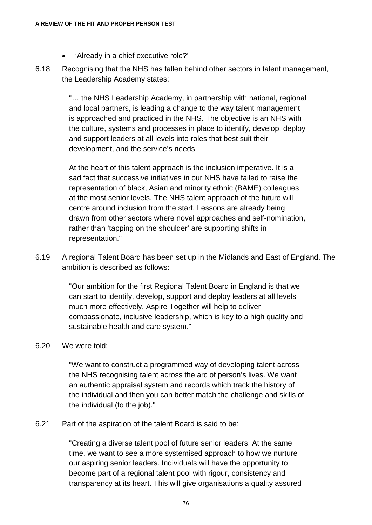- 'Already in a chief executive role?'
- 6.18 Recognising that the NHS has fallen behind other sectors in talent management, the Leadership Academy states:

"… the NHS Leadership Academy, in partnership with national, regional and local partners, is leading a change to the way talent management is approached and practiced in the NHS. The objective is an NHS with the culture, systems and processes in place to identify, develop, deploy and support leaders at all levels into roles that best suit their development, and the service's needs.

At the heart of this talent approach is the inclusion imperative. It is a sad fact that successive initiatives in our NHS have failed to raise the representation of black, Asian and minority ethnic (BAME) colleagues at the most senior levels. The NHS talent approach of the future will centre around inclusion from the start. Lessons are already being drawn from other sectors where novel approaches and self-nomination, rather than 'tapping on the shoulder' are supporting shifts in representation."

6.19 A regional Talent Board has been set up in the Midlands and East of England. The ambition is described as follows:

> "Our ambition for the first Regional Talent Board in England is that we can start to identify, develop, support and deploy leaders at all levels much more effectively. Aspire Together will help to deliver compassionate, inclusive leadership, which is key to a high quality and sustainable health and care system."

#### 6.20 We were told:

"We want to construct a programmed way of developing talent across the NHS recognising talent across the arc of person's lives. We want an authentic appraisal system and records which track the history of the individual and then you can better match the challenge and skills of the individual (to the job)."

#### 6.21 Part of the aspiration of the talent Board is said to be:

"Creating a diverse talent pool of future senior leaders. At the same time, we want to see a more systemised approach to how we nurture our aspiring senior leaders. Individuals will have the opportunity to become part of a regional talent pool with rigour, consistency and transparency at its heart. This will give organisations a quality assured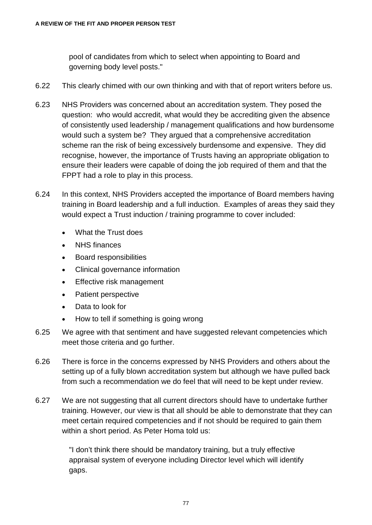pool of candidates from which to select when appointing to Board and governing body level posts."

- 6.22 This clearly chimed with our own thinking and with that of report writers before us.
- 6.23 NHS Providers was concerned about an accreditation system. They posed the question: who would accredit, what would they be accrediting given the absence of consistently used leadership / management qualifications and how burdensome would such a system be? They argued that a comprehensive accreditation scheme ran the risk of being excessively burdensome and expensive. They did recognise, however, the importance of Trusts having an appropriate obligation to ensure their leaders were capable of doing the job required of them and that the FPPT had a role to play in this process.
- 6.24 In this context, NHS Providers accepted the importance of Board members having training in Board leadership and a full induction. Examples of areas they said they would expect a Trust induction / training programme to cover included:
	- What the Trust does
	- NHS finances
	- Board responsibilities
	- Clinical governance information
	- **Effective risk management**
	- Patient perspective
	- Data to look for
	- How to tell if something is going wrong
- 6.25 We agree with that sentiment and have suggested relevant competencies which meet those criteria and go further.
- 6.26 There is force in the concerns expressed by NHS Providers and others about the setting up of a fully blown accreditation system but although we have pulled back from such a recommendation we do feel that will need to be kept under review.
- 6.27 We are not suggesting that all current directors should have to undertake further training. However, our view is that all should be able to demonstrate that they can meet certain required competencies and if not should be required to gain them within a short period. As Peter Homa told us:

"I don't think there should be mandatory training, but a truly effective appraisal system of everyone including Director level which will identify gaps.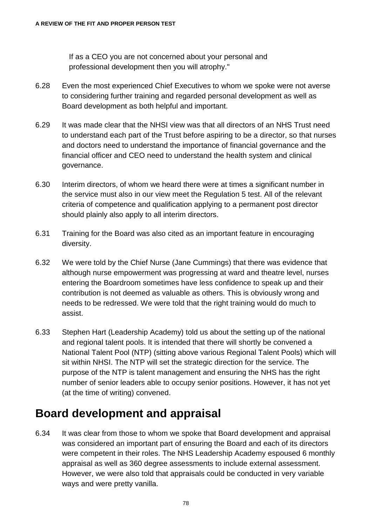If as a CEO you are not concerned about your personal and professional development then you will atrophy."

- 6.28 Even the most experienced Chief Executives to whom we spoke were not averse to considering further training and regarded personal development as well as Board development as both helpful and important.
- 6.29 It was made clear that the NHSI view was that all directors of an NHS Trust need to understand each part of the Trust before aspiring to be a director, so that nurses and doctors need to understand the importance of financial governance and the financial officer and CEO need to understand the health system and clinical governance.
- 6.30 Interim directors, of whom we heard there were at times a significant number in the service must also in our view meet the Regulation 5 test. All of the relevant criteria of competence and qualification applying to a permanent post director should plainly also apply to all interim directors.
- 6.31 Training for the Board was also cited as an important feature in encouraging diversity.
- 6.32 We were told by the Chief Nurse (Jane Cummings) that there was evidence that although nurse empowerment was progressing at ward and theatre level, nurses entering the Boardroom sometimes have less confidence to speak up and their contribution is not deemed as valuable as others. This is obviously wrong and needs to be redressed. We were told that the right training would do much to assist.
- 6.33 Stephen Hart (Leadership Academy) told us about the setting up of the national and regional talent pools. It is intended that there will shortly be convened a National Talent Pool (NTP) (sitting above various Regional Talent Pools) which will sit within NHSI. The NTP will set the strategic direction for the service. The purpose of the NTP is talent management and ensuring the NHS has the right number of senior leaders able to occupy senior positions. However, it has not yet (at the time of writing) convened.

#### **Board development and appraisal**

6.34 It was clear from those to whom we spoke that Board development and appraisal was considered an important part of ensuring the Board and each of its directors were competent in their roles. The NHS Leadership Academy espoused 6 monthly appraisal as well as 360 degree assessments to include external assessment. However, we were also told that appraisals could be conducted in very variable ways and were pretty vanilla.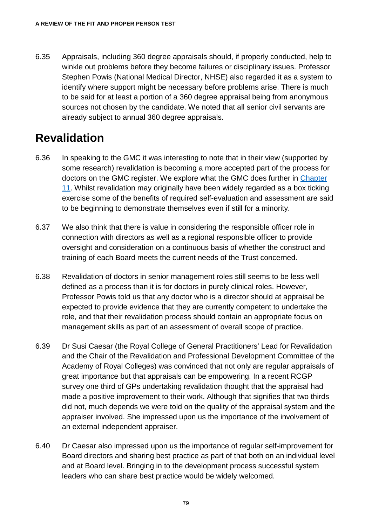6.35 Appraisals, including 360 degree appraisals should, if properly conducted, help to winkle out problems before they become failures or disciplinary issues. Professor Stephen Powis (National Medical Director, NHSE) also regarded it as a system to identify where support might be necessary before problems arise. There is much to be said for at least a portion of a 360 degree appraisal being from anonymous sources not chosen by the candidate. We noted that all senior civil servants are already subject to annual 360 degree appraisals.

## **Revalidation**

- 6.36 In speaking to the GMC it was interesting to note that in their view (supported by some research) revalidation is becoming a more accepted part of the process for doctors on the GMC register. We explore what the GMC does further in [Chapter](#page-123-0)  [11.](#page-123-0) Whilst revalidation may originally have been widely regarded as a box ticking exercise some of the benefits of required self-evaluation and assessment are said to be beginning to demonstrate themselves even if still for a minority.
- 6.37 We also think that there is value in considering the responsible officer role in connection with directors as well as a regional responsible officer to provide oversight and consideration on a continuous basis of whether the construct and training of each Board meets the current needs of the Trust concerned.
- 6.38 Revalidation of doctors in senior management roles still seems to be less well defined as a process than it is for doctors in purely clinical roles. However, Professor Powis told us that any doctor who is a director should at appraisal be expected to provide evidence that they are currently competent to undertake the role, and that their revalidation process should contain an appropriate focus on management skills as part of an assessment of overall scope of practice.
- 6.39 Dr Susi Caesar (the Royal College of General Practitioners' Lead for Revalidation and the Chair of the Revalidation and Professional Development Committee of the Academy of Royal Colleges) was convinced that not only are regular appraisals of great importance but that appraisals can be empowering. In a recent RCGP survey one third of GPs undertaking revalidation thought that the appraisal had made a positive improvement to their work. Although that signifies that two thirds did not, much depends we were told on the quality of the appraisal system and the appraiser involved. She impressed upon us the importance of the involvement of an external independent appraiser.
- 6.40 Dr Caesar also impressed upon us the importance of regular self-improvement for Board directors and sharing best practice as part of that both on an individual level and at Board level. Bringing in to the development process successful system leaders who can share best practice would be widely welcomed.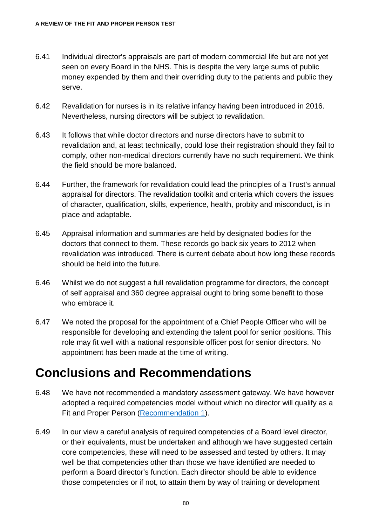- 6.41 Individual director's appraisals are part of modern commercial life but are not yet seen on every Board in the NHS. This is despite the very large sums of public money expended by them and their overriding duty to the patients and public they serve.
- 6.42 Revalidation for nurses is in its relative infancy having been introduced in 2016. Nevertheless, nursing directors will be subject to revalidation.
- 6.43 It follows that while doctor directors and nurse directors have to submit to revalidation and, at least technically, could lose their registration should they fail to comply, other non-medical directors currently have no such requirement. We think the field should be more balanced.
- 6.44 Further, the framework for revalidation could lead the principles of a Trust's annual appraisal for directors. The revalidation toolkit and criteria which covers the issues of character, qualification, skills, experience, health, probity and misconduct, is in place and adaptable.
- 6.45 Appraisal information and summaries are held by designated bodies for the doctors that connect to them. These records go back six years to 2012 when revalidation was introduced. There is current debate about how long these records should be held into the future.
- 6.46 Whilst we do not suggest a full revalidation programme for directors, the concept of self appraisal and 360 degree appraisal ought to bring some benefit to those who embrace it.
- 6.47 We noted the proposal for the appointment of a Chief People Officer who will be responsible for developing and extending the talent pool for senior positions. This role may fit well with a national responsible officer post for senior directors. No appointment has been made at the time of writing.

## **Conclusions and Recommendations**

- 6.48 We have not recommended a mandatory assessment gateway. We have however adopted a required competencies model without which no director will qualify as a Fit and Proper Person [\(Recommendation 1\)](#page-132-0).
- 6.49 In our view a careful analysis of required competencies of a Board level director, or their equivalents, must be undertaken and although we have suggested certain core competencies, these will need to be assessed and tested by others. It may well be that competencies other than those we have identified are needed to perform a Board director's function. Each director should be able to evidence those competencies or if not, to attain them by way of training or development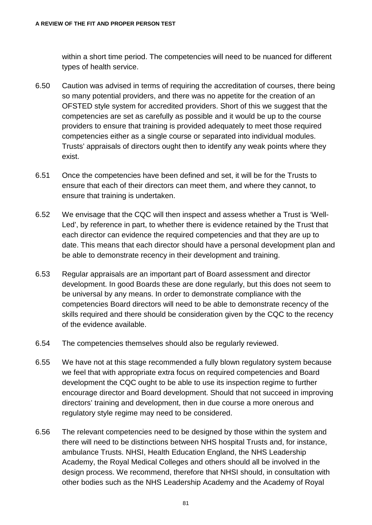within a short time period. The competencies will need to be nuanced for different types of health service.

- 6.50 Caution was advised in terms of requiring the accreditation of courses, there being so many potential providers, and there was no appetite for the creation of an OFSTED style system for accredited providers. Short of this we suggest that the competencies are set as carefully as possible and it would be up to the course providers to ensure that training is provided adequately to meet those required competencies either as a single course or separated into individual modules. Trusts' appraisals of directors ought then to identify any weak points where they exist.
- 6.51 Once the competencies have been defined and set, it will be for the Trusts to ensure that each of their directors can meet them, and where they cannot, to ensure that training is undertaken.
- 6.52 We envisage that the CQC will then inspect and assess whether a Trust is 'Well-Led', by reference in part, to whether there is evidence retained by the Trust that each director can evidence the required competencies and that they are up to date. This means that each director should have a personal development plan and be able to demonstrate recency in their development and training.
- 6.53 Regular appraisals are an important part of Board assessment and director development. In good Boards these are done regularly, but this does not seem to be universal by any means. In order to demonstrate compliance with the competencies Board directors will need to be able to demonstrate recency of the skills required and there should be consideration given by the CQC to the recency of the evidence available.
- 6.54 The competencies themselves should also be regularly reviewed.
- 6.55 We have not at this stage recommended a fully blown regulatory system because we feel that with appropriate extra focus on required competencies and Board development the CQC ought to be able to use its inspection regime to further encourage director and Board development. Should that not succeed in improving directors' training and development, then in due course a more onerous and regulatory style regime may need to be considered.
- 6.56 The relevant competencies need to be designed by those within the system and there will need to be distinctions between NHS hospital Trusts and, for instance, ambulance Trusts. NHSI, Health Education England, the NHS Leadership Academy, the Royal Medical Colleges and others should all be involved in the design process. We recommend, therefore that NHSI should, in consultation with other bodies such as the NHS Leadership Academy and the Academy of Royal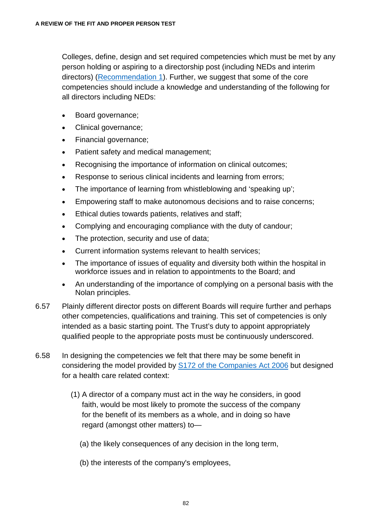Colleges, define, design and set required competencies which must be met by any person holding or aspiring to a directorship post (including NEDs and interim directors) [\(Recommendation 1\)](#page-132-0). Further, we suggest that some of the core competencies should include a knowledge and understanding of the following for all directors including NEDs:

- Board governance;
- Clinical governance;
- Financial governance;
- Patient safety and medical management;
- Recognising the importance of information on clinical outcomes:
- Response to serious clinical incidents and learning from errors;
- The importance of learning from whistleblowing and 'speaking up';
- Empowering staff to make autonomous decisions and to raise concerns;
- Ethical duties towards patients, relatives and staff;
- Complying and encouraging compliance with the duty of candour;
- The protection, security and use of data;
- Current information systems relevant to health services;
- The importance of issues of equality and diversity both within the hospital in workforce issues and in relation to appointments to the Board; and
- An understanding of the importance of complying on a personal basis with the Nolan principles.
- 6.57 Plainly different director posts on different Boards will require further and perhaps other competencies, qualifications and training. This set of competencies is only intended as a basic starting point. The Trust's duty to appoint appropriately qualified people to the appropriate posts must be continuously underscored.
- 6.58 In designing the competencies we felt that there may be some benefit in considering the model provided by [S172 of the Companies Act 2006](https://www.legislation.gov.uk/ukpga/2006/46/section/172) but designed for a health care related context:
	- (1) A director of a company must act in the way he considers, in good faith, would be most likely to promote the success of the company for the benefit of its members as a whole, and in doing so have regard (amongst other matters) to—
		- (a) the likely consequences of any decision in the long term,
		- (b) the interests of the company's employees,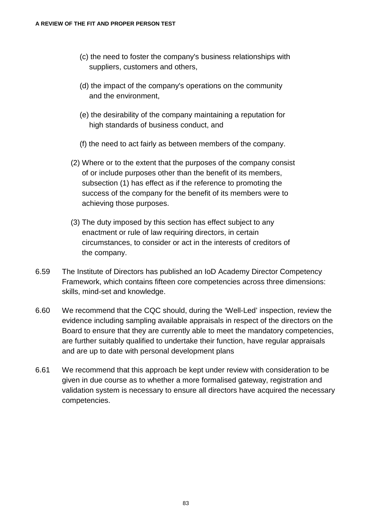- (c) the need to foster the company's business relationships with suppliers, customers and others,
- (d) the impact of the company's operations on the community and the environment,
- (e) the desirability of the company maintaining a reputation for high standards of business conduct, and
- (f) the need to act fairly as between members of the company.
- (2) Where or to the extent that the purposes of the company consist of or include purposes other than the benefit of its members, subsection (1) has effect as if the reference to promoting the success of the company for the benefit of its members were to achieving those purposes.
- (3) The duty imposed by this section has effect subject to any enactment or rule of law requiring directors, in certain circumstances, to consider or act in the interests of creditors of the company.
- 6.59 The Institute of Directors has published an IoD Academy Director Competency Framework, which contains fifteen core competencies across three dimensions: skills, mind-set and knowledge.
- 6.60 We recommend that the CQC should, during the 'Well-Led' inspection, review the evidence including sampling available appraisals in respect of the directors on the Board to ensure that they are currently able to meet the mandatory competencies, are further suitably qualified to undertake their function, have regular appraisals and are up to date with personal development plans
- 6.61 We recommend that this approach be kept under review with consideration to be given in due course as to whether a more formalised gateway, registration and validation system is necessary to ensure all directors have acquired the necessary competencies.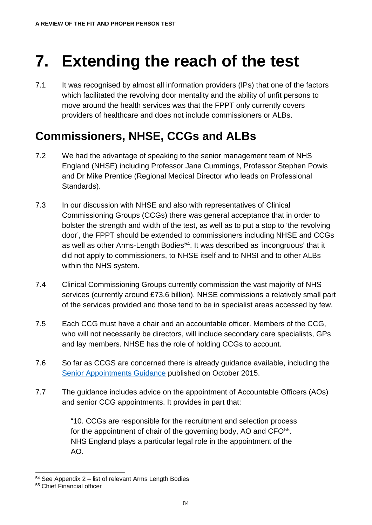# **7. Extending the reach of the test**

7.1 It was recognised by almost all information providers (IPs) that one of the factors which facilitated the revolving door mentality and the ability of unfit persons to move around the health services was that the FPPT only currently covers providers of healthcare and does not include commissioners or ALBs.

## **Commissioners, NHSE, CCGs and ALBs**

- 7.2 We had the advantage of speaking to the senior management team of NHS England (NHSE) including Professor Jane Cummings, Professor Stephen Powis and Dr Mike Prentice (Regional Medical Director who leads on Professional Standards).
- 7.3 In our discussion with NHSE and also with representatives of Clinical Commissioning Groups (CCGs) there was general acceptance that in order to bolster the strength and width of the test, as well as to put a stop to 'the revolving door', the FPPT should be extended to commissioners including NHSE and CCGs as well as other Arms-Length Bodies<sup>[54](#page-89-0)</sup>. It was described as 'incongruous' that it did not apply to commissioners, to NHSE itself and to NHSI and to other ALBs within the NHS system.
- 7.4 Clinical Commissioning Groups currently commission the vast majority of NHS services (currently around £73.6 billion). NHSE commissions a relatively small part of the services provided and those tend to be in specialist areas accessed by few.
- 7.5 Each CCG must have a chair and an accountable officer. Members of the CCG, who will not necessarily be directors, will include secondary care specialists, GPs and lay members. NHSE has the role of holding CCGs to account.
- 7.6 So far as CCGS are concerned there is already guidance available, including the [Senior Appointments Guidance](https://www.england.nhs.uk/wp-content/uploads/2017/03/update-ccg-snr-appt-guidance-mar17.pdf) published on October 2015.
- 7.7 The guidance includes advice on the appointment of Accountable Officers (AOs) and senior CCG appointments. It provides in part that:

"10. CCGs are responsible for the recruitment and selection process for the appointment of chair of the governing body, AO and CFO<sup>55</sup>. NHS England plays a particular legal role in the appointment of the AO.

<span id="page-89-0"></span> <sup>54</sup> See Appendix 2 – list of relevant Arms Length Bodies

<span id="page-89-1"></span><sup>55</sup> Chief Financial officer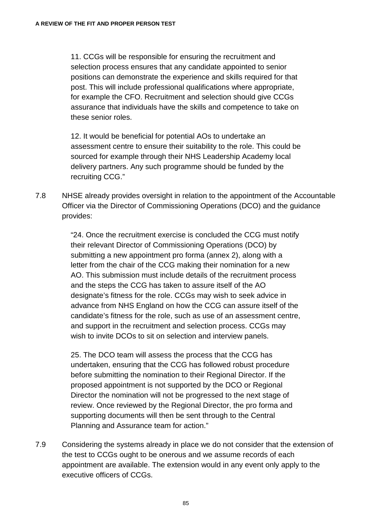11. CCGs will be responsible for ensuring the recruitment and selection process ensures that any candidate appointed to senior positions can demonstrate the experience and skills required for that post. This will include professional qualifications where appropriate, for example the CFO. Recruitment and selection should give CCGs assurance that individuals have the skills and competence to take on these senior roles.

12. It would be beneficial for potential AOs to undertake an assessment centre to ensure their suitability to the role. This could be sourced for example through their NHS Leadership Academy local delivery partners. Any such programme should be funded by the recruiting CCG."

7.8 NHSE already provides oversight in relation to the appointment of the Accountable Officer via the Director of Commissioning Operations (DCO) and the guidance provides:

> "24. Once the recruitment exercise is concluded the CCG must notify their relevant Director of Commissioning Operations (DCO) by submitting a new appointment pro forma (annex 2), along with a letter from the chair of the CCG making their nomination for a new AO. This submission must include details of the recruitment process and the steps the CCG has taken to assure itself of the AO designate's fitness for the role. CCGs may wish to seek advice in advance from NHS England on how the CCG can assure itself of the candidate's fitness for the role, such as use of an assessment centre, and support in the recruitment and selection process. CCGs may wish to invite DCOs to sit on selection and interview panels.

25. The DCO team will assess the process that the CCG has undertaken, ensuring that the CCG has followed robust procedure before submitting the nomination to their Regional Director. If the proposed appointment is not supported by the DCO or Regional Director the nomination will not be progressed to the next stage of review. Once reviewed by the Regional Director, the pro forma and supporting documents will then be sent through to the Central Planning and Assurance team for action."

7.9 Considering the systems already in place we do not consider that the extension of the test to CCGs ought to be onerous and we assume records of each appointment are available. The extension would in any event only apply to the executive officers of CCGs.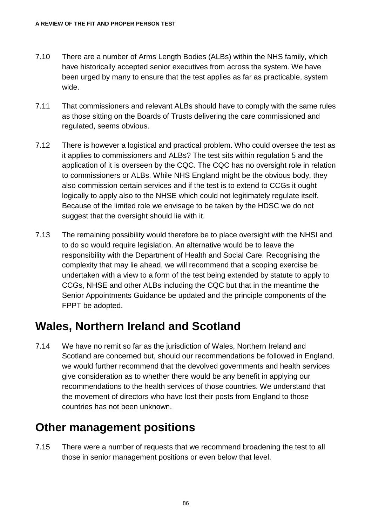- 7.10 There are a number of Arms Length Bodies (ALBs) within the NHS family, which have historically accepted senior executives from across the system. We have been urged by many to ensure that the test applies as far as practicable, system wide.
- 7.11 That commissioners and relevant ALBs should have to comply with the same rules as those sitting on the Boards of Trusts delivering the care commissioned and regulated, seems obvious.
- 7.12 There is however a logistical and practical problem. Who could oversee the test as it applies to commissioners and ALBs? The test sits within regulation 5 and the application of it is overseen by the CQC. The CQC has no oversight role in relation to commissioners or ALBs. While NHS England might be the obvious body, they also commission certain services and if the test is to extend to CCGs it ought logically to apply also to the NHSE which could not legitimately regulate itself. Because of the limited role we envisage to be taken by the HDSC we do not suggest that the oversight should lie with it.
- 7.13 The remaining possibility would therefore be to place oversight with the NHSI and to do so would require legislation. An alternative would be to leave the responsibility with the Department of Health and Social Care. Recognising the complexity that may lie ahead, we will recommend that a scoping exercise be undertaken with a view to a form of the test being extended by statute to apply to CCGs, NHSE and other ALBs including the CQC but that in the meantime the Senior Appointments Guidance be updated and the principle components of the FPPT be adopted.

## **Wales, Northern Ireland and Scotland**

7.14 We have no remit so far as the jurisdiction of Wales, Northern Ireland and Scotland are concerned but, should our recommendations be followed in England, we would further recommend that the devolved governments and health services give consideration as to whether there would be any benefit in applying our recommendations to the health services of those countries. We understand that the movement of directors who have lost their posts from England to those countries has not been unknown.

## **Other management positions**

7.15 There were a number of requests that we recommend broadening the test to all those in senior management positions or even below that level.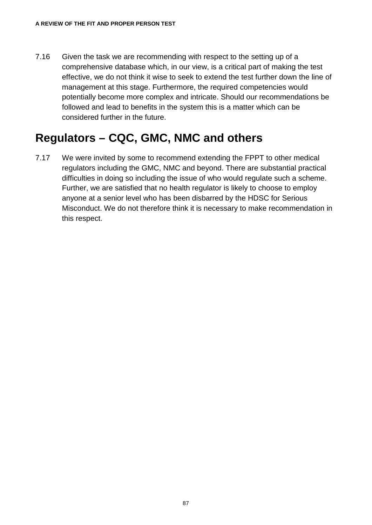7.16 Given the task we are recommending with respect to the setting up of a comprehensive database which, in our view, is a critical part of making the test effective, we do not think it wise to seek to extend the test further down the line of management at this stage. Furthermore, the required competencies would potentially become more complex and intricate. Should our recommendations be followed and lead to benefits in the system this is a matter which can be considered further in the future.

## **Regulators – CQC, GMC, NMC and others**

7.17 We were invited by some to recommend extending the FPPT to other medical regulators including the GMC, NMC and beyond. There are substantial practical difficulties in doing so including the issue of who would regulate such a scheme. Further, we are satisfied that no health regulator is likely to choose to employ anyone at a senior level who has been disbarred by the HDSC for Serious Misconduct. We do not therefore think it is necessary to make recommendation in this respect.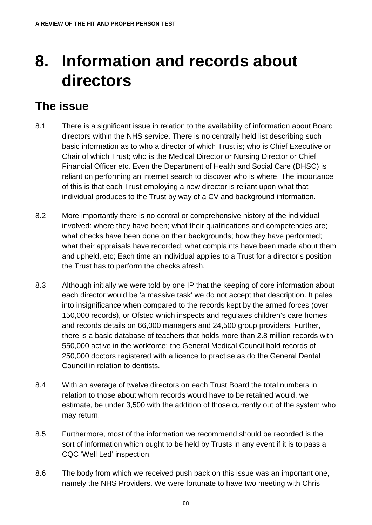# **8. Information and records about directors**

### **The issue**

- 8.1 There is a significant issue in relation to the availability of information about Board directors within the NHS service. There is no centrally held list describing such basic information as to who a director of which Trust is; who is Chief Executive or Chair of which Trust; who is the Medical Director or Nursing Director or Chief Financial Officer etc. Even the Department of Health and Social Care (DHSC) is reliant on performing an internet search to discover who is where. The importance of this is that each Trust employing a new director is reliant upon what that individual produces to the Trust by way of a CV and background information.
- 8.2 More importantly there is no central or comprehensive history of the individual involved: where they have been; what their qualifications and competencies are; what checks have been done on their backgrounds; how they have performed; what their appraisals have recorded; what complaints have been made about them and upheld, etc; Each time an individual applies to a Trust for a director's position the Trust has to perform the checks afresh.
- 8.3 Although initially we were told by one IP that the keeping of core information about each director would be 'a massive task' we do not accept that description. It pales into insignificance when compared to the records kept by the armed forces (over 150,000 records), or Ofsted which inspects and regulates children's care homes and records details on 66,000 managers and 24,500 group providers. Further, there is a basic database of teachers that holds more than 2.8 million records with 550,000 active in the workforce; the General Medical Council hold records of 250,000 doctors registered with a licence to practise as do the General Dental Council in relation to dentists.
- 8.4 With an average of twelve directors on each Trust Board the total numbers in relation to those about whom records would have to be retained would, we estimate, be under 3,500 with the addition of those currently out of the system who may return.
- 8.5 Furthermore, most of the information we recommend should be recorded is the sort of information which ought to be held by Trusts in any event if it is to pass a CQC 'Well Led' inspection.
- 8.6 The body from which we received push back on this issue was an important one, namely the NHS Providers. We were fortunate to have two meeting with Chris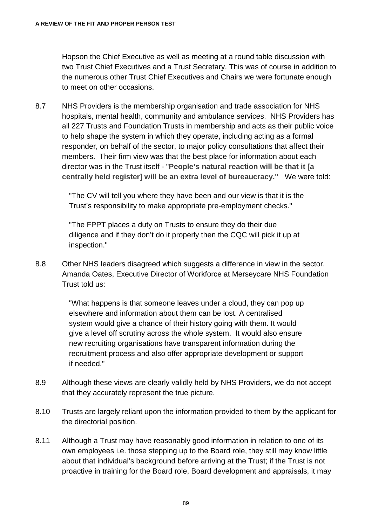Hopson the Chief Executive as well as meeting at a round table discussion with two Trust Chief Executives and a Trust Secretary. This was of course in addition to the numerous other Trust Chief Executives and Chairs we were fortunate enough to meet on other occasions.

8.7 NHS Providers is the membership organisation and trade association for NHS hospitals, mental health, community and ambulance services. NHS Providers has all 227 Trusts and Foundation Trusts in membership and acts as their public voice to help shape the system in which they operate, including acting as a formal responder, on behalf of the sector, to major policy consultations that affect their members. Their firm view was that the best place for information about each director was in the Trust itself - "**People's natural reaction will be that it [a centrally held register] will be an extra level of bureaucracy."** We were told:

> "The CV will tell you where they have been and our view is that it is the Trust's responsibility to make appropriate pre-employment checks."

"The FPPT places a duty on Trusts to ensure they do their due diligence and if they don't do it properly then the CQC will pick it up at inspection."

8.8 Other NHS leaders disagreed which suggests a difference in view in the sector. Amanda Oates, Executive Director of Workforce at Merseycare NHS Foundation Trust told us:

> "What happens is that someone leaves under a cloud, they can pop up elsewhere and information about them can be lost. A centralised system would give a chance of their history going with them. It would give a level off scrutiny across the whole system. It would also ensure new recruiting organisations have transparent information during the recruitment process and also offer appropriate development or support if needed."

- 8.9 Although these views are clearly validly held by NHS Providers, we do not accept that they accurately represent the true picture.
- 8.10 Trusts are largely reliant upon the information provided to them by the applicant for the directorial position.
- 8.11 Although a Trust may have reasonably good information in relation to one of its own employees i.e. those stepping up to the Board role, they still may know little about that individual's background before arriving at the Trust; if the Trust is not proactive in training for the Board role, Board development and appraisals, it may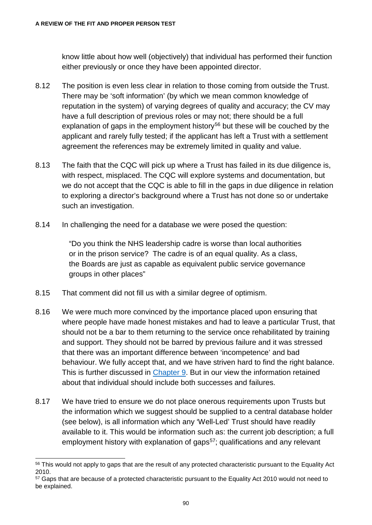know little about how well (objectively) that individual has performed their function either previously or once they have been appointed director.

- 8.12 The position is even less clear in relation to those coming from outside the Trust. There may be 'soft information' (by which we mean common knowledge of reputation in the system) of varying degrees of quality and accuracy; the CV may have a full description of previous roles or may not; there should be a full explanation of gaps in the employment history<sup>[56](#page-95-0)</sup> but these will be couched by the applicant and rarely fully tested; if the applicant has left a Trust with a settlement agreement the references may be extremely limited in quality and value.
- 8.13 The faith that the CQC will pick up where a Trust has failed in its due diligence is, with respect, misplaced. The CQC will explore systems and documentation, but we do not accept that the CQC is able to fill in the gaps in due diligence in relation to exploring a director's background where a Trust has not done so or undertake such an investigation.
- 8.14 In challenging the need for a database we were posed the question:

"Do you think the NHS leadership cadre is worse than local authorities or in the prison service? The cadre is of an equal quality. As a class, the Boards are just as capable as equivalent public service governance groups in other places"

- 8.15 That comment did not fill us with a similar degree of optimism.
- 8.16 We were much more convinced by the importance placed upon ensuring that where people have made honest mistakes and had to leave a particular Trust, that should not be a bar to them returning to the service once rehabilitated by training and support. They should not be barred by previous failure and it was stressed that there was an important difference between 'incompetence' and bad behaviour. We fully accept that, and we have striven hard to find the right balance. This is further discussed in [Chapter 9.](#page-103-0) But in our view the information retained about that individual should include both successes and failures.
- 8.17 We have tried to ensure we do not place onerous requirements upon Trusts but the information which we suggest should be supplied to a central database holder (see below), is all information which any 'Well-Led' Trust should have readily available to it. This would be information such as: the current job description; a full employment history with explanation of gaps<sup>57</sup>; qualifications and any relevant

<span id="page-95-0"></span><sup>&</sup>lt;sup>56</sup> This would not apply to gaps that are the result of any protected characteristic pursuant to the Equality Act 2010.

<span id="page-95-1"></span><sup>&</sup>lt;sup>57</sup> Gaps that are because of a protected characteristic pursuant to the Equality Act 2010 would not need to be explained.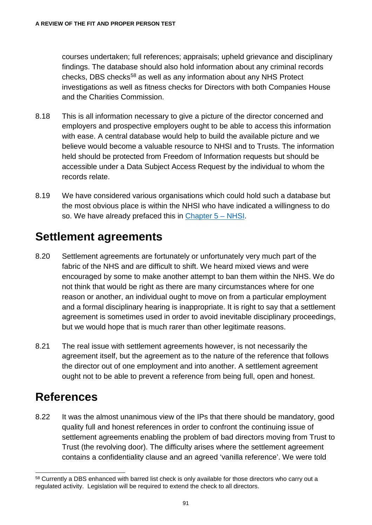courses undertaken; full references; appraisals; upheld grievance and disciplinary findings. The database should also hold information about any criminal records checks, DBS checks<sup>[58](#page-96-0)</sup> as well as any information about any NHS Protect investigations as well as fitness checks for Directors with both Companies House and the Charities Commission.

- 8.18 This is all information necessary to give a picture of the director concerned and employers and prospective employers ought to be able to access this information with ease. A central database would help to build the available picture and we believe would become a valuable resource to NHSI and to Trusts. The information held should be protected from Freedom of Information requests but should be accessible under a Data Subject Access Request by the individual to whom the records relate.
- 8.19 We have considered various organisations which could hold such a database but the most obvious place is within the NHSI who have indicated a willingness to do so. We have already prefaced this in [Chapter 5 –](#page-68-0) NHSI.

### **Settlement agreements**

- 8.20 Settlement agreements are fortunately or unfortunately very much part of the fabric of the NHS and are difficult to shift. We heard mixed views and were encouraged by some to make another attempt to ban them within the NHS. We do not think that would be right as there are many circumstances where for one reason or another, an individual ought to move on from a particular employment and a formal disciplinary hearing is inappropriate. It is right to say that a settlement agreement is sometimes used in order to avoid inevitable disciplinary proceedings, but we would hope that is much rarer than other legitimate reasons.
- 8.21 The real issue with settlement agreements however, is not necessarily the agreement itself, but the agreement as to the nature of the reference that follows the director out of one employment and into another. A settlement agreement ought not to be able to prevent a reference from being full, open and honest.

## **References**

8.22 It was the almost unanimous view of the IPs that there should be mandatory, good quality full and honest references in order to confront the continuing issue of settlement agreements enabling the problem of bad directors moving from Trust to Trust (the revolving door). The difficulty arises where the settlement agreement contains a confidentiality clause and an agreed 'vanilla reference'. We were told

<span id="page-96-0"></span><sup>58</sup> Currently a DBS enhanced with barred list check is only available for those directors who carry out a regulated activity. Legislation will be required to extend the check to all directors.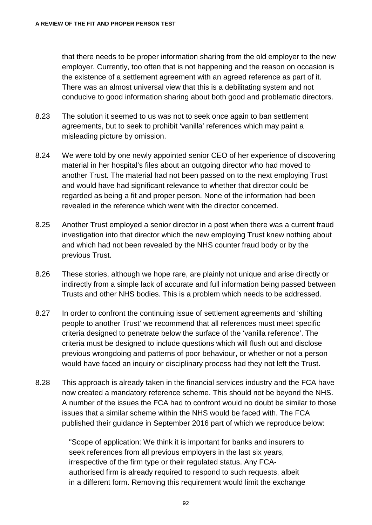that there needs to be proper information sharing from the old employer to the new employer. Currently, too often that is not happening and the reason on occasion is the existence of a settlement agreement with an agreed reference as part of it. There was an almost universal view that this is a debilitating system and not conducive to good information sharing about both good and problematic directors.

- 8.23 The solution it seemed to us was not to seek once again to ban settlement agreements, but to seek to prohibit 'vanilla' references which may paint a misleading picture by omission.
- 8.24 We were told by one newly appointed senior CEO of her experience of discovering material in her hospital's files about an outgoing director who had moved to another Trust. The material had not been passed on to the next employing Trust and would have had significant relevance to whether that director could be regarded as being a fit and proper person. None of the information had been revealed in the reference which went with the director concerned.
- 8.25 Another Trust employed a senior director in a post when there was a current fraud investigation into that director which the new employing Trust knew nothing about and which had not been revealed by the NHS counter fraud body or by the previous Trust.
- 8.26 These stories, although we hope rare, are plainly not unique and arise directly or indirectly from a simple lack of accurate and full information being passed between Trusts and other NHS bodies. This is a problem which needs to be addressed.
- 8.27 In order to confront the continuing issue of settlement agreements and 'shifting people to another Trust' we recommend that all references must meet specific criteria designed to penetrate below the surface of the 'vanilla reference'. The criteria must be designed to include questions which will flush out and disclose previous wrongdoing and patterns of poor behaviour, or whether or not a person would have faced an inquiry or disciplinary process had they not left the Trust.
- 8.28 This approach is already taken in the financial services industry and the FCA have now created a mandatory reference scheme. This should not be beyond the NHS. A number of the issues the FCA had to confront would no doubt be similar to those issues that a similar scheme within the NHS would be faced with. The FCA published their guidance in September 2016 part of which we reproduce below:

"Scope of application: We think it is important for banks and insurers to seek references from all previous employers in the last six years, irrespective of the firm type or their regulated status. Any FCAauthorised firm is already required to respond to such requests, albeit in a different form. Removing this requirement would limit the exchange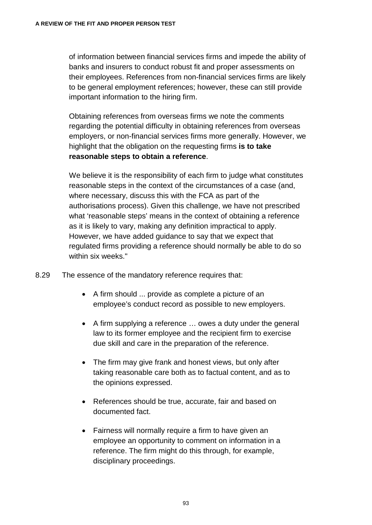of information between financial services firms and impede the ability of banks and insurers to conduct robust fit and proper assessments on their employees. References from non-financial services firms are likely to be general employment references; however, these can still provide important information to the hiring firm.

Obtaining references from overseas firms we note the comments regarding the potential difficulty in obtaining references from overseas employers, or non-financial services firms more generally. However, we highlight that the obligation on the requesting firms **is to take reasonable steps to obtain a reference**.

We believe it is the responsibility of each firm to judge what constitutes reasonable steps in the context of the circumstances of a case (and, where necessary, discuss this with the FCA as part of the authorisations process). Given this challenge, we have not prescribed what 'reasonable steps' means in the context of obtaining a reference as it is likely to vary, making any definition impractical to apply. However, we have added guidance to say that we expect that regulated firms providing a reference should normally be able to do so within six weeks."

- 8.29 The essence of the mandatory reference requires that:
	- A firm should ... provide as complete a picture of an employee's conduct record as possible to new employers.
	- A firm supplying a reference … owes a duty under the general law to its former employee and the recipient firm to exercise due skill and care in the preparation of the reference.
	- The firm may give frank and honest views, but only after taking reasonable care both as to factual content, and as to the opinions expressed.
	- References should be true, accurate, fair and based on documented fact.
	- Fairness will normally require a firm to have given an employee an opportunity to comment on information in a reference. The firm might do this through, for example, disciplinary proceedings.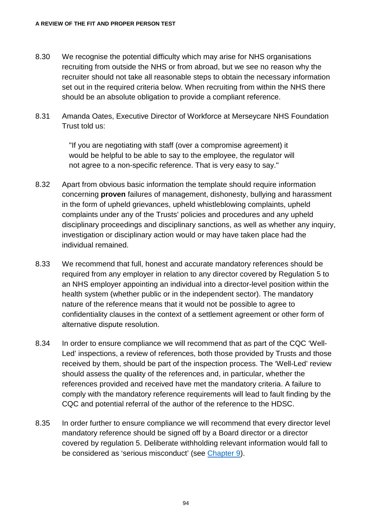- 8.30 We recognise the potential difficulty which may arise for NHS organisations recruiting from outside the NHS or from abroad, but we see no reason why the recruiter should not take all reasonable steps to obtain the necessary information set out in the required criteria below. When recruiting from within the NHS there should be an absolute obligation to provide a compliant reference.
- 8.31 Amanda Oates, Executive Director of Workforce at Merseycare NHS Foundation Trust told us:

"If you are negotiating with staff (over a compromise agreement) it would be helpful to be able to say to the employee, the regulator will not agree to a non-specific reference. That is very easy to say."

- 8.32 Apart from obvious basic information the template should require information concerning **proven** failures of management, dishonesty, bullying and harassment in the form of upheld grievances, upheld whistleblowing complaints, upheld complaints under any of the Trusts' policies and procedures and any upheld disciplinary proceedings and disciplinary sanctions, as well as whether any inquiry, investigation or disciplinary action would or may have taken place had the individual remained.
- 8.33 We recommend that full, honest and accurate mandatory references should be required from any employer in relation to any director covered by Regulation 5 to an NHS employer appointing an individual into a director-level position within the health system (whether public or in the independent sector). The mandatory nature of the reference means that it would not be possible to agree to confidentiality clauses in the context of a settlement agreement or other form of alternative dispute resolution.
- 8.34 In order to ensure compliance we will recommend that as part of the CQC 'Well-Led' inspections, a review of references, both those provided by Trusts and those received by them, should be part of the inspection process. The 'Well-Led' review should assess the quality of the references and, in particular, whether the references provided and received have met the mandatory criteria. A failure to comply with the mandatory reference requirements will lead to fault finding by the CQC and potential referral of the author of the reference to the HDSC.
- 8.35 In order further to ensure compliance we will recommend that every director level mandatory reference should be signed off by a Board director or a director covered by regulation 5. Deliberate withholding relevant information would fall to be considered as 'serious misconduct' (see [Chapter 9\)](#page-103-0).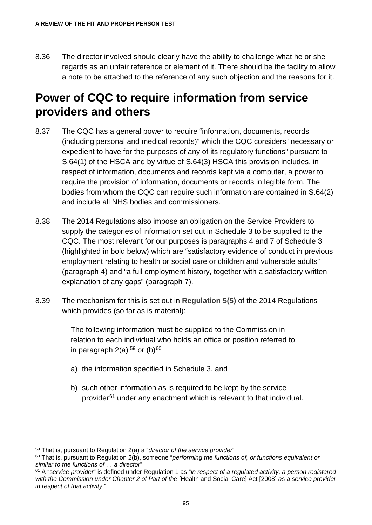8.36 The director involved should clearly have the ability to challenge what he or she regards as an unfair reference or element of it. There should be the facility to allow a note to be attached to the reference of any such objection and the reasons for it.

#### **Power of CQC to require information from service providers and others**

- 8.37 The CQC has a general power to require "information, documents, records (including personal and medical records)" which the CQC considers "necessary or expedient to have for the purposes of any of its regulatory functions" pursuant to S.64(1) of the HSCA and by virtue of S.64(3) HSCA this provision includes, in respect of information, documents and records kept via a computer, a power to require the provision of information, documents or records in legible form. The bodies from whom the CQC can require such information are contained in S.64(2) and include all NHS bodies and commissioners.
- 8.38 The 2014 Regulations also impose an obligation on the Service Providers to supply the categories of information set out in Schedule 3 to be supplied to the CQC. The most relevant for our purposes is paragraphs 4 and 7 of Schedule 3 (highlighted in bold below) which are "satisfactory evidence of conduct in previous employment relating to health or social care or children and vulnerable adults" (paragraph 4) and "a full employment history, together with a satisfactory written explanation of any gaps" (paragraph 7).
- 8.39 The mechanism for this is set out in **Regulation 5(5)** of the 2014 Regulations which provides (so far as is material):

The following information must be supplied to the Commission in relation to each individual who holds an office or position referred to in paragraph  $2(a)$ <sup>[59](#page-100-0)</sup> or  $(b)$ <sup>[60](#page-100-1)</sup>

- a) the information specified in Schedule 3, and
- b) such other information as is required to be kept by the service provider<sup>[61](#page-100-2)</sup> under any enactment which is relevant to that individual.

<span id="page-100-0"></span> <sup>59</sup> That is, pursuant to Regulation 2(a) a "*director of the service provider*"

<span id="page-100-1"></span><sup>60</sup> That is, pursuant to Regulation 2(b), someone "*performing the functions of, or functions equivalent or similar to the functions of … a director*"

<span id="page-100-2"></span><sup>61</sup> A "s*ervice provider*" is defined under Regulation 1 as "*in respect of a regulated activity, a person registered with the Commission under Chapter 2 of Part of the* [Health and Social Care] Act [2008] *as a service provider in respect of that activity*."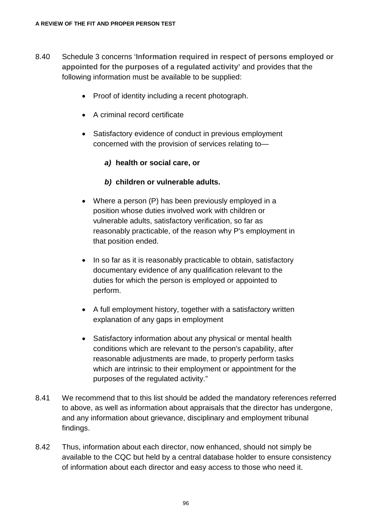- 8.40 Schedule 3 concerns '**Information required in respect of persons employed or appointed for the purposes of a regulated activity'** and provides that the following information must be available to be supplied:
	- Proof of identity including a recent photograph.
	- A criminal record certificate
	- Satisfactory evidence of conduct in previous employment concerned with the provision of services relating to—

#### *a)* **health or social care, or**

#### *b)* **children or vulnerable adults.**

- Where a person (P) has been previously employed in a position whose duties involved work with children or vulnerable adults, satisfactory verification, so far as reasonably practicable, of the reason why P's employment in that position ended.
- In so far as it is reasonably practicable to obtain, satisfactory documentary evidence of any qualification relevant to the duties for which the person is employed or appointed to perform.
- A full employment history, together with a satisfactory written explanation of any gaps in employment
- Satisfactory information about any physical or mental health conditions which are relevant to the person's capability, after reasonable adjustments are made, to properly perform tasks which are intrinsic to their employment or appointment for the purposes of the regulated activity."
- 8.41 We recommend that to this list should be added the mandatory references referred to above, as well as information about appraisals that the director has undergone, and any information about grievance, disciplinary and employment tribunal findings.
- 8.42 Thus, information about each director, now enhanced, should not simply be available to the CQC but held by a central database holder to ensure consistency of information about each director and easy access to those who need it.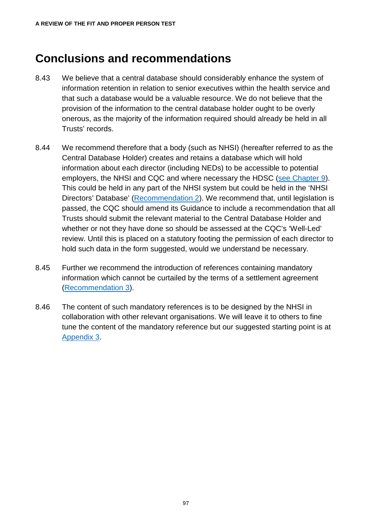#### **Conclusions and recommendations**

- 8.43 We believe that a central database should considerably enhance the system of information retention in relation to senior executives within the health service and that such a database would be a valuable resource. We do not believe that the provision of the information to the central database holder ought to be overly onerous, as the majority of the information required should already be held in all Trusts' records.
- 8.44 We recommend therefore that a body (such as NHSI) (hereafter referred to as the Central Database Holder) creates and retains a database which will hold information about each director (including NEDs) to be accessible to potential employers, the NHSI and CQC and where necessary the HDSC [\(see Chapter](#page-103-0) 9). This could be held in any part of the NHSI system but could be held in the 'NHSI Directors' Database' [\(Recommendation 2\)](#page-133-0). We recommend that, until legislation is passed, the CQC should amend its Guidance to include a recommendation that all Trusts should submit the relevant material to the Central Database Holder and whether or not they have done so should be assessed at the CQC's 'Well-Led' review. Until this is placed on a statutory footing the permission of each director to hold such data in the form suggested, would we understand be necessary.
- 8.45 Further we recommend the introduction of references containing mandatory information which cannot be curtailed by the terms of a settlement agreement [\(Recommendation 3\)](#page-135-0).
- 8.46 The content of such mandatory references is to be designed by the NHSI in collaboration with other relevant organisations. We will leave it to others to fine tune the content of the mandatory reference but our suggested starting point is at [Appendix 3.](#page-143-0)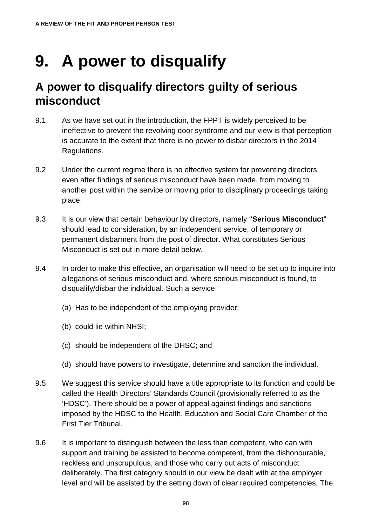# **9. A power to disqualify**

### <span id="page-103-0"></span>**A power to disqualify directors guilty of serious misconduct**

- 9.1 As we have set out in the introduction, the FPPT is widely perceived to be ineffective to prevent the revolving door syndrome and our view is that perception is accurate to the extent that there is no power to disbar directors in the 2014 Regulations.
- 9.2 Under the current regime there is no effective system for preventing directors, even after findings of serious misconduct have been made, from moving to another post within the service or moving prior to disciplinary proceedings taking place.
- 9.3 It is our view that certain behaviour by directors, namely ''**Serious Misconduct**" should lead to consideration, by an independent service, of temporary or permanent disbarment from the post of director. What constitutes Serious Misconduct is set out in more detail below.
- 9.4 In order to make this effective, an organisation will need to be set up to inquire into allegations of serious misconduct and, where serious misconduct is found, to disqualify/disbar the individual. Such a service:
	- (a) Has to be independent of the employing provider;
	- (b) could lie within NHSI;
	- (c) should be independent of the DHSC; and
	- (d) should have powers to investigate, determine and sanction the individual.
- 9.5 We suggest this service should have a title appropriate to its function and could be called the Health Directors' Standards Council (provisionally referred to as the 'HDSC'). There should be a power of appeal against findings and sanctions imposed by the HDSC to the Health, Education and Social Care Chamber of the First Tier Tribunal.
- 9.6 It is important to distinguish between the less than competent, who can with support and training be assisted to become competent, from the dishonourable, reckless and unscrupulous, and those who carry out acts of misconduct deliberately. The first category should in our view be dealt with at the employer level and will be assisted by the setting down of clear required competencies. The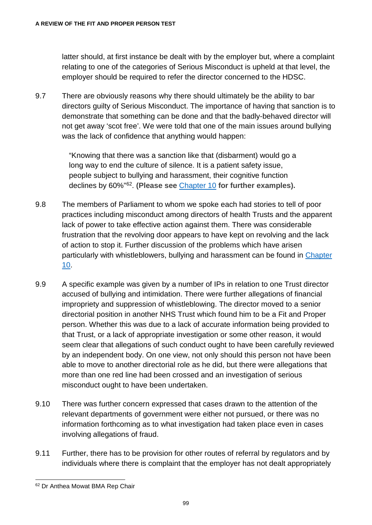latter should, at first instance be dealt with by the employer but, where a complaint relating to one of the categories of Serious Misconduct is upheld at that level, the employer should be required to refer the director concerned to the HDSC.

9.7 There are obviously reasons why there should ultimately be the ability to bar directors guilty of Serious Misconduct. The importance of having that sanction is to demonstrate that something can be done and that the badly-behaved director will not get away 'scot free'. We were told that one of the main issues around bullying was the lack of confidence that anything would happen:

> "Knowing that there was a sanction like that (disbarment) would go a long way to end the culture of silence. It is a patient safety issue, people subject to bullying and harassment, their cognitive function declines by 60%"[62](#page-104-0). **(Please see** [Chapter 10](#page-117-0) **for further examples).**

- 9.8 The members of Parliament to whom we spoke each had stories to tell of poor practices including misconduct among directors of health Trusts and the apparent lack of power to take effective action against them. There was considerable frustration that the revolving door appears to have kept on revolving and the lack of action to stop it. Further discussion of the problems which have arisen particularly with whistleblowers, bullying and harassment can be found in [Chapter](#page-117-0)  [10.](#page-117-0)
- 9.9 A specific example was given by a number of IPs in relation to one Trust director accused of bullying and intimidation. There were further allegations of financial impropriety and suppression of whistleblowing. The director moved to a senior directorial position in another NHS Trust which found him to be a Fit and Proper person. Whether this was due to a lack of accurate information being provided to that Trust, or a lack of appropriate investigation or some other reason, it would seem clear that allegations of such conduct ought to have been carefully reviewed by an independent body. On one view, not only should this person not have been able to move to another directorial role as he did, but there were allegations that more than one red line had been crossed and an investigation of serious misconduct ought to have been undertaken.
- 9.10 There was further concern expressed that cases drawn to the attention of the relevant departments of government were either not pursued, or there was no information forthcoming as to what investigation had taken place even in cases involving allegations of fraud.
- 9.11 Further, there has to be provision for other routes of referral by regulators and by individuals where there is complaint that the employer has not dealt appropriately

<span id="page-104-0"></span> <sup>62</sup> Dr Anthea Mowat BMA Rep Chair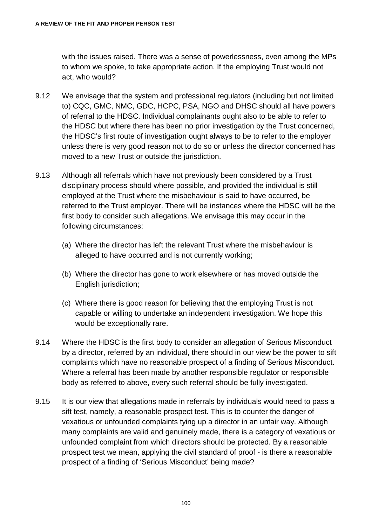with the issues raised. There was a sense of powerlessness, even among the MPs to whom we spoke, to take appropriate action. If the employing Trust would not act, who would?

- 9.12 We envisage that the system and professional regulators (including but not limited to) CQC, GMC, NMC, GDC, HCPC, PSA, NGO and DHSC should all have powers of referral to the HDSC. Individual complainants ought also to be able to refer to the HDSC but where there has been no prior investigation by the Trust concerned, the HDSC's first route of investigation ought always to be to refer to the employer unless there is very good reason not to do so or unless the director concerned has moved to a new Trust or outside the jurisdiction.
- 9.13 Although all referrals which have not previously been considered by a Trust disciplinary process should where possible, and provided the individual is still employed at the Trust where the misbehaviour is said to have occurred, be referred to the Trust employer. There will be instances where the HDSC will be the first body to consider such allegations. We envisage this may occur in the following circumstances:
	- (a) Where the director has left the relevant Trust where the misbehaviour is alleged to have occurred and is not currently working;
	- (b) Where the director has gone to work elsewhere or has moved outside the English jurisdiction;
	- (c) Where there is good reason for believing that the employing Trust is not capable or willing to undertake an independent investigation. We hope this would be exceptionally rare.
- 9.14 Where the HDSC is the first body to consider an allegation of Serious Misconduct by a director, referred by an individual, there should in our view be the power to sift complaints which have no reasonable prospect of a finding of Serious Misconduct. Where a referral has been made by another responsible regulator or responsible body as referred to above, every such referral should be fully investigated.
- 9.15 It is our view that allegations made in referrals by individuals would need to pass a sift test, namely, a reasonable prospect test. This is to counter the danger of vexatious or unfounded complaints tying up a director in an unfair way. Although many complaints are valid and genuinely made, there is a category of vexatious or unfounded complaint from which directors should be protected. By a reasonable prospect test we mean, applying the civil standard of proof - is there a reasonable prospect of a finding of 'Serious Misconduct' being made?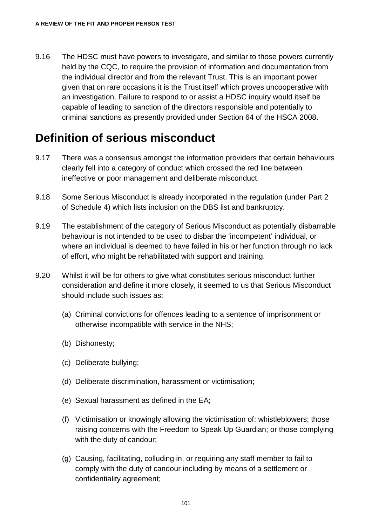9.16 The HDSC must have powers to investigate, and similar to those powers currently held by the CQC, to require the provision of information and documentation from the individual director and from the relevant Trust. This is an important power given that on rare occasions it is the Trust itself which proves uncooperative with an investigation. Failure to respond to or assist a HDSC inquiry would itself be capable of leading to sanction of the directors responsible and potentially to criminal sanctions as presently provided under Section 64 of the HSCA 2008.

### **Definition of serious misconduct**

- 9.17 There was a consensus amongst the information providers that certain behaviours clearly fell into a category of conduct which crossed the red line between ineffective or poor management and deliberate misconduct.
- 9.18 Some Serious Misconduct is already incorporated in the regulation (under Part 2 of Schedule 4) which lists inclusion on the DBS list and bankruptcy.
- 9.19 The establishment of the category of Serious Misconduct as potentially disbarrable behaviour is not intended to be used to disbar the 'incompetent' individual, or where an individual is deemed to have failed in his or her function through no lack of effort, who might be rehabilitated with support and training.
- 9.20 Whilst it will be for others to give what constitutes serious misconduct further consideration and define it more closely, it seemed to us that Serious Misconduct should include such issues as:
	- (a) Criminal convictions for offences leading to a sentence of imprisonment or otherwise incompatible with service in the NHS;
	- (b) Dishonesty;
	- (c) Deliberate bullying;
	- (d) Deliberate discrimination, harassment or victimisation;
	- (e) Sexual harassment as defined in the EA;
	- (f) Victimisation or knowingly allowing the victimisation of: whistleblowers; those raising concerns with the Freedom to Speak Up Guardian; or those complying with the duty of candour;
	- (g) Causing, facilitating, colluding in, or requiring any staff member to fail to comply with the duty of candour including by means of a settlement or confidentiality agreement;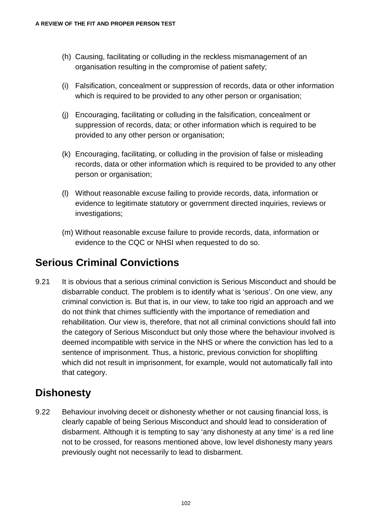- (h) Causing, facilitating or colluding in the reckless mismanagement of an organisation resulting in the compromise of patient safety;
- (i) Falsification, concealment or suppression of records, data or other information which is required to be provided to any other person or organisation;
- (j) Encouraging, facilitating or colluding in the falsification, concealment or suppression of records, data; or other information which is required to be provided to any other person or organisation;
- (k) Encouraging, facilitating, or colluding in the provision of false or misleading records, data or other information which is required to be provided to any other person or organisation;
- (l) Without reasonable excuse failing to provide records, data, information or evidence to legitimate statutory or government directed inquiries, reviews or investigations;
- (m) Without reasonable excuse failure to provide records, data, information or evidence to the CQC or NHSI when requested to do so.

#### **Serious Criminal Convictions**

9.21 It is obvious that a serious criminal conviction is Serious Misconduct and should be disbarrable conduct. The problem is to identify what is 'serious'. On one view, any criminal conviction is. But that is, in our view, to take too rigid an approach and we do not think that chimes sufficiently with the importance of remediation and rehabilitation. Our view is, therefore, that not all criminal convictions should fall into the category of Serious Misconduct but only those where the behaviour involved is deemed incompatible with service in the NHS or where the conviction has led to a sentence of imprisonment. Thus, a historic, previous conviction for shoplifting which did not result in imprisonment, for example, would not automatically fall into that category.

#### **Dishonesty**

9.22 Behaviour involving deceit or dishonesty whether or not causing financial loss, is clearly capable of being Serious Misconduct and should lead to consideration of disbarment. Although it is tempting to say 'any dishonesty at any time' is a red line not to be crossed, for reasons mentioned above, low level dishonesty many years previously ought not necessarily to lead to disbarment.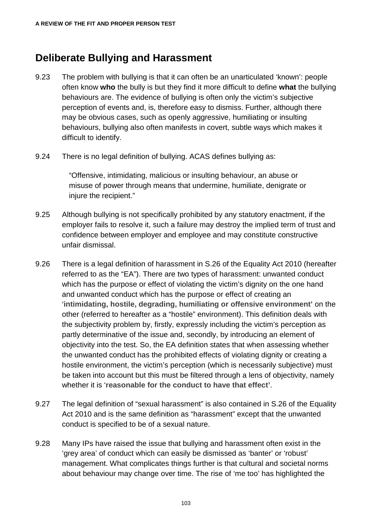#### **Deliberate Bullying and Harassment**

- 9.23 The problem with bullying is that it can often be an unarticulated 'known': people often know **who** the bully is but they find it more difficult to define **what** the bullying behaviours are. The evidence of bullying is often only the victim's subjective perception of events and, is, therefore easy to dismiss. Further, although there may be obvious cases, such as openly aggressive, humiliating or insulting behaviours, bullying also often manifests in covert, subtle ways which makes it difficult to identify.
- 9.24 There is no legal definition of bullying. ACAS defines bullying as:

"Offensive, intimidating, malicious or insulting behaviour, an abuse or misuse of power through means that undermine, humiliate, denigrate or injure the recipient."

- 9.25 Although bullying is not specifically prohibited by any statutory enactment, if the employer fails to resolve it, such a failure may destroy the implied term of trust and confidence between employer and employee and may constitute constructive unfair dismissal.
- 9.26 There is a legal definition of harassment in S.26 of the Equality Act 2010 (hereafter referred to as the "EA"). There are two types of harassment: unwanted conduct which has the purpose or effect of violating the victim's dignity on the one hand and unwanted conduct which has the purpose or effect of creating an '**intimidating, hostile, degrading, humiliating or offensive environment'** on the other (referred to hereafter as a "hostile" environment). This definition deals with the subjectivity problem by, firstly, expressly including the victim's perception as partly determinative of the issue and, secondly, by introducing an element of objectivity into the test. So, the EA definition states that when assessing whether the unwanted conduct has the prohibited effects of violating dignity or creating a hostile environment, the victim's perception (which is necessarily subjective) must be taken into account but this must be filtered through a lens of objectivity, namely whether it is '**reasonable for the conduct to have that effect'**.
- 9.27 The legal definition of "sexual harassment" is also contained in S.26 of the Equality Act 2010 and is the same definition as "harassment" except that the unwanted conduct is specified to be of a sexual nature.
- 9.28 Many IPs have raised the issue that bullying and harassment often exist in the 'grey area' of conduct which can easily be dismissed as 'banter' or 'robust' management. What complicates things further is that cultural and societal norms about behaviour may change over time. The rise of 'me too' has highlighted the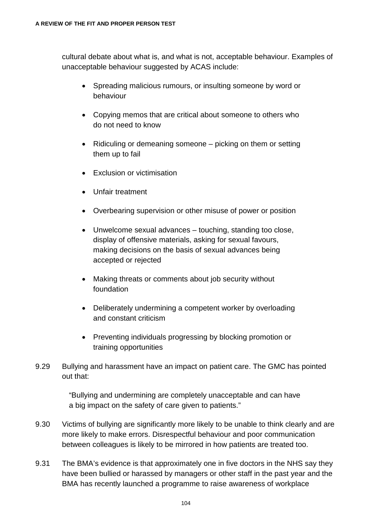cultural debate about what is, and what is not, acceptable behaviour. Examples of unacceptable behaviour suggested by ACAS include:

- Spreading malicious rumours, or insulting someone by word or behaviour
- Copying memos that are critical about someone to others who do not need to know
- Ridiculing or demeaning someone picking on them or setting them up to fail
- Exclusion or victimisation
- Unfair treatment
- Overbearing supervision or other misuse of power or position
- Unwelcome sexual advances touching, standing too close, display of offensive materials, asking for sexual favours, making decisions on the basis of sexual advances being accepted or rejected
- Making threats or comments about job security without foundation
- Deliberately undermining a competent worker by overloading and constant criticism
- Preventing individuals progressing by blocking promotion or training opportunities
- 9.29 Bullying and harassment have an impact on patient care. The GMC has pointed out that:

"Bullying and undermining are completely unacceptable and can have a big impact on the safety of care given to patients."

- 9.30 Victims of bullying are significantly more likely to be unable to think clearly and are more likely to make errors. Disrespectful behaviour and poor communication between colleagues is likely to be mirrored in how patients are treated too.
- 9.31 The BMA's evidence is that approximately one in five doctors in the NHS say they have been bullied or harassed by managers or other staff in the past year and the BMA has recently launched a programme to raise awareness of workplace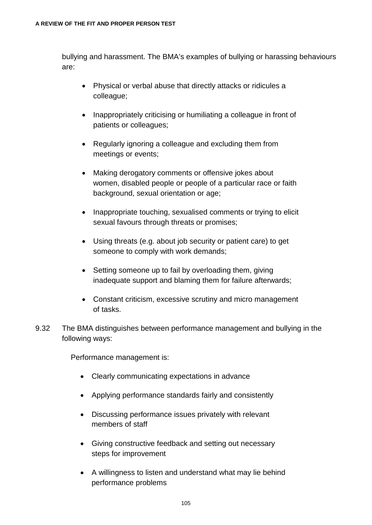bullying and harassment. The BMA's examples of bullying or harassing behaviours are:

- Physical or verbal abuse that directly attacks or ridicules a colleague;
- Inappropriately criticising or humiliating a colleague in front of patients or colleagues;
- Regularly ignoring a colleague and excluding them from meetings or events;
- Making derogatory comments or offensive jokes about women, disabled people or people of a particular race or faith background, sexual orientation or age;
- Inappropriate touching, sexualised comments or trying to elicit sexual favours through threats or promises;
- Using threats (e.g. about job security or patient care) to get someone to comply with work demands;
- Setting someone up to fail by overloading them, giving inadequate support and blaming them for failure afterwards;
- Constant criticism, excessive scrutiny and micro management of tasks.
- 9.32 The BMA distinguishes between performance management and bullying in the following ways:

Performance management is:

- Clearly communicating expectations in advance
- Applying performance standards fairly and consistently
- Discussing performance issues privately with relevant members of staff
- Giving constructive feedback and setting out necessary steps for improvement
- A willingness to listen and understand what may lie behind performance problems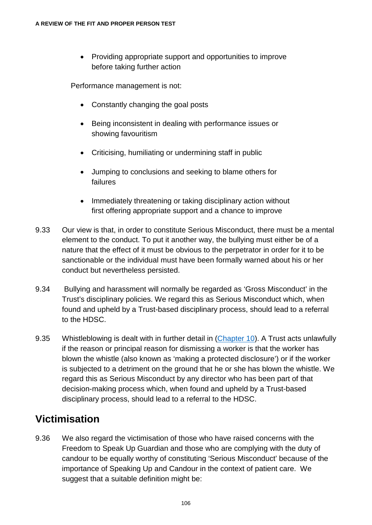• Providing appropriate support and opportunities to improve before taking further action

Performance management is not:

- Constantly changing the goal posts
- Being inconsistent in dealing with performance issues or showing favouritism
- Criticising, humiliating or undermining staff in public
- Jumping to conclusions and seeking to blame others for failures
- Immediately threatening or taking disciplinary action without first offering appropriate support and a chance to improve
- 9.33 Our view is that, in order to constitute Serious Misconduct, there must be a mental element to the conduct. To put it another way, the bullying must either be of a nature that the effect of it must be obvious to the perpetrator in order for it to be sanctionable or the individual must have been formally warned about his or her conduct but nevertheless persisted.
- 9.34 Bullying and harassment will normally be regarded as 'Gross Misconduct' in the Trust's disciplinary policies. We regard this as Serious Misconduct which, when found and upheld by a Trust-based disciplinary process, should lead to a referral to the HDSC.
- 9.35 Whistleblowing is dealt with in further detail in [\(Chapter 10\)](#page-117-0). A Trust acts unlawfully if the reason or principal reason for dismissing a worker is that the worker has blown the whistle (also known as 'making a protected disclosure') or if the worker is subjected to a detriment on the ground that he or she has blown the whistle. We regard this as Serious Misconduct by any director who has been part of that decision-making process which, when found and upheld by a Trust-based disciplinary process, should lead to a referral to the HDSC.

#### **Victimisation**

9.36 We also regard the victimisation of those who have raised concerns with the Freedom to Speak Up Guardian and those who are complying with the duty of candour to be equally worthy of constituting 'Serious Misconduct' because of the importance of Speaking Up and Candour in the context of patient care. We suggest that a suitable definition might be: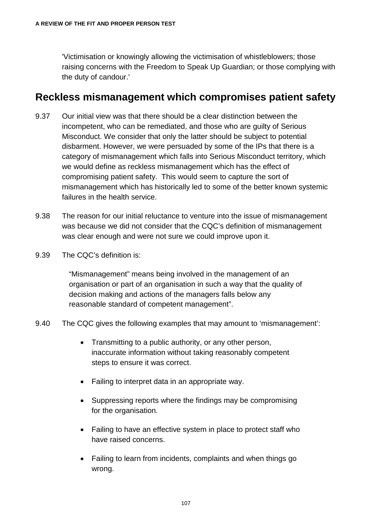'Victimisation or knowingly allowing the victimisation of whistleblowers; those raising concerns with the Freedom to Speak Up Guardian; or those complying with the duty of candour.'

#### **Reckless mismanagement which compromises patient safety**

- 9.37 Our initial view was that there should be a clear distinction between the incompetent, who can be remediated, and those who are guilty of Serious Misconduct. We consider that only the latter should be subject to potential disbarment. However, we were persuaded by some of the IPs that there is a category of mismanagement which falls into Serious Misconduct territory, which we would define as reckless mismanagement which has the effect of compromising patient safety. This would seem to capture the sort of mismanagement which has historically led to some of the better known systemic failures in the health service.
- 9.38 The reason for our initial reluctance to venture into the issue of mismanagement was because we did not consider that the CQC's definition of mismanagement was clear enough and were not sure we could improve upon it.
- 9.39 The CQC's definition is:

"Mismanagement" means being involved in the management of an organisation or part of an organisation in such a way that the quality of decision making and actions of the managers falls below any reasonable standard of competent management".

- 9.40 The CQC gives the following examples that may amount to 'mismanagement':
	- Transmitting to a public authority, or any other person, inaccurate information without taking reasonably competent steps to ensure it was correct.
	- Failing to interpret data in an appropriate way.
	- Suppressing reports where the findings may be compromising for the organisation.
	- Failing to have an effective system in place to protect staff who have raised concerns.
	- Failing to learn from incidents, complaints and when things go wrong.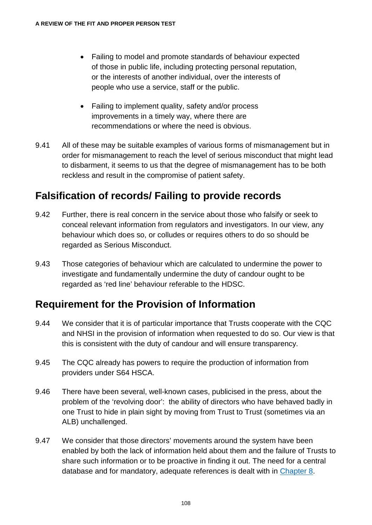- Failing to model and promote standards of behaviour expected of those in public life, including protecting personal reputation, or the interests of another individual, over the interests of people who use a service, staff or the public.
- Failing to implement quality, safety and/or process improvements in a timely way, where there are recommendations or where the need is obvious.
- 9.41 All of these may be suitable examples of various forms of mismanagement but in order for mismanagement to reach the level of serious misconduct that might lead to disbarment, it seems to us that the degree of mismanagement has to be both reckless and result in the compromise of patient safety.

#### **Falsification of records/ Failing to provide records**

- 9.42 Further, there is real concern in the service about those who falsify or seek to conceal relevant information from regulators and investigators. In our view, any behaviour which does so, or colludes or requires others to do so should be regarded as Serious Misconduct.
- 9.43 Those categories of behaviour which are calculated to undermine the power to investigate and fundamentally undermine the duty of candour ought to be regarded as 'red line' behaviour referable to the HDSC.

#### **Requirement for the Provision of Information**

- 9.44 We consider that it is of particular importance that Trusts cooperate with the CQC and NHSI in the provision of information when requested to do so. Our view is that this is consistent with the duty of candour and will ensure transparency.
- 9.45 The CQC already has powers to require the production of information from providers under S64 HSCA.
- 9.46 There have been several, well-known cases, publicised in the press, about the problem of the 'revolving door': the ability of directors who have behaved badly in one Trust to hide in plain sight by moving from Trust to Trust (sometimes via an ALB) unchallenged.
- 9.47 We consider that those directors' movements around the system have been enabled by both the lack of information held about them and the failure of Trusts to share such information or to be proactive in finding it out. The need for a central database and for mandatory, adequate references is dealt with in [Chapter 8.](#page-93-0)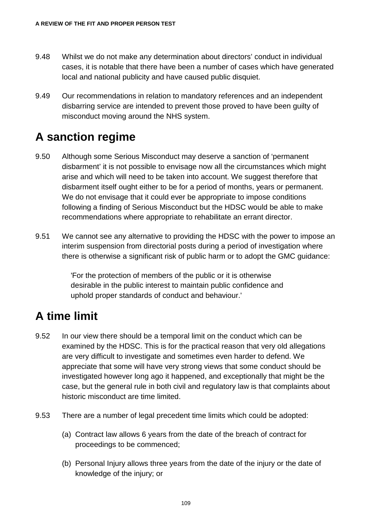- 9.48 Whilst we do not make any determination about directors' conduct in individual cases, it is notable that there have been a number of cases which have generated local and national publicity and have caused public disquiet.
- 9.49 Our recommendations in relation to mandatory references and an independent disbarring service are intended to prevent those proved to have been guilty of misconduct moving around the NHS system.

## **A sanction regime**

- 9.50 Although some Serious Misconduct may deserve a sanction of 'permanent disbarment' it is not possible to envisage now all the circumstances which might arise and which will need to be taken into account. We suggest therefore that disbarment itself ought either to be for a period of months, years or permanent. We do not envisage that it could ever be appropriate to impose conditions following a finding of Serious Misconduct but the HDSC would be able to make recommendations where appropriate to rehabilitate an errant director.
- 9.51 We cannot see any alternative to providing the HDSC with the power to impose an interim suspension from directorial posts during a period of investigation where there is otherwise a significant risk of public harm or to adopt the GMC guidance:

'For the protection of members of the public or it is otherwise desirable in the public interest to maintain public confidence and uphold proper standards of conduct and behaviour.'

## **A time limit**

- 9.52 In our view there should be a temporal limit on the conduct which can be examined by the HDSC. This is for the practical reason that very old allegations are very difficult to investigate and sometimes even harder to defend. We appreciate that some will have very strong views that some conduct should be investigated however long ago it happened, and exceptionally that might be the case, but the general rule in both civil and regulatory law is that complaints about historic misconduct are time limited.
- 9.53 There are a number of legal precedent time limits which could be adopted:
	- (a) Contract law allows 6 years from the date of the breach of contract for proceedings to be commenced;
	- (b) Personal Injury allows three years from the date of the injury or the date of knowledge of the injury; or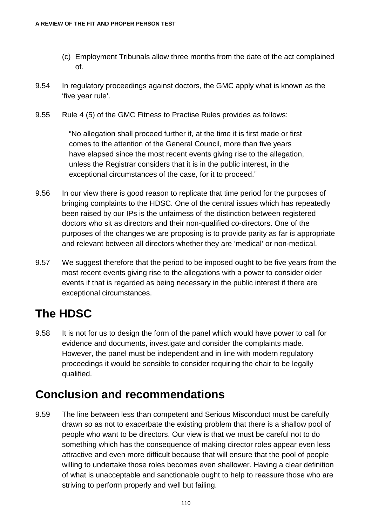- (c) Employment Tribunals allow three months from the date of the act complained of.
- 9.54 In regulatory proceedings against doctors, the GMC apply what is known as the 'five year rule'.
- 9.55 Rule 4 (5) of the GMC Fitness to Practise Rules provides as follows:

"No allegation shall proceed further if, at the time it is first made or first comes to the attention of the General Council, more than five years have elapsed since the most recent events giving rise to the allegation, unless the Registrar considers that it is in the public interest, in the exceptional circumstances of the case, for it to proceed."

- 9.56 In our view there is good reason to replicate that time period for the purposes of bringing complaints to the HDSC. One of the central issues which has repeatedly been raised by our IPs is the unfairness of the distinction between registered doctors who sit as directors and their non-qualified co-directors. One of the purposes of the changes we are proposing is to provide parity as far is appropriate and relevant between all directors whether they are 'medical' or non-medical.
- 9.57 We suggest therefore that the period to be imposed ought to be five years from the most recent events giving rise to the allegations with a power to consider older events if that is regarded as being necessary in the public interest if there are exceptional circumstances.

## **The HDSC**

9.58 It is not for us to design the form of the panel which would have power to call for evidence and documents, investigate and consider the complaints made. However, the panel must be independent and in line with modern regulatory proceedings it would be sensible to consider requiring the chair to be legally qualified.

## **Conclusion and recommendations**

9.59 The line between less than competent and Serious Misconduct must be carefully drawn so as not to exacerbate the existing problem that there is a shallow pool of people who want to be directors. Our view is that we must be careful not to do something which has the consequence of making director roles appear even less attractive and even more difficult because that will ensure that the pool of people willing to undertake those roles becomes even shallower. Having a clear definition of what is unacceptable and sanctionable ought to help to reassure those who are striving to perform properly and well but failing.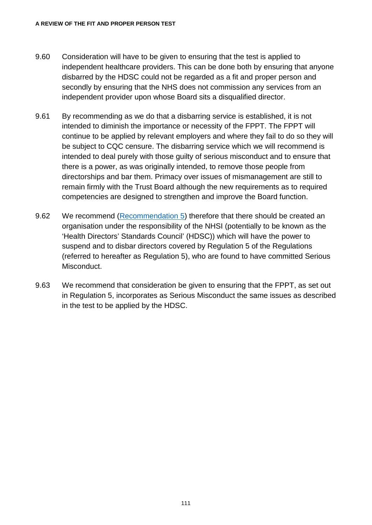- 9.60 Consideration will have to be given to ensuring that the test is applied to independent healthcare providers. This can be done both by ensuring that anyone disbarred by the HDSC could not be regarded as a fit and proper person and secondly by ensuring that the NHS does not commission any services from an independent provider upon whose Board sits a disqualified director.
- 9.61 By recommending as we do that a disbarring service is established, it is not intended to diminish the importance or necessity of the FPPT. The FPPT will continue to be applied by relevant employers and where they fail to do so they will be subject to CQC censure. The disbarring service which we will recommend is intended to deal purely with those guilty of serious misconduct and to ensure that there is a power, as was originally intended, to remove those people from directorships and bar them. Primacy over issues of mismanagement are still to remain firmly with the Trust Board although the new requirements as to required competencies are designed to strengthen and improve the Board function.
- 9.62 We recommend [\(Recommendation 5\)](#page-137-0) therefore that there should be created an organisation under the responsibility of the NHSI (potentially to be known as the 'Health Directors' Standards Council' (HDSC)) which will have the power to suspend and to disbar directors covered by Regulation 5 of the Regulations (referred to hereafter as Regulation 5), who are found to have committed Serious Misconduct.
- 9.63 We recommend that consideration be given to ensuring that the FPPT, as set out in Regulation 5, incorporates as Serious Misconduct the same issues as described in the test to be applied by the HDSC.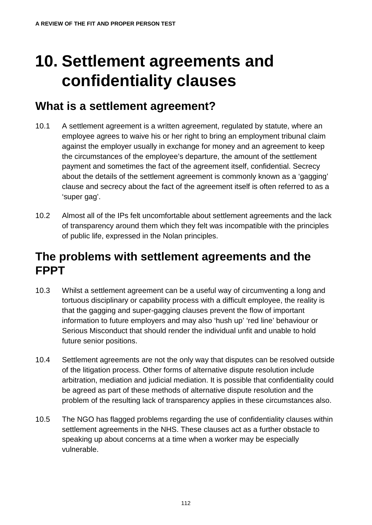# **10. Settlement agreements and confidentiality clauses**

## <span id="page-117-0"></span>**What is a settlement agreement?**

- 10.1 A settlement agreement is a written agreement, regulated by statute, where an employee agrees to waive his or her right to bring an employment tribunal claim against the employer usually in exchange for money and an agreement to keep the circumstances of the employee's departure, the amount of the settlement payment and sometimes the fact of the agreement itself, confidential. Secrecy about the details of the settlement agreement is commonly known as a 'gagging' clause and secrecy about the fact of the agreement itself is often referred to as a 'super gag'.
- 10.2 Almost all of the IPs felt uncomfortable about settlement agreements and the lack of transparency around them which they felt was incompatible with the principles of public life, expressed in the Nolan principles.

## **The problems with settlement agreements and the FPPT**

- 10.3 Whilst a settlement agreement can be a useful way of circumventing a long and tortuous disciplinary or capability process with a difficult employee, the reality is that the gagging and super-gagging clauses prevent the flow of important information to future employers and may also 'hush up' 'red line' behaviour or Serious Misconduct that should render the individual unfit and unable to hold future senior positions.
- 10.4 Settlement agreements are not the only way that disputes can be resolved outside of the litigation process. Other forms of alternative dispute resolution include arbitration, mediation and judicial mediation. It is possible that confidentiality could be agreed as part of these methods of alternative dispute resolution and the problem of the resulting lack of transparency applies in these circumstances also.
- 10.5 The NGO has flagged problems regarding the use of confidentiality clauses within settlement agreements in the NHS. These clauses act as a further obstacle to speaking up about concerns at a time when a worker may be especially vulnerable.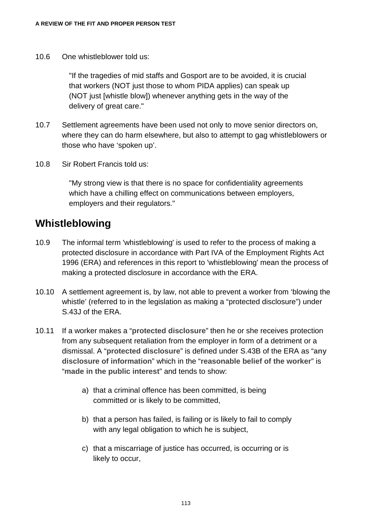10.6 One whistleblower told us:

"If the tragedies of mid staffs and Gosport are to be avoided, it is crucial that workers (NOT just those to whom PIDA applies) can speak up (NOT just [whistle blow]) whenever anything gets in the way of the delivery of great care."

- 10.7 Settlement agreements have been used not only to move senior directors on, where they can do harm elsewhere, but also to attempt to gag whistleblowers or those who have 'spoken up'.
- 10.8 Sir Robert Francis told us:

"My strong view is that there is no space for confidentiality agreements which have a chilling effect on communications between employers, employers and their regulators."

#### **Whistleblowing**

- 10.9 The informal term 'whistleblowing' is used to refer to the process of making a protected disclosure in accordance with Part IVA of the Employment Rights Act 1996 (ERA) and references in this report to 'whistleblowing' mean the process of making a protected disclosure in accordance with the ERA.
- 10.10 A settlement agreement is, by law, not able to prevent a worker from 'blowing the whistle' (referred to in the legislation as making a "protected disclosure") under S.43J of the ERA.
- 10.11 If a worker makes a "**protected disclosure**" then he or she receives protection from any subsequent retaliation from the employer in form of a detriment or a dismissal. A "**protected disclosure**" is defined under S.43B of the ERA as "**any disclosure of information**" which in the "**reasonable belief of the worker**" is "**made in the public interest**" and tends to show:
	- a) that a criminal offence has been committed, is being committed or is likely to be committed,
	- b) that a person has failed, is failing or is likely to fail to comply with any legal obligation to which he is subject,
	- c) that a miscarriage of justice has occurred, is occurring or is likely to occur,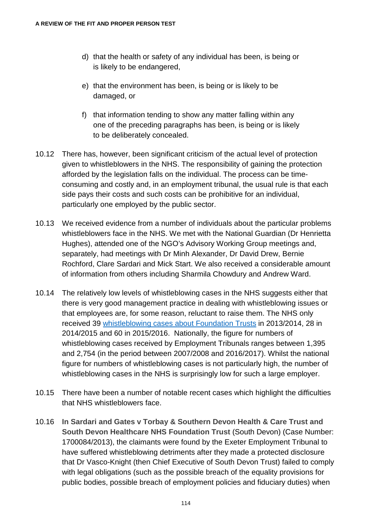- d) that the health or safety of any individual has been, is being or is likely to be endangered,
- e) that the environment has been, is being or is likely to be damaged, or
- f) that information tending to show any matter falling within any one of the preceding paragraphs has been, is being or is likely to be deliberately concealed.
- 10.12 There has, however, been significant criticism of the actual level of protection given to whistleblowers in the NHS. The responsibility of gaining the protection afforded by the legislation falls on the individual. The process can be timeconsuming and costly and, in an employment tribunal, the usual rule is that each side pays their costs and such costs can be prohibitive for an individual, particularly one employed by the public sector.
- 10.13 We received evidence from a number of individuals about the particular problems whistleblowers face in the NHS. We met with the National Guardian (Dr Henrietta Hughes), attended one of the NGO's Advisory Working Group meetings and, separately, had meetings with Dr Minh Alexander, Dr David Drew, Bernie Rochford, Clare Sardari and Mick Start. We also received a considerable amount of information from others including Sharmila Chowdury and Andrew Ward.
- 10.14 The relatively low levels of whistleblowing cases in the NHS suggests either that there is very good management practice in dealing with whistleblowing issues or that employees are, for some reason, reluctant to raise them. The NHS only received 39 [whistleblowing cases about Foundation Trusts](https://assets.publishing.service.gov.uk/government/uploads/system/uploads/attachment_data/file/522644/FOI_Number_of_whistleblowing_cases.pdf) in 2013/2014, 28 in 2014/2015 and 60 in 2015/2016. Nationally, the figure for numbers of whistleblowing cases received by Employment Tribunals ranges between 1,395 and 2,754 (in the period between 2007/2008 and 2016/2017). Whilst the national figure for numbers of whistleblowing cases is not particularly high, the number of whistleblowing cases in the NHS is surprisingly low for such a large employer.
- 10.15 There have been a number of notable recent cases which highlight the difficulties that NHS whistleblowers face.
- 10.16 **In Sardari and Gates v Torbay & Southern Devon Health & Care Trust and South Devon Healthcare NHS Foundation Trust** (South Devon) (Case Number: 1700084/2013), the claimants were found by the Exeter Employment Tribunal to have suffered whistleblowing detriments after they made a protected disclosure that Dr Vasco-Knight (then Chief Executive of South Devon Trust) failed to comply with legal obligations (such as the possible breach of the equality provisions for public bodies, possible breach of employment policies and fiduciary duties) when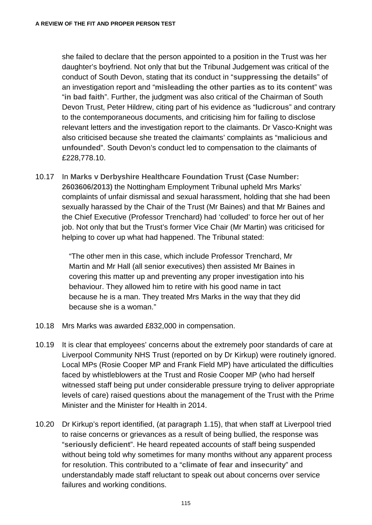she failed to declare that the person appointed to a position in the Trust was her daughter's boyfriend. Not only that but the Tribunal Judgement was critical of the conduct of South Devon, stating that its conduct in "**suppressing the details**" of an investigation report and "**misleading the other parties as to its content**" was "**in bad faith**". Further, the judgment was also critical of the Chairman of South Devon Trust, Peter Hildrew, citing part of his evidence as "**ludicrous**" and contrary to the contemporaneous documents, and criticising him for failing to disclose relevant letters and the investigation report to the claimants. Dr Vasco-Knight was also criticised because she treated the claimants' complaints as "**malicious and unfounded**". South Devon's conduct led to compensation to the claimants of £228,778.10.

10.17 In **Marks v Derbyshire Healthcare Foundation Trust (Case Number: 2603606/2013)** the Nottingham Employment Tribunal upheld Mrs Marks' complaints of unfair dismissal and sexual harassment, holding that she had been sexually harassed by the Chair of the Trust (Mr Baines) and that Mr Baines and the Chief Executive (Professor Trenchard) had 'colluded' to force her out of her job. Not only that but the Trust's former Vice Chair (Mr Martin) was criticised for helping to cover up what had happened. The Tribunal stated:

> "The other men in this case, which include Professor Trenchard, Mr Martin and Mr Hall (all senior executives) then assisted Mr Baines in covering this matter up and preventing any proper investigation into his behaviour. They allowed him to retire with his good name in tact because he is a man. They treated Mrs Marks in the way that they did because she is a woman."

- 10.18 Mrs Marks was awarded £832,000 in compensation.
- 10.19 It is clear that employees' concerns about the extremely poor standards of care at Liverpool Community NHS Trust (reported on by Dr Kirkup) were routinely ignored. Local MPs (Rosie Cooper MP and Frank Field MP) have articulated the difficulties faced by whistleblowers at the Trust and Rosie Cooper MP (who had herself witnessed staff being put under considerable pressure trying to deliver appropriate levels of care) raised questions about the management of the Trust with the Prime Minister and the Minister for Health in 2014.
- 10.20 Dr Kirkup's report identified, (at paragraph 1.15), that when staff at Liverpool tried to raise concerns or grievances as a result of being bullied, the response was "**seriously deficient**". He heard repeated accounts of staff being suspended without being told why sometimes for many months without any apparent process for resolution. This contributed to a "**climate of fear and insecurity**" and understandably made staff reluctant to speak out about concerns over service failures and working conditions.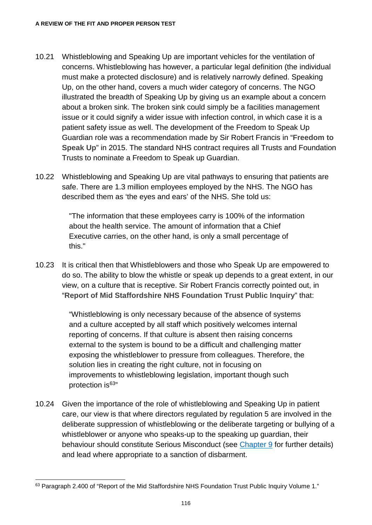- 10.21 Whistleblowing and Speaking Up are important vehicles for the ventilation of concerns. Whistleblowing has however, a particular legal definition (the individual must make a protected disclosure) and is relatively narrowly defined. Speaking Up, on the other hand, covers a much wider category of concerns. The NGO illustrated the breadth of Speaking Up by giving us an example about a concern about a broken sink. The broken sink could simply be a facilities management issue or it could signify a wider issue with infection control, in which case it is a patient safety issue as well. The development of the Freedom to Speak Up Guardian role was a recommendation made by Sir Robert Francis in "**Freedom to Speak Up**" in 2015. The standard NHS contract requires all Trusts and Foundation Trusts to nominate a Freedom to Speak up Guardian.
- 10.22 Whistleblowing and Speaking Up are vital pathways to ensuring that patients are safe. There are 1.3 million employees employed by the NHS. The NGO has described them as 'the eyes and ears' of the NHS. She told us:

"The information that these employees carry is 100% of the information about the health service. The amount of information that a Chief Executive carries, on the other hand, is only a small percentage of this."

10.23 It is critical then that Whistleblowers and those who Speak Up are empowered to do so. The ability to blow the whistle or speak up depends to a great extent, in our view, on a culture that is receptive. Sir Robert Francis correctly pointed out, in "**Report of Mid Staffordshire NHS Foundation Trust Public Inquiry**" that:

> "Whistleblowing is only necessary because of the absence of systems and a culture accepted by all staff which positively welcomes internal reporting of concerns. If that culture is absent then raising concerns external to the system is bound to be a difficult and challenging matter exposing the whistleblower to pressure from colleagues. Therefore, the solution lies in creating the right culture, not in focusing on improvements to whistleblowing legislation, important though such protection is<sup>63</sup>"

10.24 Given the importance of the role of whistleblowing and Speaking Up in patient care, our view is that where directors regulated by regulation 5 are involved in the deliberate suppression of whistleblowing or the deliberate targeting or bullying of a whistleblower or anyone who speaks-up to the speaking up guardian, their behaviour should constitute Serious Misconduct (see [Chapter 9](#page-103-0) for further details) and lead where appropriate to a sanction of disbarment.

<span id="page-121-0"></span><sup>&</sup>lt;sup>63</sup> Paragraph 2.400 of "Report of the Mid Staffordshire NHS Foundation Trust Public Inquiry Volume 1."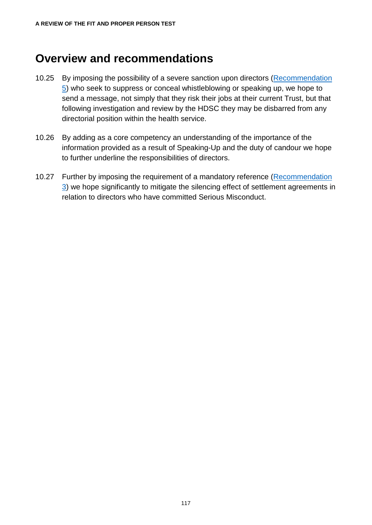## **Overview and recommendations**

- 10.25 By imposing the possibility of a severe sanction upon directors [\(Recommendation](#page-137-0)  [5\)](#page-137-0) who seek to suppress or conceal whistleblowing or speaking up, we hope to send a message, not simply that they risk their jobs at their current Trust, but that following investigation and review by the HDSC they may be disbarred from any directorial position within the health service.
- 10.26 By adding as a core competency an understanding of the importance of the information provided as a result of Speaking-Up and the duty of candour we hope to further underline the responsibilities of directors.
- 10.27 Further by imposing the requirement of a mandatory reference (Recommendation [3\)](#page-135-0) we hope significantly to mitigate the silencing effect of settlement agreements in relation to directors who have committed Serious Misconduct.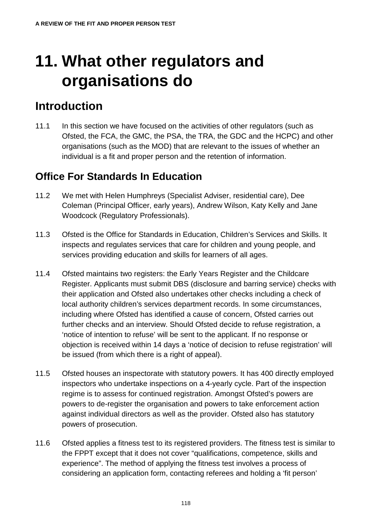# **11. What other regulators and organisations do**

## **Introduction**

11.1 In this section we have focused on the activities of other regulators (such as Ofsted, the FCA, the GMC, the PSA, the TRA, the GDC and the HCPC) and other organisations (such as the MOD) that are relevant to the issues of whether an individual is a fit and proper person and the retention of information.

#### **Office For Standards In Education**

- 11.2 We met with Helen Humphreys (Specialist Adviser, residential care), Dee Coleman (Principal Officer, early years), Andrew Wilson, Katy Kelly and Jane Woodcock (Regulatory Professionals).
- 11.3 Ofsted is the Office for Standards in Education, Children's Services and Skills. It inspects and regulates services that care for children and young people, and services providing education and skills for learners of all ages.
- 11.4 Ofsted maintains two registers: the Early Years Register and the Childcare Register. Applicants must submit DBS (disclosure and barring service) checks with their application and Ofsted also undertakes other checks including a check of local authority children's services department records. In some circumstances, including where Ofsted has identified a cause of concern, Ofsted carries out further checks and an interview. Should Ofsted decide to refuse registration, a 'notice of intention to refuse' will be sent to the applicant. If no response or objection is received within 14 days a 'notice of decision to refuse registration' will be issued (from which there is a right of appeal).
- 11.5 Ofsted houses an inspectorate with statutory powers. It has 400 directly employed inspectors who undertake inspections on a 4-yearly cycle. Part of the inspection regime is to assess for continued registration. Amongst Ofsted's powers are powers to de-register the organisation and powers to take enforcement action against individual directors as well as the provider. Ofsted also has statutory powers of prosecution.
- 11.6 Ofsted applies a fitness test to its registered providers. The fitness test is similar to the FPPT except that it does not cover "qualifications, competence, skills and experience". The method of applying the fitness test involves a process of considering an application form, contacting referees and holding a 'fit person'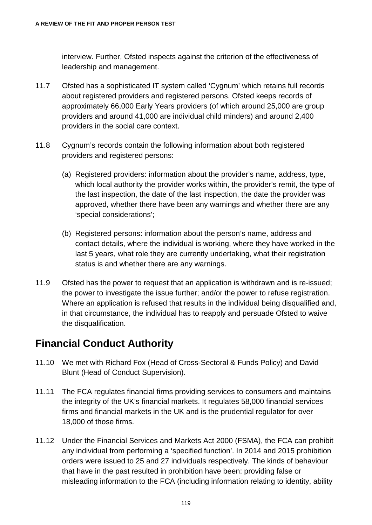interview. Further, Ofsted inspects against the criterion of the effectiveness of leadership and management.

- 11.7 Ofsted has a sophisticated IT system called 'Cygnum' which retains full records about registered providers and registered persons. Ofsted keeps records of approximately 66,000 Early Years providers (of which around 25,000 are group providers and around 41,000 are individual child minders) and around 2,400 providers in the social care context.
- 11.8 Cygnum's records contain the following information about both registered providers and registered persons:
	- (a) Registered providers: information about the provider's name, address, type, which local authority the provider works within, the provider's remit, the type of the last inspection, the date of the last inspection, the date the provider was approved, whether there have been any warnings and whether there are any 'special considerations';
	- (b) Registered persons: information about the person's name, address and contact details, where the individual is working, where they have worked in the last 5 years, what role they are currently undertaking, what their registration status is and whether there are any warnings.
- 11.9 Ofsted has the power to request that an application is withdrawn and is re-issued; the power to investigate the issue further; and/or the power to refuse registration. Where an application is refused that results in the individual being disqualified and, in that circumstance, the individual has to reapply and persuade Ofsted to waive the disqualification.

#### **Financial Conduct Authority**

- 11.10 We met with Richard Fox (Head of Cross-Sectoral & Funds Policy) and David Blunt (Head of Conduct Supervision).
- 11.11 The FCA regulates financial firms providing services to consumers and maintains the integrity of the UK's financial markets. It regulates 58,000 financial services firms and financial markets in the UK and is the prudential regulator for over 18,000 of those firms.
- 11.12 Under the Financial Services and Markets Act 2000 (FSMA), the FCA can prohibit any individual from performing a 'specified function'. In 2014 and 2015 prohibition orders were issued to 25 and 27 individuals respectively. The kinds of behaviour that have in the past resulted in prohibition have been: providing false or misleading information to the FCA (including information relating to identity, ability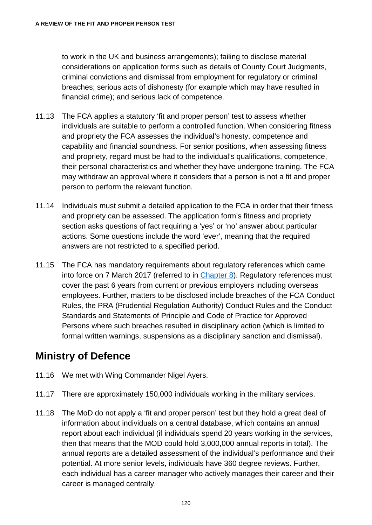to work in the UK and business arrangements); failing to disclose material considerations on application forms such as details of County Court Judgments, criminal convictions and dismissal from employment for regulatory or criminal breaches; serious acts of dishonesty (for example which may have resulted in financial crime); and serious lack of competence.

- 11.13 The FCA applies a statutory 'fit and proper person' test to assess whether individuals are suitable to perform a controlled function. When considering fitness and propriety the FCA assesses the individual's honesty, competence and capability and financial soundness. For senior positions, when assessing fitness and propriety, regard must be had to the individual's qualifications, competence, their personal characteristics and whether they have undergone training. The FCA may withdraw an approval where it considers that a person is not a fit and proper person to perform the relevant function.
- 11.14 Individuals must submit a detailed application to the FCA in order that their fitness and propriety can be assessed. The application form's fitness and propriety section asks questions of fact requiring a 'yes' or 'no' answer about particular actions. Some questions include the word 'ever', meaning that the required answers are not restricted to a specified period.
- 11.15 The FCA has mandatory requirements about regulatory references which came into force on 7 March 2017 (referred to in [Chapter 8\)](#page-93-0). Regulatory references must cover the past 6 years from current or previous employers including overseas employees. Further, matters to be disclosed include breaches of the FCA Conduct Rules, the PRA (Prudential Regulation Authority) Conduct Rules and the Conduct Standards and Statements of Principle and Code of Practice for Approved Persons where such breaches resulted in disciplinary action (which is limited to formal written warnings, suspensions as a disciplinary sanction and dismissal).

#### **Ministry of Defence**

- 11.16 We met with Wing Commander Nigel Ayers.
- 11.17 There are approximately 150,000 individuals working in the military services.
- 11.18 The MoD do not apply a 'fit and proper person' test but they hold a great deal of information about individuals on a central database, which contains an annual report about each individual (if individuals spend 20 years working in the services, then that means that the MOD could hold 3,000,000 annual reports in total). The annual reports are a detailed assessment of the individual's performance and their potential. At more senior levels, individuals have 360 degree reviews. Further, each individual has a career manager who actively manages their career and their career is managed centrally.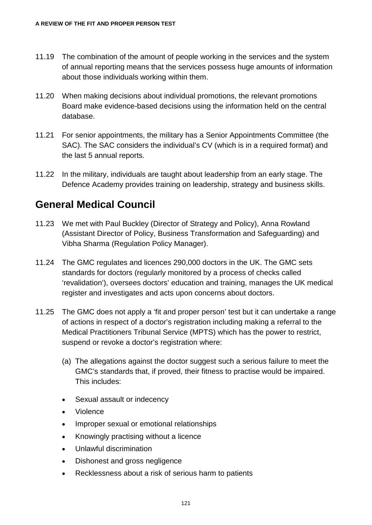- 11.19 The combination of the amount of people working in the services and the system of annual reporting means that the services possess huge amounts of information about those individuals working within them.
- 11.20 When making decisions about individual promotions, the relevant promotions Board make evidence-based decisions using the information held on the central database.
- 11.21 For senior appointments, the military has a Senior Appointments Committee (the SAC). The SAC considers the individual's CV (which is in a required format) and the last 5 annual reports.
- 11.22 In the military, individuals are taught about leadership from an early stage. The Defence Academy provides training on leadership, strategy and business skills.

#### **General Medical Council**

- 11.23 We met with Paul Buckley (Director of Strategy and Policy), Anna Rowland (Assistant Director of Policy, Business Transformation and Safeguarding) and Vibha Sharma (Regulation Policy Manager).
- 11.24 The GMC regulates and licences 290,000 doctors in the UK. The GMC sets standards for doctors (regularly monitored by a process of checks called 'revalidation'), oversees doctors' education and training, manages the UK medical register and investigates and acts upon concerns about doctors.
- 11.25 The GMC does not apply a 'fit and proper person' test but it can undertake a range of actions in respect of a doctor's registration including making a referral to the Medical Practitioners Tribunal Service (MPTS) which has the power to restrict, suspend or revoke a doctor's registration where:
	- (a) The allegations against the doctor suggest such a serious failure to meet the GMC's standards that, if proved, their fitness to practise would be impaired. This includes:
	- Sexual assault or indecency
	- Violence
	- Improper sexual or emotional relationships
	- Knowingly practising without a licence
	- Unlawful discrimination
	- Dishonest and gross negligence
	- Recklessness about a risk of serious harm to patients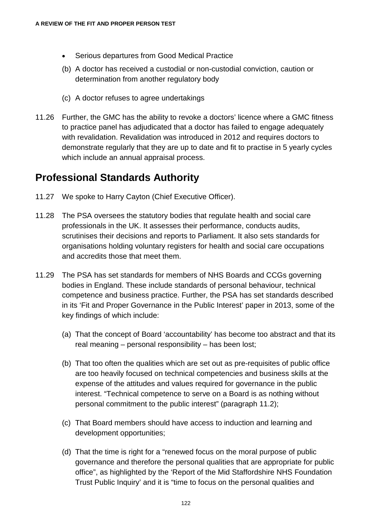- Serious departures from Good Medical Practice
- (b) A doctor has received a custodial or non-custodial conviction, caution or determination from another regulatory body
- (c) A doctor refuses to agree undertakings
- 11.26 Further, the GMC has the ability to revoke a doctors' licence where a GMC fitness to practice panel has adjudicated that a doctor has failed to engage adequately with revalidation. Revalidation was introduced in 2012 and requires doctors to demonstrate regularly that they are up to date and fit to practise in 5 yearly cycles which include an annual appraisal process.

#### **Professional Standards Authority**

- 11.27 We spoke to Harry Cayton (Chief Executive Officer).
- 11.28 The PSA oversees the statutory bodies that regulate health and social care professionals in the UK. It assesses their performance, conducts audits, scrutinises their decisions and reports to Parliament. It also sets standards for organisations holding voluntary registers for health and social care occupations and accredits those that meet them.
- 11.29 The PSA has set standards for members of NHS Boards and CCGs governing bodies in England. These include standards of personal behaviour, technical competence and business practice. Further, the PSA has set standards described in its 'Fit and Proper Governance in the Public Interest' paper in 2013, some of the key findings of which include:
	- (a) That the concept of Board 'accountability' has become too abstract and that its real meaning – personal responsibility – has been lost;
	- (b) That too often the qualities which are set out as pre-requisites of public office are too heavily focused on technical competencies and business skills at the expense of the attitudes and values required for governance in the public interest. "Technical competence to serve on a Board is as nothing without personal commitment to the public interest" (paragraph 11.2);
	- (c) That Board members should have access to induction and learning and development opportunities;
	- (d) That the time is right for a "renewed focus on the moral purpose of public governance and therefore the personal qualities that are appropriate for public office", as highlighted by the 'Report of the Mid Staffordshire NHS Foundation Trust Public Inquiry' and it is "time to focus on the personal qualities and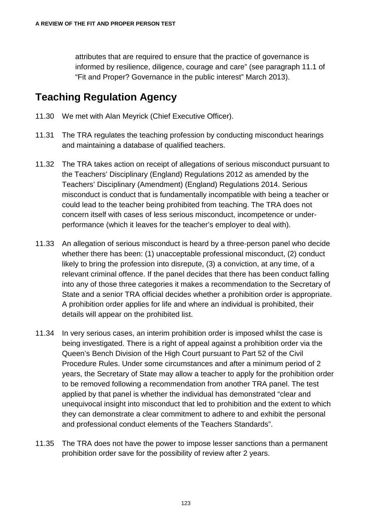attributes that are required to ensure that the practice of governance is informed by resilience, diligence, courage and care" (see paragraph 11.1 of "Fit and Proper? Governance in the public interest" March 2013).

#### **Teaching Regulation Agency**

- 11.30 We met with Alan Meyrick (Chief Executive Officer).
- 11.31 The TRA regulates the teaching profession by conducting misconduct hearings and maintaining a database of qualified teachers.
- 11.32 The TRA takes action on receipt of allegations of serious misconduct pursuant to the Teachers' Disciplinary (England) Regulations 2012 as amended by the Teachers' Disciplinary (Amendment) (England) Regulations 2014. Serious misconduct is conduct that is fundamentally incompatible with being a teacher or could lead to the teacher being prohibited from teaching. The TRA does not concern itself with cases of less serious misconduct, incompetence or underperformance (which it leaves for the teacher's employer to deal with).
- 11.33 An allegation of serious misconduct is heard by a three-person panel who decide whether there has been: (1) unacceptable professional misconduct, (2) conduct likely to bring the profession into disrepute, (3) a conviction, at any time, of a relevant criminal offence. If the panel decides that there has been conduct falling into any of those three categories it makes a recommendation to the Secretary of State and a senior TRA official decides whether a prohibition order is appropriate. A prohibition order applies for life and where an individual is prohibited, their details will appear on the prohibited list.
- 11.34 In very serious cases, an interim prohibition order is imposed whilst the case is being investigated. There is a right of appeal against a prohibition order via the Queen's Bench Division of the High Court pursuant to Part 52 of the Civil Procedure Rules. Under some circumstances and after a minimum period of 2 years, the Secretary of State may allow a teacher to apply for the prohibition order to be removed following a recommendation from another TRA panel. The test applied by that panel is whether the individual has demonstrated "clear and unequivocal insight into misconduct that led to prohibition and the extent to which they can demonstrate a clear commitment to adhere to and exhibit the personal and professional conduct elements of the Teachers Standards".
- 11.35 The TRA does not have the power to impose lesser sanctions than a permanent prohibition order save for the possibility of review after 2 years.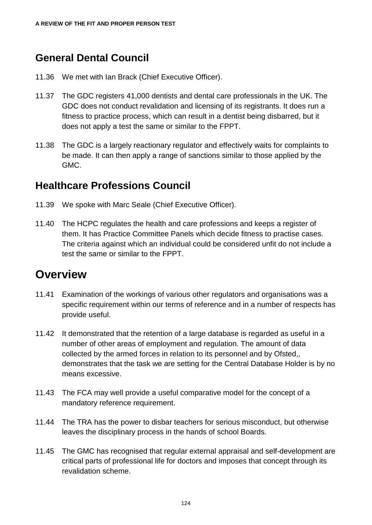#### **General Dental Council**

- 11.36 We met with Ian Brack (Chief Executive Officer).
- 11.37 The GDC registers 41,000 dentists and dental care professionals in the UK. The GDC does not conduct revalidation and licensing of its registrants. It does run a fitness to practice process, which can result in a dentist being disbarred, but it does not apply a test the same or similar to the FPPT.
- 11.38 The GDC is a largely reactionary regulator and effectively waits for complaints to be made. It can then apply a range of sanctions similar to those applied by the GMC.

#### **Healthcare Professions Council**

- 11.39 We spoke with Marc Seale (Chief Executive Officer).
- 11.40 The HCPC regulates the health and care professions and keeps a register of them. It has Practice Committee Panels which decide fitness to practise cases. The criteria against which an individual could be considered unfit do not include a test the same or similar to the FPPT.

#### **Overview**

- 11.41 Examination of the workings of various other regulators and organisations was a specific requirement within our terms of reference and in a number of respects has provide useful.
- 11.42 It demonstrated that the retention of a large database is regarded as useful in a number of other areas of employment and regulation. The amount of data collected by the armed forces in relation to its personnel and by Ofsted,, demonstrates that the task we are setting for the Central Database Holder is by no means excessive.
- 11.43 The FCA may well provide a useful comparative model for the concept of a mandatory reference requirement.
- 11.44 The TRA has the power to disbar teachers for serious misconduct, but otherwise leaves the disciplinary process in the hands of school Boards.
- 11.45 The GMC has recognised that regular external appraisal and self-development are critical parts of professional life for doctors and imposes that concept through its revalidation scheme.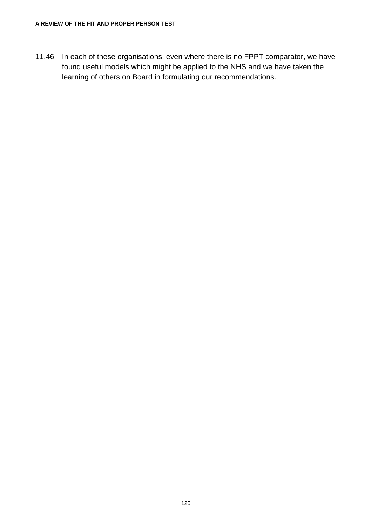11.46 In each of these organisations, even where there is no FPPT comparator, we have found useful models which might be applied to the NHS and we have taken the learning of others on Board in formulating our recommendations.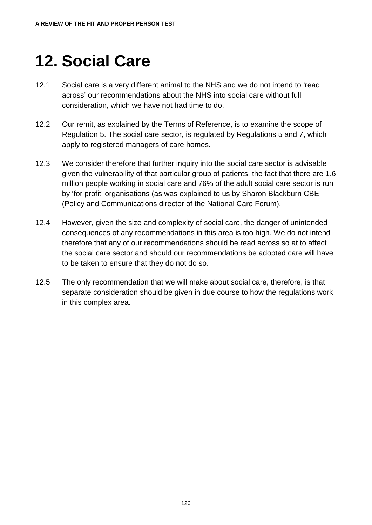# **12. Social Care**

- 12.1 Social care is a very different animal to the NHS and we do not intend to 'read across' our recommendations about the NHS into social care without full consideration, which we have not had time to do.
- 12.2 Our remit, as explained by the Terms of Reference, is to examine the scope of Regulation 5. The social care sector, is regulated by Regulations 5 and 7, which apply to registered managers of care homes.
- 12.3 We consider therefore that further inquiry into the social care sector is advisable given the vulnerability of that particular group of patients, the fact that there are 1.6 million people working in social care and 76% of the adult social care sector is run by 'for profit' organisations (as was explained to us by Sharon Blackburn CBE (Policy and Communications director of the National Care Forum).
- 12.4 However, given the size and complexity of social care, the danger of unintended consequences of any recommendations in this area is too high. We do not intend therefore that any of our recommendations should be read across so at to affect the social care sector and should our recommendations be adopted care will have to be taken to ensure that they do not do so.
- 12.5 The only recommendation that we will make about social care, therefore, is that separate consideration should be given in due course to how the regulations work in this complex area.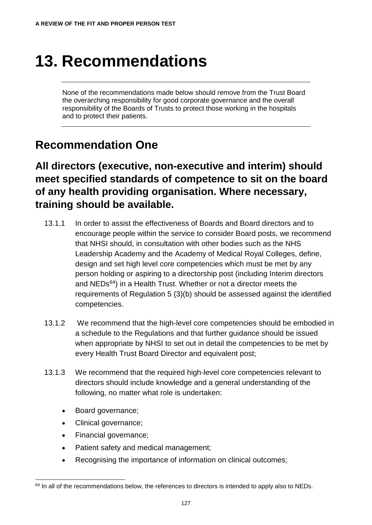# **13. Recommendations**

None of the recommendations made below should remove from the Trust Board the overarching responsibility for good corporate governance and the overall responsibility of the Boards of Trusts to protect those working in the hospitals and to protect their patients.

#### <span id="page-132-1"></span>**Recommendation One**

**All directors (executive, non-executive and interim) should meet specified standards of competence to sit on the board of any health providing organisation. Where necessary, training should be available.**

- 13.1.1 In order to assist the effectiveness of Boards and Board directors and to encourage people within the service to consider Board posts, we recommend that NHSI should, in consultation with other bodies such as the NHS Leadership Academy and the Academy of Medical Royal Colleges, define, design and set high level core competencies which must be met by any person holding or aspiring to a directorship post (including Interim directors and NEDs<sup>64</sup>) in a Health Trust. Whether or not a director meets the requirements of Regulation 5 (3)(b) should be assessed against the identified competencies.
- 13.1.2 We recommend that the high-level core competencies should be embodied in a schedule to the Regulations and that further guidance should be issued when appropriate by NHSI to set out in detail the competencies to be met by every Health Trust Board Director and equivalent post;
- 13.1.3 We recommend that the required high-level core competencies relevant to directors should include knowledge and a general understanding of the following, no matter what role is undertaken:
	- Board governance;
	- Clinical governance;
	- Financial governance;
	- Patient safety and medical management;
	- Recognising the importance of information on clinical outcomes;

<span id="page-132-0"></span> $64$  In all of the recommendations below, the references to directors is intended to apply also to NEDs.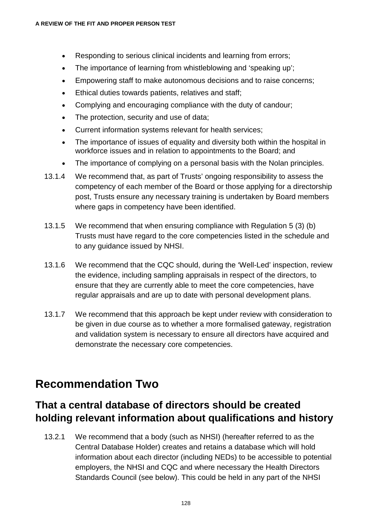- Responding to serious clinical incidents and learning from errors;
- The importance of learning from whistleblowing and 'speaking up';
- Empowering staff to make autonomous decisions and to raise concerns;
- Ethical duties towards patients, relatives and staff;
- Complying and encouraging compliance with the duty of candour;
- The protection, security and use of data;
- Current information systems relevant for health services;
- The importance of issues of equality and diversity both within the hospital in workforce issues and in relation to appointments to the Board; and
- The importance of complying on a personal basis with the Nolan principles.
- 13.1.4 We recommend that, as part of Trusts' ongoing responsibility to assess the competency of each member of the Board or those applying for a directorship post, Trusts ensure any necessary training is undertaken by Board members where gaps in competency have been identified.
- 13.1.5 We recommend that when ensuring compliance with Regulation 5 (3) (b) Trusts must have regard to the core competencies listed in the schedule and to any guidance issued by NHSI.
- 13.1.6 We recommend that the CQC should, during the 'Well-Led' inspection, review the evidence, including sampling appraisals in respect of the directors, to ensure that they are currently able to meet the core competencies, have regular appraisals and are up to date with personal development plans.
- 13.1.7 We recommend that this approach be kept under review with consideration to be given in due course as to whether a more formalised gateway, registration and validation system is necessary to ensure all directors have acquired and demonstrate the necessary core competencies.

## **Recommendation Two**

#### **That a central database of directors should be created holding relevant information about qualifications and history**

13.2.1 We recommend that a body (such as NHSI) (hereafter referred to as the Central Database Holder) creates and retains a database which will hold information about each director (including NEDs) to be accessible to potential employers, the NHSI and CQC and where necessary the Health Directors Standards Council (see below). This could be held in any part of the NHSI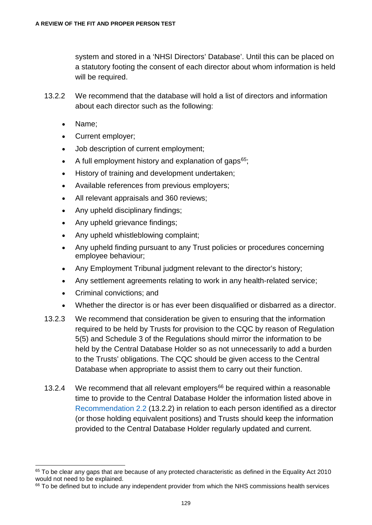system and stored in a 'NHSI Directors' Database'. Until this can be placed on a statutory footing the consent of each director about whom information is held will be required.

- 13.2.2 We recommend that the database will hold a list of directors and information about each director such as the following:
	- Name;
	- Current employer;
	- Job description of current employment;
	- A full employment history and explanation of gaps $65$ ;
	- History of training and development undertaken:
	- Available references from previous employers;
	- All relevant appraisals and 360 reviews;
	- Any upheld disciplinary findings;
	- Any upheld grievance findings;
	- Any upheld whistleblowing complaint;
	- Any upheld finding pursuant to any Trust policies or procedures concerning employee behaviour;
	- Any Employment Tribunal judgment relevant to the director's history;
	- Any settlement agreements relating to work in any health-related service;
	- Criminal convictions; and
	- Whether the director is or has ever been disqualified or disbarred as a director.
- 13.2.3 We recommend that consideration be given to ensuring that the information required to be held by Trusts for provision to the CQC by reason of Regulation 5(5) and Schedule 3 of the Regulations should mirror the information to be held by the Central Database Holder so as not unnecessarily to add a burden to the Trusts' obligations. The CQC should be given access to the Central Database when appropriate to assist them to carry out their function.
- 13.2.4 We recommend that all relevant employers<sup>[66](#page-134-1)</sup> be required within a reasonable time to provide to the Central Database Holder the information listed above in Recommendation 2.2 (13.2.2) in relation to each person identified as a director (or those holding equivalent positions) and Trusts should keep the information provided to the Central Database Holder regularly updated and current.

<span id="page-134-0"></span><sup>&</sup>lt;sup>65</sup> To be clear any gaps that are because of any protected characteristic as defined in the Equality Act 2010 would not need to be explained.

<span id="page-134-1"></span><sup>&</sup>lt;sup>66</sup> To be defined but to include any independent provider from which the NHS commissions health services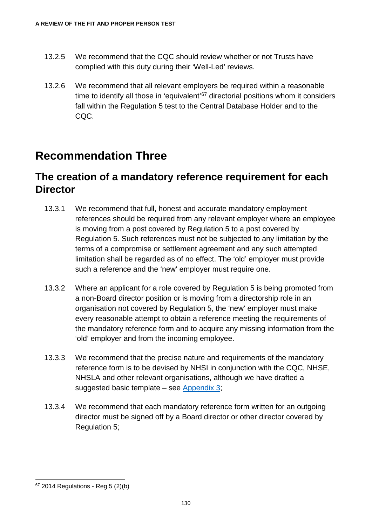- 13.2.5 We recommend that the CQC should review whether or not Trusts have complied with this duty during their 'Well-Led' reviews.
- 13.2.6 We recommend that all relevant employers be required within a reasonable time to identify all those in 'equivalent'<sup>[67](#page-135-1)</sup> directorial positions whom it considers fall within the Regulation 5 test to the Central Database Holder and to the CQC.

## <span id="page-135-0"></span>**Recommendation Three**

#### **The creation of a mandatory reference requirement for each Director**

- 13.3.1 We recommend that full, honest and accurate mandatory employment references should be required from any relevant employer where an employee is moving from a post covered by Regulation 5 to a post covered by Regulation 5. Such references must not be subjected to any limitation by the terms of a compromise or settlement agreement and any such attempted limitation shall be regarded as of no effect. The 'old' employer must provide such a reference and the 'new' employer must require one.
- 13.3.2 Where an applicant for a role covered by Regulation 5 is being promoted from a non-Board director position or is moving from a directorship role in an organisation not covered by Regulation 5, the 'new' employer must make every reasonable attempt to obtain a reference meeting the requirements of the mandatory reference form and to acquire any missing information from the 'old' employer and from the incoming employee.
- 13.3.3 We recommend that the precise nature and requirements of the mandatory reference form is to be devised by NHSI in conjunction with the CQC, NHSE, NHSLA and other relevant organisations, although we have drafted a suggested basic template – see [Appendix 3;](#page-143-0)
- 13.3.4 We recommend that each mandatory reference form written for an outgoing director must be signed off by a Board director or other director covered by Regulation 5;

<span id="page-135-1"></span> $67$  2014 Regulations - Reg 5 (2)(b)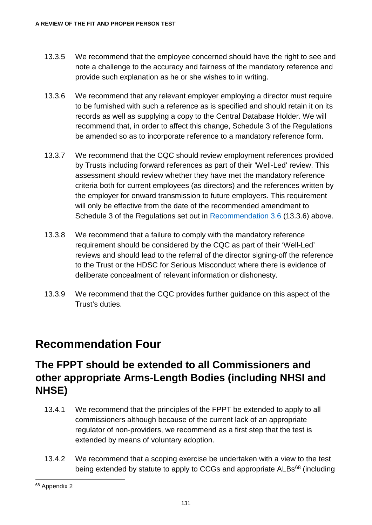- 13.3.5 We recommend that the employee concerned should have the right to see and note a challenge to the accuracy and fairness of the mandatory reference and provide such explanation as he or she wishes to in writing.
- 13.3.6 We recommend that any relevant employer employing a director must require to be furnished with such a reference as is specified and should retain it on its records as well as supplying a copy to the Central Database Holder. We will recommend that, in order to affect this change, Schedule 3 of the Regulations be amended so as to incorporate reference to a mandatory reference form.
- 13.3.7 We recommend that the CQC should review employment references provided by Trusts including forward references as part of their 'Well-Led' review. This assessment should review whether they have met the mandatory reference criteria both for current employees (as directors) and the references written by the employer for onward transmission to future employers. This requirement will only be effective from the date of the recommended amendment to Schedule 3 of the Regulations set out in Recommendation 3.6 (13.3.6) above.
- 13.3.8 We recommend that a failure to comply with the mandatory reference requirement should be considered by the CQC as part of their 'Well-Led' reviews and should lead to the referral of the director signing-off the reference to the Trust or the HDSC for Serious Misconduct where there is evidence of deliberate concealment of relevant information or dishonesty.
- 13.3.9 We recommend that the CQC provides further guidance on this aspect of the Trust's duties.

#### **Recommendation Four**

#### **The FPPT should be extended to all Commissioners and other appropriate Arms-Length Bodies (including NHSI and NHSE)**

- 13.4.1 We recommend that the principles of the FPPT be extended to apply to all commissioners although because of the current lack of an appropriate regulator of non-providers, we recommend as a first step that the test is extended by means of voluntary adoption.
- 13.4.2 We recommend that a scoping exercise be undertaken with a view to the test being extended by statute to apply to CCGs and appropriate ALBs<sup>[68](#page-136-0)</sup> (including

<span id="page-136-0"></span> <sup>68</sup> Appendix 2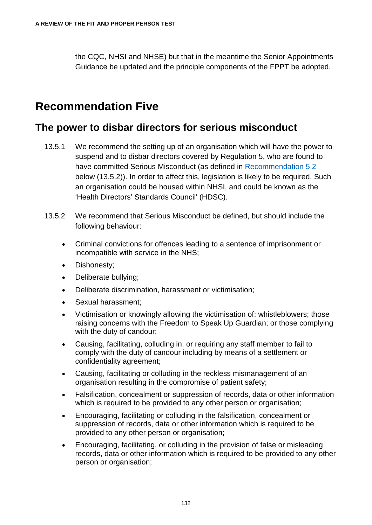the CQC, NHSI and NHSE) but that in the meantime the Senior Appointments Guidance be updated and the principle components of the FPPT be adopted.

## <span id="page-137-0"></span>**Recommendation Five**

#### **The power to disbar directors for serious misconduct**

- 13.5.1 We recommend the setting up of an organisation which will have the power to suspend and to disbar directors covered by Regulation 5, who are found to have committed Serious Misconduct (as defined in Recommendation 5.2 below (13.5.2)). In order to affect this, legislation is likely to be required. Such an organisation could be housed within NHSI, and could be known as the 'Health Directors' Standards Council' (HDSC).
- 13.5.2 We recommend that Serious Misconduct be defined, but should include the following behaviour:
	- Criminal convictions for offences leading to a sentence of imprisonment or incompatible with service in the NHS;
	- Dishonesty:
	- Deliberate bullying;
	- Deliberate discrimination, harassment or victimisation;
	- Sexual harassment;
	- Victimisation or knowingly allowing the victimisation of: whistleblowers; those raising concerns with the Freedom to Speak Up Guardian; or those complying with the duty of candour;
	- Causing, facilitating, colluding in, or requiring any staff member to fail to comply with the duty of candour including by means of a settlement or confidentiality agreement;
	- Causing, facilitating or colluding in the reckless mismanagement of an organisation resulting in the compromise of patient safety;
	- Falsification, concealment or suppression of records, data or other information which is required to be provided to any other person or organisation;
	- Encouraging, facilitating or colluding in the falsification, concealment or suppression of records, data or other information which is required to be provided to any other person or organisation;
	- Encouraging, facilitating, or colluding in the provision of false or misleading records, data or other information which is required to be provided to any other person or organisation;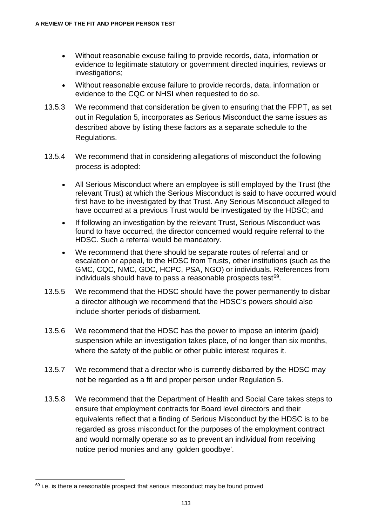- Without reasonable excuse failing to provide records, data, information or evidence to legitimate statutory or government directed inquiries, reviews or investigations;
- Without reasonable excuse failure to provide records, data, information or evidence to the CQC or NHSI when requested to do so.
- 13.5.3 We recommend that consideration be given to ensuring that the FPPT, as set out in Regulation 5, incorporates as Serious Misconduct the same issues as described above by listing these factors as a separate schedule to the Regulations.
- 13.5.4 We recommend that in considering allegations of misconduct the following process is adopted:
	- All Serious Misconduct where an employee is still employed by the Trust (the relevant Trust) at which the Serious Misconduct is said to have occurred would first have to be investigated by that Trust. Any Serious Misconduct alleged to have occurred at a previous Trust would be investigated by the HDSC; and
	- If following an investigation by the relevant Trust, Serious Misconduct was found to have occurred, the director concerned would require referral to the HDSC. Such a referral would be mandatory.
	- We recommend that there should be separate routes of referral and or escalation or appeal, to the HDSC from Trusts, other institutions (such as the GMC, CQC, NMC, GDC, HCPC, PSA, NGO) or individuals. References from individuals should have to pass a reasonable prospects test [69.](#page-138-0)
- 13.5.5 We recommend that the HDSC should have the power permanently to disbar a director although we recommend that the HDSC's powers should also include shorter periods of disbarment.
- 13.5.6 We recommend that the HDSC has the power to impose an interim (paid) suspension while an investigation takes place, of no longer than six months, where the safety of the public or other public interest requires it.
- 13.5.7 We recommend that a director who is currently disbarred by the HDSC may not be regarded as a fit and proper person under Regulation 5.
- 13.5.8 We recommend that the Department of Health and Social Care takes steps to ensure that employment contracts for Board level directors and their equivalents reflect that a finding of Serious Misconduct by the HDSC is to be regarded as gross misconduct for the purposes of the employment contract and would normally operate so as to prevent an individual from receiving notice period monies and any 'golden goodbye'.

<span id="page-138-0"></span><sup>&</sup>lt;sup>69</sup> i.e. is there a reasonable prospect that serious misconduct may be found proved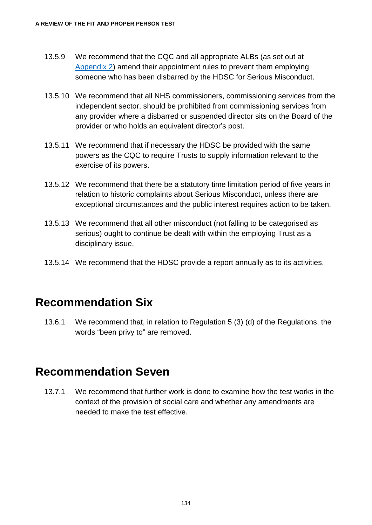- 13.5.9 We recommend that the CQC and all appropriate ALBs (as set out at [Appendix 2\)](#page-142-0) amend their appointment rules to prevent them employing someone who has been disbarred by the HDSC for Serious Misconduct.
- 13.5.10 We recommend that all NHS commissioners, commissioning services from the independent sector, should be prohibited from commissioning services from any provider where a disbarred or suspended director sits on the Board of the provider or who holds an equivalent director's post.
- 13.5.11 We recommend that if necessary the HDSC be provided with the same powers as the CQC to require Trusts to supply information relevant to the exercise of its powers.
- 13.5.12 We recommend that there be a statutory time limitation period of five years in relation to historic complaints about Serious Misconduct, unless there are exceptional circumstances and the public interest requires action to be taken.
- 13.5.13 We recommend that all other misconduct (not falling to be categorised as serious) ought to continue be dealt with within the employing Trust as a disciplinary issue.
- 13.5.14 We recommend that the HDSC provide a report annually as to its activities.

#### **Recommendation Six**

13.6.1 We recommend that, in relation to Regulation 5 (3) (d) of the Regulations, the words "been privy to" are removed.

#### **Recommendation Seven**

13.7.1 We recommend that further work is done to examine how the test works in the context of the provision of social care and whether any amendments are needed to make the test effective.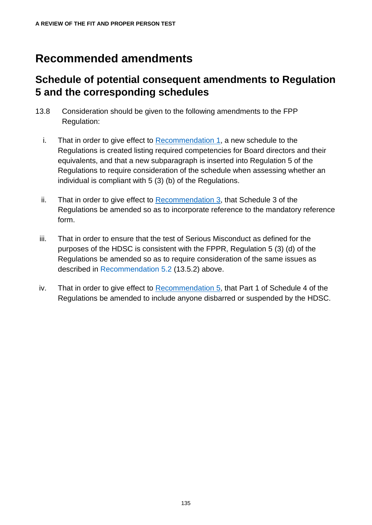## **Recommended amendments**

#### **Schedule of potential consequent amendments to Regulation 5 and the corresponding schedules**

- 13.8 Consideration should be given to the following amendments to the FPP Regulation:
	- i. That in order to give effect to [Recommendation 1,](#page-132-1) a new schedule to the Regulations is created listing required competencies for Board directors and their equivalents, and that a new subparagraph is inserted into Regulation 5 of the Regulations to require consideration of the schedule when assessing whether an individual is compliant with 5 (3) (b) of the Regulations.
	- ii. That in order to give effect to [Recommendation 3,](#page-135-0) that Schedule 3 of the Regulations be amended so as to incorporate reference to the mandatory reference form.
- iii. That in order to ensure that the test of Serious Misconduct as defined for the purposes of the HDSC is consistent with the FPPR, Regulation 5 (3) (d) of the Regulations be amended so as to require consideration of the same issues as described in Recommendation 5.2 (13.5.2) above.
- iv. That in order to give effect to [Recommendation 5,](#page-137-0) that Part 1 of Schedule 4 of the Regulations be amended to include anyone disbarred or suspended by the HDSC.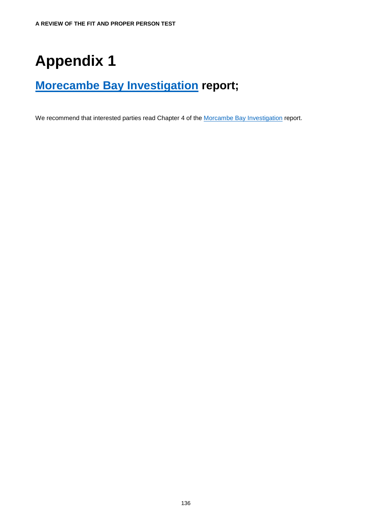## **Appendix 1**

## **[Morecambe Bay Investigation](https://www.gov.uk/government/publications/morecambe-bay-investigation-report) report;**

We recommend that interested parties read Chapter 4 of the [Morcambe Bay Investigation](https://www.gov.uk/government/publications/morecambe-bay-investigation-report) report.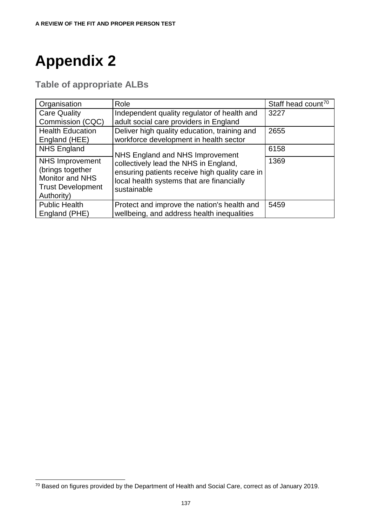## <span id="page-142-0"></span>**Appendix 2**

**Table of appropriate ALBs**

| Organisation                                                                                                   | Role                                                                                                                                                                                   | Staff head count <sup>70</sup> |
|----------------------------------------------------------------------------------------------------------------|----------------------------------------------------------------------------------------------------------------------------------------------------------------------------------------|--------------------------------|
| <b>Care Quality</b><br>Commission (CQC)                                                                        | Independent quality regulator of health and<br>adult social care providers in England                                                                                                  | 3227                           |
| <b>Health Education</b><br>England (HEE)                                                                       | Deliver high quality education, training and<br>workforce development in health sector                                                                                                 | 2655                           |
| <b>NHS England</b>                                                                                             | NHS England and NHS Improvement<br>collectively lead the NHS in England,<br>ensuring patients receive high quality care in<br>local health systems that are financially<br>sustainable | 6158                           |
| <b>NHS Improvement</b><br>(brings together<br><b>Monitor and NHS</b><br><b>Trust Development</b><br>Authority) |                                                                                                                                                                                        | 1369                           |
| <b>Public Health</b><br>England (PHE)                                                                          | Protect and improve the nation's health and<br>wellbeing, and address health inequalities                                                                                              | 5459                           |

<span id="page-142-1"></span> <sup>70</sup> Based on figures provided by the Department of Health and Social Care, correct as of January 2019.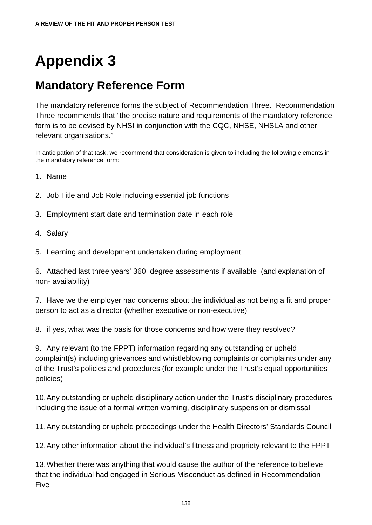# **Appendix 3**

## <span id="page-143-0"></span>**Mandatory Reference Form**

The mandatory reference forms the subject of Recommendation Three. Recommendation Three recommends that "the precise nature and requirements of the mandatory reference form is to be devised by NHSI in conjunction with the CQC, NHSE, NHSLA and other relevant organisations."

In anticipation of that task, we recommend that consideration is given to including the following elements in the mandatory reference form:

- 1. Name
- 2. Job Title and Job Role including essential job functions
- 3. Employment start date and termination date in each role
- 4. Salary
- 5. Learning and development undertaken during employment

6. Attached last three years' 360 degree assessments if available (and explanation of non- availability)

7. Have we the employer had concerns about the individual as not being a fit and proper person to act as a director (whether executive or non-executive)

8. if yes, what was the basis for those concerns and how were they resolved?

9. Any relevant (to the FPPT) information regarding any outstanding or upheld complaint(s) including grievances and whistleblowing complaints or complaints under any of the Trust's policies and procedures (for example under the Trust's equal opportunities policies)

10.Any outstanding or upheld disciplinary action under the Trust's disciplinary procedures including the issue of a formal written warning, disciplinary suspension or dismissal

11.Any outstanding or upheld proceedings under the Health Directors' Standards Council

12.Any other information about the individual's fitness and propriety relevant to the FPPT

13.Whether there was anything that would cause the author of the reference to believe that the individual had engaged in Serious Misconduct as defined in Recommendation Five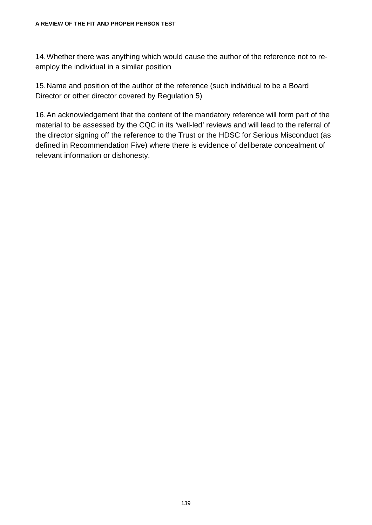14.Whether there was anything which would cause the author of the reference not to reemploy the individual in a similar position

15.Name and position of the author of the reference (such individual to be a Board Director or other director covered by Regulation 5)

16.An acknowledgement that the content of the mandatory reference will form part of the material to be assessed by the CQC in its 'well-led' reviews and will lead to the referral of the director signing off the reference to the Trust or the HDSC for Serious Misconduct (as defined in Recommendation Five) where there is evidence of deliberate concealment of relevant information or dishonesty.